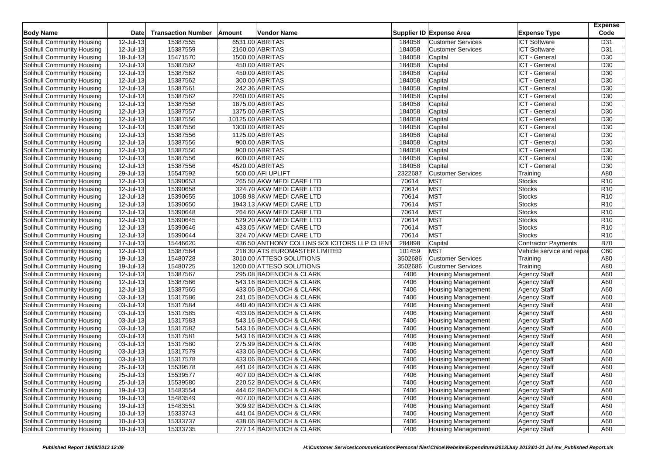| <b>Body Name</b>                  | <b>Date</b>             | <b>Transaction Number</b> | Amount | Vendor Name                                  |         | Supplier ID Expense Area  | <b>Expense Type</b>       | <b>Expense</b><br>Code |
|-----------------------------------|-------------------------|---------------------------|--------|----------------------------------------------|---------|---------------------------|---------------------------|------------------------|
| Solihull Community Housing        | 12-Jul-13               | 15387555                  |        | 6531.00 ABRITAS                              | 184058  | <b>Customer Services</b>  | <b>ICT Software</b>       | D31                    |
| Solihull Community Housing        | 12-Jul-13               | 15387559                  |        | 2160.00 ABRITAS                              | 184058  | <b>Customer Services</b>  | <b>ICT Software</b>       | D31                    |
| Solihull Community Housing        | 18-Jul-13               | 15471570                  |        | 1500.00 ABRITAS                              | 184058  | Capital                   | ICT - General             | D30                    |
| Solihull Community Housing        | 12-Jul-13               | 15387562                  |        | 450.00 ABRITAS                               | 184058  | Capital                   | ICT - General             | D30                    |
| Solihull Community Housing        | 12-Jul-13               | 15387562                  |        | 450.00 ABRITAS                               | 184058  | Capital                   | ICT - General             | D30                    |
| Solihull Community Housing        | 12-Jul-13               | 15387562                  |        | 300.00 ABRITAS                               | 184058  | Capital                   | ICT - General             | D30                    |
| Solihull Community Housing        | 12-Jul-13               | 15387561                  |        | 242.36 ABRITAS                               | 184058  | Capital                   | ICT - General             | D30                    |
| Solihull Community Housing        | 12-Jul-13               | 15387562                  |        | 2260.00 ABRITAS                              | 184058  | Capital                   | ICT - General             | D30                    |
| Solihull Community Housing        | 12-Jul-13               | 15387558                  |        | 1875.00 ABRITAS                              | 184058  | Capital                   | ICT - General             | D30                    |
| Solihull Community Housing        | 12-Jul-13               | 15387557                  |        | 1375.00 ABRITAS                              | 184058  | Capital                   | ICT - General             | D30                    |
| Solihull Community Housing        | 12-Jul-13               | 15387556                  |        | 10125.00 ABRITAS                             | 184058  | Capital                   | ICT - General             | D30                    |
| Solihull Community Housing        | 12-Jul-13               | 15387556                  |        | 1300.00 ABRITAS                              | 184058  | Capital                   | ICT - General             | D30                    |
| Solihull Community Housing        | 12-Jul-13               | 15387556                  |        | 1125.00 ABRITAS                              | 184058  | Capital                   | ICT - General             | D30                    |
| Solihull Community Housing        | 12-Jul-13               | 15387556                  |        | 900.00 ABRITAS                               | 184058  | Capital                   | ICT - General             | D <sub>30</sub>        |
| Solihull Community Housing        | 12-Jul-13               | 15387556                  |        | 900.00 ABRITAS                               | 184058  | Capital                   | ICT - General             | D <sub>30</sub>        |
| Solihull Community Housing        | $\overline{12}$ -Jul-13 | 15387556                  |        | 600.00 ABRITAS                               | 184058  | Capital                   | ICT - General             | D30                    |
| Solihull Community Housing        | 12-Jul-13               | 15387556                  |        | 4520.00 ABRITAS                              | 184058  | Capital                   | ICT - General             | D30                    |
| Solihull Community Housing        | 29-Jul-13               | 15547592                  |        | 500.00 AFI UPLIFT                            | 2322687 | <b>Customer Services</b>  | Training                  | A80                    |
| Solihull Community Housing        | 12-Jul-13               | 15390653                  |        | 265.50 AKW MEDI CARE LTD                     | 70614   | <b>MST</b>                | <b>Stocks</b>             | R <sub>10</sub>        |
| Solihull Community Housing        | 12-Jul-13               | 15390658                  |        | 324.70 AKW MEDI CARE LTD                     | 70614   | <b>MST</b>                | <b>Stocks</b>             | R <sub>10</sub>        |
| Solihull Community Housing        | $12 -$ Jul-13           | 15390655                  |        | 1058.98 AKW MEDI CARE LTD                    | 70614   | <b>MST</b>                | <b>Stocks</b>             | R <sub>10</sub>        |
| Solihull Community Housing        | 12-Jul-13               | 15390650                  |        | 1943.13 AKW MEDI CARE LTD                    | 70614   | <b>MST</b>                | <b>Stocks</b>             | R <sub>10</sub>        |
| Solihull Community Housing        | 12-Jul-13               | 15390648                  |        | 264.60 AKW MEDI CARE LTD                     | 70614   | <b>MST</b>                | <b>Stocks</b>             | R <sub>10</sub>        |
| Solihull Community Housing        | $12$ -Jul-13            | 15390645                  |        | 529.20 AKW MEDI CARE LTD                     | 70614   | <b>MST</b>                | <b>Stocks</b>             | R <sub>10</sub>        |
| Solihull Community Housing        | 12-Jul-13               | 15390646                  |        | 433.05 AKW MEDI CARE LTD                     | 70614   | <b>MST</b>                | Stocks                    | R <sub>10</sub>        |
| Solihull Community Housing        | 12-Jul-13               | 15390644                  |        | 324.70 AKW MEDI CARE LTD                     | 70614   | <b>MST</b>                | <b>Stocks</b>             | R <sub>10</sub>        |
| Solihull Community Housing        | $17 -$ Jul-13           | 15446620                  |        | 436.50 ANTHONY COLLINS SOLICITORS LLP CLIENT | 284898  | Capital                   | Contractor Payments       | <b>B70</b>             |
| Solihull Community Housing        | 12-Jul-13               | 15387564                  |        | 218.30 ATS EUROMASTER LIMITED                | 101459  | <b>MST</b>                | Vehicle service and repai | C60                    |
| <b>Solihull Community Housing</b> | 19-Jul-13               | 15480728                  |        | 3010.00 ATTESO SOLUTIONS                     | 3502686 | <b>Customer Services</b>  | Training                  | A80                    |
| Solihull Community Housing        | $19 -$ Jul-13           | 15480725                  |        | 1200.00 ATTESO SOLUTIONS                     | 3502686 | <b>Customer Services</b>  | Training                  | A80                    |
| Solihull Community Housing        | 12-Jul-13               | 15387567                  |        | 295.08 BADENOCH & CLARK                      | 7406    | <b>Housing Management</b> | Agency Staff              | A60                    |
| Solihull Community Housing        | 12-Jul-13               | 15387566                  |        | 543.16 BADENOCH & CLARK                      | 7406    | <b>Housing Management</b> | <b>Agency Staff</b>       | A60                    |
| Solihull Community Housing        | 12-Jul-13               | 15387565                  |        | 433.06 BADENOCH & CLARK                      | 7406    | <b>Housing Management</b> | <b>Agency Staff</b>       | A60                    |
| Solihull Community Housing        | 03-Jul-13               | 15317586                  |        | 241.05 BADENOCH & CLARK                      | 7406    | <b>Housing Management</b> | Agency Staff              | A60                    |
| Solihull Community Housing        | 03-Jul-13               | 15317584                  |        | 440.40 BADENOCH & CLARK                      | 7406    | <b>Housing Management</b> | <b>Agency Staff</b>       | A60                    |
| Solihull Community Housing        | 03-Jul-13               | 15317585                  |        | 433.06 BADENOCH & CLARK                      | 7406    | <b>Housing Management</b> | <b>Agency Staff</b>       | A60                    |
| Solihull Community Housing        | 03-Jul-13               | 15317583                  |        | 543.16 BADENOCH & CLARK                      | 7406    | <b>Housing Management</b> | <b>Agency Staff</b>       | A60                    |
| Solihull Community Housing        | 03-Jul-13               | 15317582                  |        | 543.16 BADENOCH & CLARK                      | 7406    | <b>Housing Management</b> | <b>Agency Staff</b>       | A60                    |
| Solihull Community Housing        | 03-Jul-13               | 15317581                  |        | 543.16 BADENOCH & CLARK                      | 7406    | <b>Housing Management</b> | <b>Agency Staff</b>       | A60                    |
| Solihull Community Housing        | 03-Jul-13               | 15317580                  |        | 275.99 BADENOCH & CLARK                      | 7406    | <b>Housing Management</b> | Agency Staff              | A60                    |
| Solihull Community Housing        | 03-Jul-13               | 15317579                  |        | 433.06 BADENOCH & CLARK                      | 7406    | <b>Housing Management</b> | <b>Agency Staff</b>       | A60                    |
| Solihull Community Housing        | 03-Jul-13               | 15317578                  |        | 433.06 BADENOCH & CLARK                      | 7406    | <b>Housing Management</b> | <b>Agency Staff</b>       | A60                    |
| Solihull Community Housing        | 25-Jul-13               | 15539578                  |        | 441.04 BADENOCH & CLARK                      | 7406    | <b>Housing Management</b> | <b>Agency Staff</b>       | A60                    |
| Solihull Community Housing        | 25-Jul-13               | 15539577                  |        | 407.00 BADENOCH & CLARK                      | 7406    | <b>Housing Management</b> | <b>Agency Staff</b>       | A60                    |
| Solihull Community Housing        | 25-Jul-13               | 15539580                  |        | 220.52 BADENOCH & CLARK                      | 7406    | <b>Housing Management</b> | <b>Agency Staff</b>       | A60                    |
| Solihull Community Housing        | 19-Jul-13               | 15483554                  |        | 444.02 BADENOCH & CLARK                      | 7406    | <b>Housing Management</b> | <b>Agency Staff</b>       | A60                    |
| Solihull Community Housing        | 19-Jul-13               | 15483549                  |        | 407.00 BADENOCH & CLARK                      | 7406    | <b>Housing Management</b> | <b>Agency Staff</b>       | A60                    |
| Solihull Community Housing        | $19$ -Jul-13            | 15483551                  |        | 309.92 BADENOCH & CLARK                      | 7406    | <b>Housing Management</b> | <b>Agency Staff</b>       | A60                    |
| Solihull Community Housing        | 10-Jul-13               | 15333743                  |        | 441.04 BADENOCH & CLARK                      | 7406    | <b>Housing Management</b> | <b>Agency Staff</b>       | A60                    |
| Solihull Community Housing        | 10-Jul-13               | 15333737                  |        | 438.06 BADENOCH & CLARK                      | 7406    | <b>Housing Management</b> | <b>Agency Staff</b>       | A60                    |
| Solihull Community Housing        | $10$ -Jul-13            | 15333735                  |        | 277.14 BADENOCH & CLARK                      | 7406    | <b>Housing Management</b> | <b>Agency Staff</b>       | A60                    |
|                                   |                         |                           |        |                                              |         |                           |                           |                        |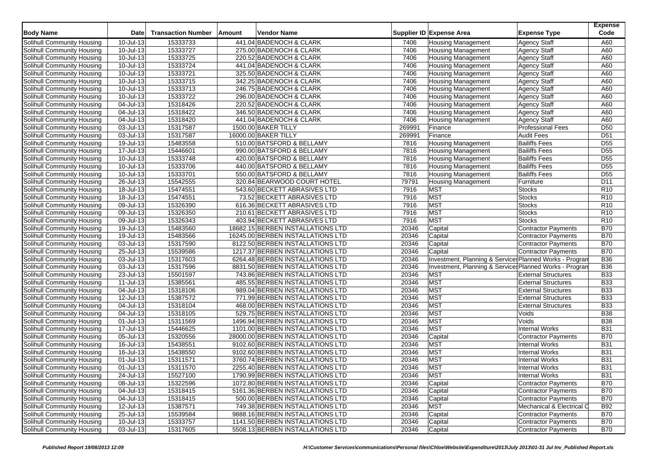| <b>Body Name</b>                                         | <b>Date</b>   | <b>Transaction Number</b> | Amount | <b>Vendor Name</b>                |        | Supplier ID Expense Area                                | <b>Expense Type</b>        | <b>Expense</b><br>Code |
|----------------------------------------------------------|---------------|---------------------------|--------|-----------------------------------|--------|---------------------------------------------------------|----------------------------|------------------------|
| Solihull Community Housing                               | 10-Jul-13     | 15333733                  |        | 441.04 BADENOCH & CLARK           | 7406   | <b>Housing Management</b>                               | <b>Agency Staff</b>        | A60                    |
| Solihull Community Housing                               | 10-Jul-13     | 15333727                  |        | 275.00 BADENOCH & CLARK           | 7406   | <b>Housing Management</b>                               | <b>Agency Staff</b>        | A60                    |
| Solihull Community Housing                               | $10 -$ Jul-13 | 15333725                  |        | 220.52 BADENOCH & CLARK           | 7406   | <b>Housing Management</b>                               | <b>Agency Staff</b>        | A60                    |
| Solihull Community Housing                               | 10-Jul-13     | 15333724                  |        | 441.04 BADENOCH & CLARK           | 7406   | <b>Housing Management</b>                               | <b>Agency Staff</b>        | A60                    |
| Solihull Community Housing                               | 10-Jul-13     | 15333721                  |        | 325.50 BADENOCH & CLARK           | 7406   | <b>Housing Management</b>                               | <b>Agency Staff</b>        | A60                    |
| Solihull Community Housing                               | 10-Jul-13     | 15333715                  |        | 342.25 BADENOCH & CLARK           | 7406   | <b>Housing Management</b>                               | <b>Agency Staff</b>        | A60                    |
| Solihull Community Housing                               | $10 -$ Jul-13 | 15333713                  |        | 246.75 BADENOCH & CLARK           | 7406   | <b>Housing Management</b>                               | <b>Agency Staff</b>        | A60                    |
| Solihull Community Housing                               | 10-Jul-13     | 15333722                  |        | 296.00 BADENOCH & CLARK           | 7406   | <b>Housing Management</b>                               | <b>Agency Staff</b>        | A60                    |
| Solihull Community Housing                               | 04-Jul-13     | 15318426                  |        | 220.52 BADENOCH & CLARK           | 7406   | <b>Housing Management</b>                               | <b>Agency Staff</b>        | A60                    |
| Solihull Community Housing                               | $04$ -Jul-13  | 15318422                  |        | 346.50 BADENOCH & CLARK           | 7406   | <b>Housing Management</b>                               | <b>Agency Staff</b>        | A60                    |
| Solihull Community Housing                               | 04-Jul-13     | 15318420                  |        | 441.04 BADENOCH & CLARK           | 7406   | <b>Housing Management</b>                               | <b>Agency Staff</b>        | A60                    |
| Solihull Community Housing                               | 03-Jul-13     | 15317587                  |        | 1500.00 BAKER TILLY               | 269991 | Finance                                                 | <b>Professional Fees</b>   | D <sub>50</sub>        |
| Solihull Community Housing                               | 03-Jul-13     | 15317587                  |        | 16000.00 BAKER TILLY              | 269991 | Finance                                                 | <b>Audit Fees</b>          | D <sub>51</sub>        |
| Solihull Community Housing                               | 19-Jul-13     | 15483558                  |        | 510.00 BATSFORD & BELLAMY         | 7816   | <b>Housing Management</b>                               | <b>Bailiffs Fees</b>       | D <sub>55</sub>        |
| Solihull Community Housing                               | 17-Jul-13     | 15446601                  |        | 990.00 BATSFORD & BELLAMY         | 7816   | <b>Housing Management</b>                               | <b>Bailiffs Fees</b>       | $\overline{D55}$       |
| Solihull Community Housing                               | 10-Jul-13     | 15333748                  |        | 420.00 BATSFORD & BELLAMY         | 7816   | <b>Housing Management</b>                               | <b>Bailiffs Fees</b>       | D <sub>55</sub>        |
| Solihull Community Housing                               | 10-Jul-13     | 15333706                  |        | 440.00 BATSFORD & BELLAMY         | 7816   | <b>Housing Management</b>                               | <b>Bailiffs Fees</b>       | D <sub>55</sub>        |
| Solihull Community Housing                               | 10-Jul-13     | 15333701                  |        | 550.00 BATSFORD & BELLAMY         | 7816   | <b>Housing Management</b>                               | <b>Bailiffs Fees</b>       | D <sub>55</sub>        |
| Solihull Community Housing                               | 26-Jul-13     | 15542555                  |        | 320.84 BEARWOOD COURT HOTEL       | 79791  | <b>Housing Management</b>                               | Furniture                  | D11                    |
| Solihull Community Housing                               | 18-Jul-13     | 15474551                  |        | 543.60 BECKETT ABRASIVES LTD      | 7916   | <b>MST</b>                                              | <b>Stocks</b>              | R <sub>10</sub>        |
| Solihull Community Housing                               | 18-Jul-13     | 15474551                  |        | 73.52 BECKETT ABRASIVES LTD       | 7916   | <b>MST</b>                                              | <b>Stocks</b>              | R <sub>10</sub>        |
| Solihull Community Housing                               | 09-Jul-13     | 15326390                  |        | 616.36 BECKETT ABRASIVES LTD      | 7916   | <b>MST</b>                                              | <b>Stocks</b>              | R <sub>10</sub>        |
| Solihull Community Housing                               | 09-Jul-13     | 15326350                  |        | 210.61 BECKETT ABRASIVES LTD      | 7916   | <b>MST</b>                                              | <b>Stocks</b>              | R <sub>10</sub>        |
| Solihull Community Housing                               | 09-Jul-13     | 15326343                  |        | 403.94 BECKETT ABRASIVES LTD      | 7916   | <b>MST</b>                                              | <b>Stocks</b>              | R <sub>10</sub>        |
| Solihull Community Housing                               | 19-Jul-13     | 15483560                  |        | 18682.15 BERBEN INSTALLATIONS LTD | 20346  | Capital                                                 | <b>Contractor Payments</b> | <b>B70</b>             |
| Solihull Community Housing                               | 19-Jul-13     | 15483566                  |        | 16245.00 BERBEN INSTALLATIONS LTD | 20346  | Capital                                                 | <b>Contractor Payments</b> | <b>B70</b>             |
| Solihull Community Housing                               | 03-Jul-13     | 15317590                  |        | 8122.50 BERBEN INSTALLATIONS LTD  | 20346  | Capital                                                 | <b>Contractor Payments</b> | <b>B70</b>             |
| Solihull Community Housing                               | 25-Jul-13     | 15539586                  |        | 1217.37 BERBEN INSTALLATIONS LTD  | 20346  | Capital                                                 | Contractor Payments        | <b>B70</b>             |
| Solihull Community Housing                               | 03-Jul-13     | 15317603                  |        | 6264.48 BERBEN INSTALLATIONS LTD  | 20346  | Investment, Planning & Services Planned Works - Progran |                            | <b>B36</b>             |
| Solihull Community Housing                               | 03-Jul-13     | 15317596                  |        | 8831.50 BERBEN INSTALLATIONS LTD  | 20346  | Investment, Planning & Services Planned Works - Progran |                            | <b>B36</b>             |
| Solihull Community Housing                               | 23-Jul-13     | 15501597                  |        | 743.86 BERBEN INSTALLATIONS LTD   | 20346  | <b>MST</b>                                              | <b>External Structures</b> | <b>B33</b>             |
| Solihull Community Housing                               | 11-Jul-13     | 15385561                  |        | 485.55 BERBEN INSTALLATIONS LTD   | 20346  | <b>MST</b>                                              | <b>External Structures</b> | <b>B33</b>             |
| Solihull Community Housing                               | 04-Jul-13     | 15318106                  |        | 989.04 BERBEN INSTALLATIONS LTD   | 20346  | <b>MST</b>                                              | <b>External Structures</b> | <b>B33</b>             |
|                                                          | 12-Jul-13     | 15387572                  |        | 771.99 BERBEN INSTALLATIONS LTD   | 20346  | <b>MST</b>                                              | <b>External Structures</b> | <b>B33</b>             |
| Solihull Community Housing<br>Solihull Community Housing | 04-Jul-13     | 15318104                  |        | 468.00 BERBEN INSTALLATIONS LTD   | 20346  | <b>MST</b>                                              | <b>External Structures</b> | <b>B33</b>             |
| Solihull Community Housing                               | 04-Jul-13     | 15318105                  |        | 529.75 BERBEN INSTALLATIONS LTD   | 20346  | <b>MST</b>                                              | Voids                      | <b>B38</b>             |
|                                                          | 01-Jul-13     | 15311569                  |        | 1496.94 BERBEN INSTALLATIONS LTD  | 20346  | <b>MST</b>                                              | Voids                      | <b>B</b> 38            |
| Solihull Community Housing<br>Solihull Community Housing | 17-Jul-13     | 15446625                  |        | 1101.00 BERBEN INSTALLATIONS LTD  | 20346  | <b>MST</b>                                              | <b>Internal Works</b>      | <b>B31</b>             |
| Solihull Community Housing                               | 05-Jul-13     | 15320556                  |        | 28000.00 BERBEN INSTALLATIONS LTD | 20346  | Capital                                                 | Contractor Payments        | <b>B70</b>             |
| Solihull Community Housing                               | 16-Jul-13     | 15438551                  |        | 9102.60 BERBEN INSTALLATIONS LTD  | 20346  | <b>MST</b>                                              | <b>Internal Works</b>      | <b>B31</b>             |
| Solihull Community Housing                               | 16-Jul-13     | 15438550                  |        | 9102.60 BERBEN INSTALLATIONS LTD  | 20346  | <b>MST</b>                                              | <b>Internal Works</b>      | <b>B31</b>             |
| Solihull Community Housing                               | 01-Jul-13     | 15311571                  |        | 3760.74 BERBEN INSTALLATIONS LTD  | 20346  | <b>MST</b>                                              | <b>Internal Works</b>      | <b>B31</b>             |
| Solihull Community Housing                               | $01$ -Jul-13  | 15311570                  |        | 2255.40 BERBEN INSTALLATIONS LTD  | 20346  | <b>MST</b>                                              | <b>Internal Works</b>      | <b>B31</b>             |
| Solihull Community Housing                               | 24-Jul-13     | 15527100                  |        | 1790.99 BERBEN INSTALLATIONS LTD  | 20346  | MST                                                     | Internal Works             | <b>B31</b>             |
| Solihull Community Housing                               | 08-Jul-13     | 15322596                  |        | 1072.80 BERBEN INSTALLATIONS LTD  | 20346  | Capital                                                 | Contractor Payments        | <b>B70</b>             |
| Solihull Community Housing                               | 04-Jul-13     | 15318415                  |        | 5161.36 BERBEN INSTALLATIONS LTD  | 20346  | Capital                                                 | Contractor Payments        | <b>B70</b>             |
| Solihull Community Housing                               | $04$ -Jul-13  | 15318415                  |        | 500.00 BERBEN INSTALLATIONS LTD   | 20346  | Capital                                                 | Contractor Payments        | <b>B70</b>             |
| Solihull Community Housing                               | 12-Jul-13     | 15387571                  |        | 749.38 BERBEN INSTALLATIONS LTD   | 20346  | <b>MST</b>                                              | Mechanical & Electrical C  | <b>B92</b>             |
| Solihull Community Housing                               | 25-Jul-13     | 15539584                  |        | 9888.16 BERBEN INSTALLATIONS LTD  | 20346  | Capital                                                 | Contractor Payments        | <b>B70</b>             |
| Solihull Community Housing                               | $10 -$ Jul-13 | 15333757                  |        | 1141.50 BERBEN INSTALLATIONS LTD  | 20346  | Capital                                                 | Contractor Payments        | <b>B70</b>             |
| Solihull Community Housing                               | $03$ -Jul-13  | 15317605                  |        | 5508.13 BERBEN INSTALLATIONS LTD  | 20346  | Capital                                                 | Contractor Payments        | <b>B70</b>             |
|                                                          |               |                           |        |                                   |        |                                                         |                            |                        |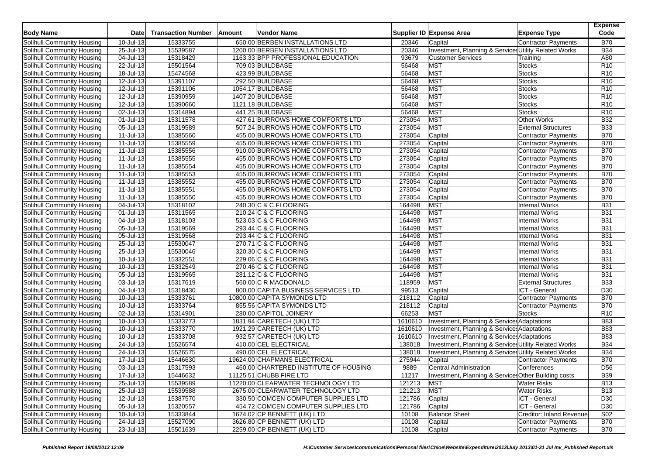| <b>Body Name</b>                  | <b>Date</b>             | <b>Transaction Number</b> | Amount | Vendor Name                           |         | Supplier ID Expense Area                              | <b>Expense Type</b>        | <b>Expense</b><br>Code |
|-----------------------------------|-------------------------|---------------------------|--------|---------------------------------------|---------|-------------------------------------------------------|----------------------------|------------------------|
| Solihull Community Housing        | 10-Jul-13               | 15333755                  |        | 650.00 BERBEN INSTALLATIONS LTD       | 20346   | Capital                                               | Contractor Payments        | <b>B70</b>             |
| Solihull Community Housing        | 25-Jul-13               | 15539587                  |        | 1200.00 BERBEN INSTALLATIONS LTD      | 20346   | Investment, Planning & Services Utility Related Works |                            | <b>B34</b>             |
| Solihull Community Housing        | 04-Jul-13               | 15318429                  |        | 1163.33 BPP PROFESSIONAL EDUCATION    | 93679   | <b>Customer Services</b>                              | Training                   | A80                    |
| Solihull Community Housing        | 22-Jul-13               | 15501564                  |        | 709.03 BUILDBASE                      | 56468   | <b>MST</b>                                            | <b>Stocks</b>              | R <sub>10</sub>        |
| Solihull Community Housing        | 18-Jul-13               | 15474568                  |        | 423.99 BUILDBASE                      | 56468   | <b>MST</b>                                            | <b>Stocks</b>              | R10                    |
| Solihull Community Housing        | 12-Jul-13               | 15391107                  |        | 292.50 BUILDBASE                      | 56468   | <b>MST</b>                                            | <b>Stocks</b>              | R <sub>10</sub>        |
| Solihull Community Housing        | 12-Jul-13               | 15391106                  |        | 1054.17 BUILDBASE                     | 56468   | MST                                                   | <b>Stocks</b>              | R <sub>10</sub>        |
| Solihull Community Housing        | 12-Jul-13               | 15390959                  |        | 1407.20 BUILDBASE                     | 56468   | MST                                                   | <b>Stocks</b>              | R <sub>10</sub>        |
| Solihull Community Housing        | 12-Jul-13               | 15390660                  |        | 1121.18 BUILDBASE                     | 56468   | <b>MST</b>                                            | <b>Stocks</b>              | R <sub>10</sub>        |
| Solihull Community Housing        | 02-Jul-13               | 15314894                  |        | 441.25 BUILDBASE                      | 56468   | <b>MST</b>                                            | <b>Stocks</b>              | R <sub>10</sub>        |
| Solihull Community Housing        | 01-Jul-13               | 15311578                  |        | 427.61 BURROWS HOME COMFORTS LTD      | 273054  | <b>MST</b>                                            | Other Works                | <b>B32</b>             |
| Solihull Community Housing        | 05-Jul-13               | 15319589                  |        | 507.24 BURROWS HOME COMFORTS LTD      | 273054  | <b>MST</b>                                            | <b>External Structures</b> | <b>B33</b>             |
| Solihull Community Housing        | 11-Jul-13               | 15385560                  |        | 455.00 BURROWS HOME COMFORTS LTD      | 273054  | Capital                                               | Contractor Payments        | <b>B70</b>             |
| Solihull Community Housing        | 11-Jul-13               | 15385559                  |        | 455.00 BURROWS HOME COMFORTS LTD      | 273054  | Capital                                               | Contractor Payments        | <b>B70</b>             |
| Solihull Community Housing        | 11-Jul-13               | 15385556                  |        | 910.00 BURROWS HOME COMFORTS LTD      | 273054  | Capital                                               | Contractor Payments        | <b>B70</b>             |
| Solihull Community Housing        | 11-Jul-13               | 15385555                  |        | 455.00 BURROWS HOME COMFORTS LTD      | 273054  | Capital                                               | Contractor Payments        | <b>B70</b>             |
| Solihull Community Housing        | 11-Jul-13               | 15385554                  |        | 455.00 BURROWS HOME COMFORTS LTD      | 273054  | Capital                                               | Contractor Payments        | <b>B70</b>             |
| Solihull Community Housing        | 11-Jul-13               | 15385553                  |        | 455.00 BURROWS HOME COMFORTS LTD      | 273054  | Capital                                               | Contractor Payments        | <b>B70</b>             |
| Solihull Community Housing        | 11-Jul-13               | 15385552                  |        | 455.00 BURROWS HOME COMFORTS LTD      | 273054  | Capital                                               | Contractor Payments        | <b>B70</b>             |
| Solihull Community Housing        | 11-Jul-13               | 15385551                  |        | 455.00 BURROWS HOME COMFORTS LTD      | 273054  | Capital                                               | <b>Contractor Payments</b> | <b>B70</b>             |
| Solihull Community Housing        | $11$ -Jul-13            | 15385550                  |        | 455.00 BURROWS HOME COMFORTS LTD      | 273054  | Capital                                               | Contractor Payments        | <b>B70</b>             |
| <b>Solihull Community Housing</b> | 04-Jul-13               | 15318102                  |        | 240.30 C & C FLOORING                 | 164498  | <b>MST</b>                                            | <b>Internal Works</b>      | <b>B31</b>             |
| Solihull Community Housing        | 01-Jul-13               | 15311565                  |        | 210.24 C & C FLOORING                 | 164498  | <b>MST</b>                                            | <b>Internal Works</b>      | <b>B31</b>             |
| Solihull Community Housing        | 04-Jul-13               | 15318103                  |        | 523.03 C & C FLOORING                 | 164498  | MST                                                   | <b>Internal Works</b>      | <b>B31</b>             |
| Solihull Community Housing        | $\overline{05}$ -Jul-13 | 15319569                  |        | 293.44 C & C FLOORING                 | 164498  | <b>MST</b>                                            | <b>Internal Works</b>      | <b>B31</b>             |
| Solihull Community Housing        | 05-Jul-13               | 15319568                  |        | 293.44 C & C FLOORING                 | 164498  | <b>MST</b>                                            | <b>Internal Works</b>      | <b>B31</b>             |
| Solihull Community Housing        | 25-Jul-13               | 15530047                  |        | 270.71 C & C FLOORING                 | 164498  | <b>MST</b>                                            | Internal Works             | <b>B31</b>             |
| Solihull Community Housing        | 25-Jul-13               | 15530046                  |        | 320.30 C & C FLOORING                 | 164498  | <b>MST</b>                                            | <b>Internal Works</b>      | <b>B31</b>             |
| Solihull Community Housing        | 10-Jul-13               | 15332551                  |        | 229.06 C & C FLOORING                 | 164498  | <b>MST</b>                                            | <b>Internal Works</b>      | <b>B31</b>             |
| Solihull Community Housing        | 10-Jul-13               | 15332549                  |        | 270.46 C & C FLOORING                 | 164498  | <b>MST</b>                                            | <b>Internal Works</b>      | <b>B31</b>             |
| Solihull Community Housing        | 05-Jul-13               | 15319565                  |        | 281.12 C & C FLOORING                 | 164498  | <b>MST</b>                                            | <b>Internal Works</b>      | <b>B31</b>             |
| Solihull Community Housing        | 03-Jul-13               | 15317619                  |        | 560.00 C R MACDONALD                  | 118959  | <b>MST</b>                                            | <b>External Structures</b> | <b>B33</b>             |
| Solihull Community Housing        | 04-Jul-13               | 15318430                  |        | 800.00 CAPITA BUSINESS SERVICES LTD   | 99513   | Capital                                               | ICT - General              | D <sub>30</sub>        |
| Solihull Community Housing        | 10-Jul-13               | 15333761                  |        | 10800.00 CAPITA SYMONDS LTD           | 218112  | Capital                                               | Contractor Payments        | <b>B70</b>             |
| Solihull Community Housing        | 10-Jul-13               | 15333764                  |        | 855.56 CAPITA SYMONDS LTD             | 218112  | Capital                                               | Contractor Payments        | <b>B70</b>             |
| Solihull Community Housing        | 02-Jul-13               | 15314901                  |        | 280.00 CAPITOL JOINERY                | 66253   | <b>MST</b>                                            | <b>Stocks</b>              | R <sub>10</sub>        |
| Solihull Community Housing        | 10-Jul-13               | 15333773                  |        | 1831.94 CARETECH (UK) LTD             | 1610610 | Investment, Planning & Service: Adaptations           |                            | <b>B83</b>             |
| Solihull Community Housing        | 10-Jul-13               | 15333770                  |        | 1921.29 CARETECH (UK) LTD             | 1610610 | Investment, Planning & Service Adaptations            |                            | <b>B83</b>             |
| Solihull Community Housing        | 10-Jul-13               | 15333708                  |        | 932.57 CARETECH (UK) LTD              | 1610610 | Investment, Planning & Service Adaptations            |                            | <b>B83</b>             |
| Solihull Community Housing        | 24-Jul-13               | 15526574                  |        | 410.00 CEL ELECTRICAL                 | 138018  | Investment, Planning & Services Utility Related Works |                            | <b>B34</b>             |
| Solihull Community Housing        | 24-Jul-13               | 15526575                  |        | 490.00 CEL ELECTRICAL                 | 138018  | Investment, Planning & Services Utility Related Works |                            | <b>B34</b>             |
| Solihull Community Housing        | 17-Jul-13               | 15446630                  |        | 19624.00 CHAPMANS ELECTRICAL          | 275944  | Capital                                               | Contractor Payments        | <b>B70</b>             |
| Solihull Community Housing        | 03-Jul-13               | 15317593                  |        | 460.00 CHARTERED INSTITUTE OF HOUSING | 9889    | <b>Central Administration</b>                         | Conferences                | D <sub>56</sub>        |
| Solihull Community Housing        | 17-Jul-13               | 15446632                  |        | 11125.51 CHUBB FIRE LTD               | 11217   | Investment, Planning & Service: Other Building costs  |                            | <b>B39</b>             |
| Solihull Community Housing        | 25-Jul-13               | 15539589                  |        | 11220.00 CLEARWATER TECHNOLOGY LTD    | 121213  | <b>MST</b>                                            | <b>Water Risks</b>         | <b>B13</b>             |
| Solihull Community Housing        | 25-Jul-13               | 15539588                  |        | 2675.00 CLEARWATER TECHNOLOGY LTD     | 121213  | <b>MST</b>                                            | <b>Water Risks</b>         | <b>B13</b>             |
| Solihull Community Housing        | 12-Jul-13               | 15387570                  |        | 330.50 COMCEN COMPUTER SUPPLIES LTD   | 121786  | Capital                                               | ICT - General              | D30                    |
| Solihull Community Housing        | 05-Jul-13               | 15320557                  |        | 454.72 COMCEN COMPUTER SUPPLIES LTD   | 121786  | Capital                                               | ICT - General              | D <sub>30</sub>        |
| Solihull Community Housing        | 10-Jul-13               | 15333844                  |        | 1674.02 CP BENNETT (UK) LTD           | 10108   | <b>Balance Sheet</b>                                  | Creditor: Inland Revenue   | S <sub>02</sub>        |
| Solihull Community Housing        | $24$ -Jul-13            | 15527090                  |        | 3626.80 CP BENNETT (UK) LTD           | 10108   | Capital                                               | Contractor Payments        | <b>B70</b>             |
| Solihull Community Housing        | $23$ -Jul-13            | 15501639                  |        | 2259.00 CP BENNETT (UK) LTD           | 10108   | Capital                                               | Contractor Payments        | <b>B70</b>             |
|                                   |                         |                           |        |                                       |         |                                                       |                            |                        |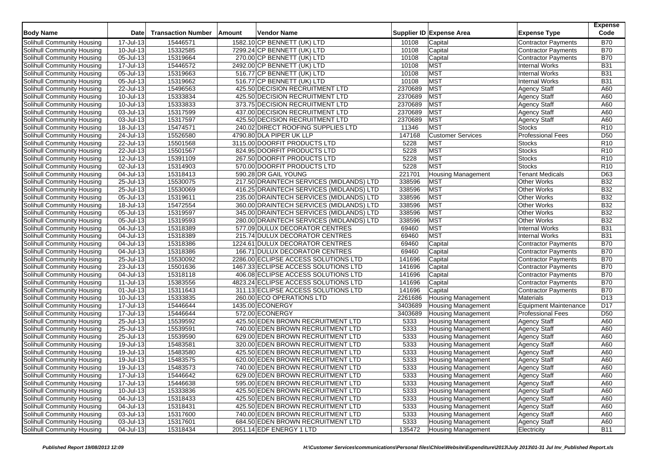| Solihull Community Housing<br>17-Jul-13<br>15446571<br>1582.10 CP BENNETT (UK) LTD<br>10108<br>Capital<br>Contractor Payments<br>15332585<br>7299.24 CP BENNETT (UK) LTD<br>10108<br>Solihull Community Housing<br>10-Jul-13<br>Capital<br><b>Contractor Payments</b><br>15319664<br>Solihull Community Housing<br>05-Jul-13<br>270.00 CP BENNETT (UK) LTD<br>10108<br>Capital<br><b>Contractor Payments</b><br>17-Jul-13<br>15446572<br>2492.00 CP BENNETT (UK) LTD<br><b>MST</b><br><b>Internal Works</b><br>Solihull Community Housing<br>10108<br><b>MST</b><br>15319663<br>516.77 CP BENNETT (UK) LTD<br>10108<br><b>Internal Works</b><br>Solihull Community Housing<br>05-Jul-13<br>15319662<br>MST<br>05-Jul-13<br>516.77 CP BENNETT (UK) LTD<br>10108<br><b>Internal Works</b><br>Solihull Community Housing<br><b>MST</b><br>22-Jul-13<br>425.50 DECISION RECRUITMENT LTD<br>2370689<br>Solihull Community Housing<br>15496563<br><b>Agency Staff</b><br><b>MST</b><br>15333834<br>425.50 DECISION RECRUITMENT LTD<br>2370689<br>Solihull Community Housing<br>10-Jul-13<br><b>Agency Staff</b><br>2370689<br><b>MST</b><br>10-Jul-13<br>15333833<br>Solihull Community Housing<br>373.75 DECISION RECRUITMENT LTD<br><b>Agency Staff</b> | <b>B70</b><br><b>B70</b><br><b>B70</b><br><b>B31</b><br><b>B31</b><br><b>B31</b><br>A60<br>A60<br>A60<br>A60<br>A60<br>R <sub>10</sub><br>D <sub>50</sub><br>R <sub>10</sub><br>R <sub>10</sub><br>R <sub>10</sub> |
|-----------------------------------------------------------------------------------------------------------------------------------------------------------------------------------------------------------------------------------------------------------------------------------------------------------------------------------------------------------------------------------------------------------------------------------------------------------------------------------------------------------------------------------------------------------------------------------------------------------------------------------------------------------------------------------------------------------------------------------------------------------------------------------------------------------------------------------------------------------------------------------------------------------------------------------------------------------------------------------------------------------------------------------------------------------------------------------------------------------------------------------------------------------------------------------------------------------------------------------------------------|--------------------------------------------------------------------------------------------------------------------------------------------------------------------------------------------------------------------|
|                                                                                                                                                                                                                                                                                                                                                                                                                                                                                                                                                                                                                                                                                                                                                                                                                                                                                                                                                                                                                                                                                                                                                                                                                                                     |                                                                                                                                                                                                                    |
|                                                                                                                                                                                                                                                                                                                                                                                                                                                                                                                                                                                                                                                                                                                                                                                                                                                                                                                                                                                                                                                                                                                                                                                                                                                     |                                                                                                                                                                                                                    |
|                                                                                                                                                                                                                                                                                                                                                                                                                                                                                                                                                                                                                                                                                                                                                                                                                                                                                                                                                                                                                                                                                                                                                                                                                                                     |                                                                                                                                                                                                                    |
|                                                                                                                                                                                                                                                                                                                                                                                                                                                                                                                                                                                                                                                                                                                                                                                                                                                                                                                                                                                                                                                                                                                                                                                                                                                     |                                                                                                                                                                                                                    |
|                                                                                                                                                                                                                                                                                                                                                                                                                                                                                                                                                                                                                                                                                                                                                                                                                                                                                                                                                                                                                                                                                                                                                                                                                                                     |                                                                                                                                                                                                                    |
|                                                                                                                                                                                                                                                                                                                                                                                                                                                                                                                                                                                                                                                                                                                                                                                                                                                                                                                                                                                                                                                                                                                                                                                                                                                     |                                                                                                                                                                                                                    |
|                                                                                                                                                                                                                                                                                                                                                                                                                                                                                                                                                                                                                                                                                                                                                                                                                                                                                                                                                                                                                                                                                                                                                                                                                                                     |                                                                                                                                                                                                                    |
|                                                                                                                                                                                                                                                                                                                                                                                                                                                                                                                                                                                                                                                                                                                                                                                                                                                                                                                                                                                                                                                                                                                                                                                                                                                     |                                                                                                                                                                                                                    |
|                                                                                                                                                                                                                                                                                                                                                                                                                                                                                                                                                                                                                                                                                                                                                                                                                                                                                                                                                                                                                                                                                                                                                                                                                                                     |                                                                                                                                                                                                                    |
| <b>MST</b><br>Solihull Community Housing<br>03-Jul-13<br>15317599<br>437.00 DECISION RECRUITMENT LTD<br>2370689<br><b>Agency Staff</b>                                                                                                                                                                                                                                                                                                                                                                                                                                                                                                                                                                                                                                                                                                                                                                                                                                                                                                                                                                                                                                                                                                              |                                                                                                                                                                                                                    |
| <b>MST</b><br>15317597<br>425.50 DECISION RECRUITMENT LTD<br>2370689<br>Solihull Community Housing<br>03-Jul-13<br><b>Agency Staff</b>                                                                                                                                                                                                                                                                                                                                                                                                                                                                                                                                                                                                                                                                                                                                                                                                                                                                                                                                                                                                                                                                                                              |                                                                                                                                                                                                                    |
| 15474571<br>11346<br>MST<br>18-Jul-13<br>240.02 DIRECT ROOFING SUPPLIES LTD<br><b>Stocks</b><br>Solihull Community Housing                                                                                                                                                                                                                                                                                                                                                                                                                                                                                                                                                                                                                                                                                                                                                                                                                                                                                                                                                                                                                                                                                                                          |                                                                                                                                                                                                                    |
| 15526580<br>24-Jul-13<br>4790.80 DLA PIPER UK LLP<br>147168<br><b>Customer Services</b><br><b>Professional Fees</b><br>Solihull Community Housing                                                                                                                                                                                                                                                                                                                                                                                                                                                                                                                                                                                                                                                                                                                                                                                                                                                                                                                                                                                                                                                                                                   |                                                                                                                                                                                                                    |
| <b>MST</b><br>Solihull Community Housing<br>22-Jul-13<br>15501568<br>3115.00 DOORFIT PRODUCTS LTD<br>5228<br><b>Stocks</b>                                                                                                                                                                                                                                                                                                                                                                                                                                                                                                                                                                                                                                                                                                                                                                                                                                                                                                                                                                                                                                                                                                                          |                                                                                                                                                                                                                    |
| <b>MST</b><br>22-Jul-13<br>15501567<br>5228<br><b>Stocks</b><br>Solihull Community Housing<br>824.95 DOORFIT PRODUCTS LTD                                                                                                                                                                                                                                                                                                                                                                                                                                                                                                                                                                                                                                                                                                                                                                                                                                                                                                                                                                                                                                                                                                                           |                                                                                                                                                                                                                    |
| <b>MST</b><br>12-Jul-13<br>15391109<br>267.50 DOORFIT PRODUCTS LTD<br>5228<br><b>Stocks</b><br>Solihull Community Housing                                                                                                                                                                                                                                                                                                                                                                                                                                                                                                                                                                                                                                                                                                                                                                                                                                                                                                                                                                                                                                                                                                                           |                                                                                                                                                                                                                    |
| <b>MST</b><br>5228<br>Solihull Community Housing<br>02-Jul-13<br>15314903<br>570.00 DOORFIT PRODUCTS LTD<br><b>Stocks</b>                                                                                                                                                                                                                                                                                                                                                                                                                                                                                                                                                                                                                                                                                                                                                                                                                                                                                                                                                                                                                                                                                                                           | R <sub>10</sub>                                                                                                                                                                                                    |
| 15318413<br>590.28 DR GAIL YOUNG<br>221701<br>Solihull Community Housing<br>04-Jul-13<br><b>Housing Management</b><br><b>Tenant Medicals</b>                                                                                                                                                                                                                                                                                                                                                                                                                                                                                                                                                                                                                                                                                                                                                                                                                                                                                                                                                                                                                                                                                                        | D63                                                                                                                                                                                                                |
| 217.50 DRAINTECH SERVICES (MIDLANDS) LTD<br>Solihull Community Housing<br>25-Jul-13<br>15530075<br>338596<br><b>MST</b><br><b>Other Works</b>                                                                                                                                                                                                                                                                                                                                                                                                                                                                                                                                                                                                                                                                                                                                                                                                                                                                                                                                                                                                                                                                                                       | <b>B32</b>                                                                                                                                                                                                         |
| <b>MST</b><br>25-Jul-13<br>15530069<br>338596<br><b>Other Works</b><br>Solihull Community Housing<br>416.25 DRAINTECH SERVICES (MIDLANDS) LTD                                                                                                                                                                                                                                                                                                                                                                                                                                                                                                                                                                                                                                                                                                                                                                                                                                                                                                                                                                                                                                                                                                       | <b>B32</b>                                                                                                                                                                                                         |
| MST<br>05-Jul-13<br>15319611<br>235.00 DRAINTECH SERVICES (MIDLANDS) LTD<br>338596<br><b>Other Works</b><br>Solihull Community Housing                                                                                                                                                                                                                                                                                                                                                                                                                                                                                                                                                                                                                                                                                                                                                                                                                                                                                                                                                                                                                                                                                                              | <b>B32</b>                                                                                                                                                                                                         |
| <b>MST</b><br>15472554<br>360.00 DRAINTECH SERVICES (MIDLANDS) LTD<br>338596<br>Solihull Community Housing<br>18-Jul-13<br><b>Other Works</b>                                                                                                                                                                                                                                                                                                                                                                                                                                                                                                                                                                                                                                                                                                                                                                                                                                                                                                                                                                                                                                                                                                       | <b>B32</b>                                                                                                                                                                                                         |
| <b>MST</b><br>Solihull Community Housing<br>05-Jul-13<br>15319597<br>345.00 DRAINTECH SERVICES (MIDLANDS) LTD<br>338596<br>Other Works                                                                                                                                                                                                                                                                                                                                                                                                                                                                                                                                                                                                                                                                                                                                                                                                                                                                                                                                                                                                                                                                                                              | <b>B32</b>                                                                                                                                                                                                         |
| MST<br>Solihull Community Housing<br>05-Jul-13<br>15319593<br>280.00 DRAINTECH SERVICES (MIDLANDS) LTD<br>338596<br><b>Other Works</b>                                                                                                                                                                                                                                                                                                                                                                                                                                                                                                                                                                                                                                                                                                                                                                                                                                                                                                                                                                                                                                                                                                              | <b>B32</b>                                                                                                                                                                                                         |
| <b>MST</b><br>Solihull Community Housing<br>15318389<br>577.09 DULUX DECORATOR CENTRES<br>69460<br><b>Internal Works</b><br>04-Jul-13                                                                                                                                                                                                                                                                                                                                                                                                                                                                                                                                                                                                                                                                                                                                                                                                                                                                                                                                                                                                                                                                                                               | <b>B31</b>                                                                                                                                                                                                         |
| <b>MST</b><br>Solihull Community Housing<br>04-Jul-13<br>15318389<br>215.74 DULUX DECORATOR CENTRES<br>69460<br>Internal Works                                                                                                                                                                                                                                                                                                                                                                                                                                                                                                                                                                                                                                                                                                                                                                                                                                                                                                                                                                                                                                                                                                                      | <b>B31</b>                                                                                                                                                                                                         |
| 04-Jul-13<br>15318386<br>1224.61 DULUX DECORATOR CENTRES<br>69460<br>Solihull Community Housing<br>Capital<br>Contractor Payments                                                                                                                                                                                                                                                                                                                                                                                                                                                                                                                                                                                                                                                                                                                                                                                                                                                                                                                                                                                                                                                                                                                   | <b>B70</b>                                                                                                                                                                                                         |
| 15318386<br>166.71 DULUX DECORATOR CENTRES<br>69460<br>Solihull Community Housing<br>04-Jul-13<br>Capital<br><b>Contractor Payments</b>                                                                                                                                                                                                                                                                                                                                                                                                                                                                                                                                                                                                                                                                                                                                                                                                                                                                                                                                                                                                                                                                                                             | <b>B70</b>                                                                                                                                                                                                         |
| 25-Jul-13<br>15530092<br>2286.00 ECLIPSE ACCESS SOLUTIONS LTD<br>141696<br>Capital<br>Solihull Community Housing<br><b>Contractor Payments</b>                                                                                                                                                                                                                                                                                                                                                                                                                                                                                                                                                                                                                                                                                                                                                                                                                                                                                                                                                                                                                                                                                                      | <b>B70</b>                                                                                                                                                                                                         |
| 141696<br>Solihull Community Housing<br>23-Jul-13<br>15501636<br>1467.33 ECLIPSE ACCESS SOLUTIONS LTD<br>Capital<br>Contractor Payments                                                                                                                                                                                                                                                                                                                                                                                                                                                                                                                                                                                                                                                                                                                                                                                                                                                                                                                                                                                                                                                                                                             | <b>B70</b>                                                                                                                                                                                                         |
| Solihull Community Housing<br>04-Jul-13<br>15318118<br>406.08 ECLIPSE ACCESS SOLUTIONS LTD<br>141696<br>Capital<br><b>Contractor Payments</b>                                                                                                                                                                                                                                                                                                                                                                                                                                                                                                                                                                                                                                                                                                                                                                                                                                                                                                                                                                                                                                                                                                       | <b>B70</b>                                                                                                                                                                                                         |
| 15383556<br>4823.24 ECLIPSE ACCESS SOLUTIONS LTD<br>141696<br>Solihull Community Housing<br>11-Jul-13<br>Capital<br><b>Contractor Payments</b>                                                                                                                                                                                                                                                                                                                                                                                                                                                                                                                                                                                                                                                                                                                                                                                                                                                                                                                                                                                                                                                                                                      | <b>B70</b>                                                                                                                                                                                                         |
| 141696<br>Solihull Community Housing<br>01-Jul-13<br>15311643<br>311.13 ECLIPSE ACCESS SOLUTIONS LTD<br>Capital<br>Contractor Payments                                                                                                                                                                                                                                                                                                                                                                                                                                                                                                                                                                                                                                                                                                                                                                                                                                                                                                                                                                                                                                                                                                              | <b>B70</b>                                                                                                                                                                                                         |
| 15333835<br>2261686<br>Solihull Community Housing<br>10-Jul-13<br>260.00 ECO OPERATIONS LTD<br><b>Housing Management</b><br>Materials                                                                                                                                                                                                                                                                                                                                                                                                                                                                                                                                                                                                                                                                                                                                                                                                                                                                                                                                                                                                                                                                                                               | D <sub>13</sub>                                                                                                                                                                                                    |
| 1435.00 ECONERGY<br>15446644<br>3403689<br>Equipment Maintenance<br>Solihull Community Housing<br>17-Jul-13<br><b>Housing Management</b>                                                                                                                                                                                                                                                                                                                                                                                                                                                                                                                                                                                                                                                                                                                                                                                                                                                                                                                                                                                                                                                                                                            | D17                                                                                                                                                                                                                |
| 17-Jul-13<br>15446644<br>572.00 ECONERGY<br>3403689<br><b>Professional Fees</b><br><b>Solihull Community Housing</b><br><b>Housing Management</b>                                                                                                                                                                                                                                                                                                                                                                                                                                                                                                                                                                                                                                                                                                                                                                                                                                                                                                                                                                                                                                                                                                   | D <sub>50</sub>                                                                                                                                                                                                    |
| Solihull Community Housing<br>15539592<br>425.50 EDEN BROWN RECRUITMENT LTD<br>5333<br>25-Jul-13<br><b>Housing Management</b><br><b>Agency Staff</b>                                                                                                                                                                                                                                                                                                                                                                                                                                                                                                                                                                                                                                                                                                                                                                                                                                                                                                                                                                                                                                                                                                | A60                                                                                                                                                                                                                |
| 15539591<br>740.00 EDEN BROWN RECRUITMENT LTD<br>5333<br><b>Housing Management</b><br><b>Agency Staff</b><br>Solihull Community Housing<br>25-Jul-13                                                                                                                                                                                                                                                                                                                                                                                                                                                                                                                                                                                                                                                                                                                                                                                                                                                                                                                                                                                                                                                                                                | A60                                                                                                                                                                                                                |
| 25-Jul-13<br>15539590<br>629.00 EDEN BROWN RECRUITMENT LTD<br>5333<br>Solihull Community Housing<br><b>Housing Management</b><br><b>Agency Staff</b>                                                                                                                                                                                                                                                                                                                                                                                                                                                                                                                                                                                                                                                                                                                                                                                                                                                                                                                                                                                                                                                                                                | A60                                                                                                                                                                                                                |
| 15483581<br>5333<br>Solihull Community Housing<br>19-Jul-13<br>320.00 EDEN BROWN RECRUITMENT LTD<br><b>Housing Management</b><br><b>Agency Staff</b>                                                                                                                                                                                                                                                                                                                                                                                                                                                                                                                                                                                                                                                                                                                                                                                                                                                                                                                                                                                                                                                                                                | A60                                                                                                                                                                                                                |
| 19-Jul-13<br>15483580<br>425.50 EDEN BROWN RECRUITMENT LTD<br>5333<br><b>Agency Staff</b><br>Solihull Community Housing<br><b>Housing Management</b>                                                                                                                                                                                                                                                                                                                                                                                                                                                                                                                                                                                                                                                                                                                                                                                                                                                                                                                                                                                                                                                                                                | A60                                                                                                                                                                                                                |
| Solihull Community Housing<br>19-Jul-13<br>15483575<br>620.00 EDEN BROWN RECRUITMENT LTD<br>5333<br><b>Housing Management</b><br><b>Agency Staff</b>                                                                                                                                                                                                                                                                                                                                                                                                                                                                                                                                                                                                                                                                                                                                                                                                                                                                                                                                                                                                                                                                                                | A60                                                                                                                                                                                                                |
| 5333<br>Solihull Community Housing<br>19-Jul-13<br>15483573<br>740.00 EDEN BROWN RECRUITMENT LTD<br><b>Housing Management</b><br><b>Agency Staff</b>                                                                                                                                                                                                                                                                                                                                                                                                                                                                                                                                                                                                                                                                                                                                                                                                                                                                                                                                                                                                                                                                                                | A60                                                                                                                                                                                                                |
| <b>Agency Staff</b><br>Solihull Community Housing<br>17-Jul-13<br>15446642<br>629.00 EDEN BROWN RECRUITMENT LTD<br>5333<br><b>Housing Management</b>                                                                                                                                                                                                                                                                                                                                                                                                                                                                                                                                                                                                                                                                                                                                                                                                                                                                                                                                                                                                                                                                                                | A60                                                                                                                                                                                                                |
| Solihull Community Housing<br>17-Jul-13<br>15446638<br>595.00 EDEN BROWN RECRUITMENT LTD<br>5333<br><b>Housing Management</b><br><b>Agency Staff</b>                                                                                                                                                                                                                                                                                                                                                                                                                                                                                                                                                                                                                                                                                                                                                                                                                                                                                                                                                                                                                                                                                                | A60                                                                                                                                                                                                                |
| Solihull Community Housing<br><b>Housing Management</b><br>10-Jul-13<br>15333836<br>425.50 EDEN BROWN RECRUITMENT LTD<br>5333<br><b>Agency Staff</b>                                                                                                                                                                                                                                                                                                                                                                                                                                                                                                                                                                                                                                                                                                                                                                                                                                                                                                                                                                                                                                                                                                | A60                                                                                                                                                                                                                |
| Solihull Community Housing<br>04-Jul-13<br>15318433<br>425.50 EDEN BROWN RECRUITMENT LTD<br>5333<br><b>Housing Management</b><br><b>Agency Staff</b>                                                                                                                                                                                                                                                                                                                                                                                                                                                                                                                                                                                                                                                                                                                                                                                                                                                                                                                                                                                                                                                                                                | A60                                                                                                                                                                                                                |
| Solihull Community Housing<br>04-Jul-13<br>15318431<br>5333<br><b>Housing Management</b><br>425.50 EDEN BROWN RECRUITMENT LTD<br><b>Agency Staff</b>                                                                                                                                                                                                                                                                                                                                                                                                                                                                                                                                                                                                                                                                                                                                                                                                                                                                                                                                                                                                                                                                                                | A60                                                                                                                                                                                                                |
| Solihull Community Housing<br>03-Jul-13<br><b>Housing Management</b><br><b>Agency Staff</b><br>15317600<br>740.00 EDEN BROWN RECRUITMENT LTD<br>5333                                                                                                                                                                                                                                                                                                                                                                                                                                                                                                                                                                                                                                                                                                                                                                                                                                                                                                                                                                                                                                                                                                | A60                                                                                                                                                                                                                |
| <b>Solihull Community Housing</b><br>03-Jul-13<br>15317601<br>684.50 EDEN BROWN RECRUITMENT LTD<br>5333<br><b>Agency Staff</b><br>Housing Management                                                                                                                                                                                                                                                                                                                                                                                                                                                                                                                                                                                                                                                                                                                                                                                                                                                                                                                                                                                                                                                                                                | A60                                                                                                                                                                                                                |
| Solihull Community Housing<br>04-Jul-13<br>15318434<br>2051.14 EDF ENERGY 1 LTD<br>135472<br><b>Housing Management</b><br>Electricity                                                                                                                                                                                                                                                                                                                                                                                                                                                                                                                                                                                                                                                                                                                                                                                                                                                                                                                                                                                                                                                                                                               | <b>B11</b>                                                                                                                                                                                                         |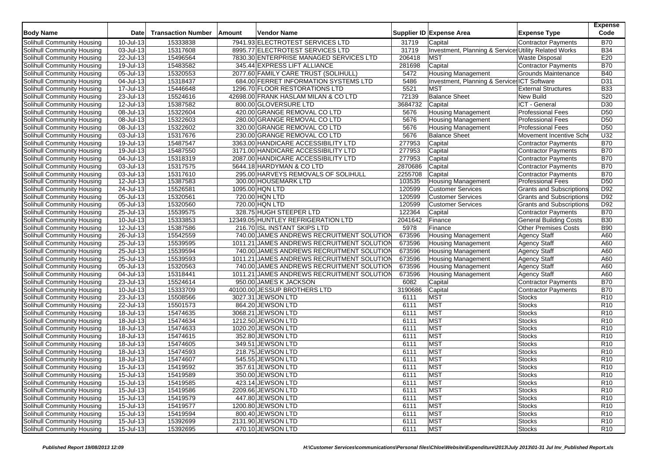| <b>Body Name</b>                  | Date                    | <b>Transaction Number</b> | Amount | <b>Vendor Name</b>                         |         | Supplier ID Expense Area                              | <b>Expense Type</b>             | <b>Expense</b><br>Code |
|-----------------------------------|-------------------------|---------------------------|--------|--------------------------------------------|---------|-------------------------------------------------------|---------------------------------|------------------------|
| Solihull Community Housing        | 10-Jul-13               | 15333838                  |        | 7941.93 ELECTROTEST SERVICES LTD           | 31719   | Capital                                               | Contractor Payments             | <b>B70</b>             |
| Solihull Community Housing        | 03-Jul-13               | 15317608                  |        | 8995.77 ELECTROTEST SERVICES LTD           | 31719   | Investment, Planning & Services Utility Related Works |                                 | <b>B34</b>             |
| Solihull Community Housing        | 22-Jul-13               | 15496564                  |        | 7830.30 ENTERPRISE MANAGED SERVICES LTD    | 206418  | <b>MST</b>                                            | <b>Waste Disposal</b>           | E20                    |
| Solihull Community Housing        | 19-Jul-13               | 15483582                  |        | 345.44 EXPRESS LIFT ALLIANCE               | 281698  | Capital                                               | <b>Contractor Payments</b>      | <b>B70</b>             |
| Solihull Community Housing        | 05-Jul-13               | 15320553                  |        | 2077.60 FAMILY CARE TRUST (SOLIHULL)       | 5472    | <b>Housing Management</b>                             | Grounds Maintenance             | <b>B40</b>             |
| Solihull Community Housing        | 04-Jul-13               | 15318437                  |        | 684.00 FERRET INFORMATION SYSTEMS LTD      | 5486    | Investment, Planning & Service: ICT Software          |                                 | D31                    |
| Solihull Community Housing        | 17-Jul-13               | 15446648                  |        | 1296.70 FLOOR RESTORATIONS LTD             | 5521    | MST                                                   | <b>External Structures</b>      | <b>B33</b>             |
| Solihull Community Housing        | 23-Jul-13               | 15524616                  |        | 42698.00 FRANK HASLAM MILAN & CO LTD       | 72139   | <b>Balance Sheet</b>                                  | New Build                       | S <sub>20</sub>        |
| Solihull Community Housing        | 12-Jul-13               | 15387582                  |        | 800.00 GLOVERSURE LTD                      | 3684732 | Capital                                               | ICT - General                   | D30                    |
| Solihull Community Housing        | 08-Jul-13               | 15322604                  |        | 420.00 GRANGE REMOVAL CO LTD               | 5676    | <b>Housing Management</b>                             | <b>Professional Fees</b>        | D <sub>50</sub>        |
| Solihull Community Housing        | 08-Jul-13               | 15322603                  |        | 280.00 GRANGE REMOVAL CO LTD               | 5676    | <b>Housing Management</b>                             | <b>Professional Fees</b>        | D <sub>50</sub>        |
| Solihull Community Housing        | 08-Jul-13               | 15322602                  |        | 320.00 GRANGE REMOVAL CO LTD               | 5676    | <b>Housing Management</b>                             | <b>Professional Fees</b>        | D <sub>50</sub>        |
| Solihull Community Housing        | 03-Jul-13               | 15317676                  |        | 230.00 GRANGE REMOVAL CO LTD               | 5676    | <b>Balance Sheet</b>                                  | Movement Incentive Sch          | U32                    |
| Solihull Community Housing        | 19-Jul-13               | 15487547                  |        | 3363.00 HANDICARE ACCESSIBILITY LTD        | 277953  | Capital                                               | <b>Contractor Payments</b>      | <b>B70</b>             |
| Solihull Community Housing        | 19-Jul-13               | 15487550                  |        | 3171.00 HANDICARE ACCESSIBILITY LTD        | 277953  | Capital                                               | <b>Contractor Payments</b>      | <b>B70</b>             |
| Solihull Community Housing        | 04-Jul-13               | 15318319                  |        | 2087.00 HANDICARE ACCESSIBILITY LTD        | 277953  | Capital                                               | <b>Contractor Payments</b>      | <b>B70</b>             |
| Solihull Community Housing        | 03-Jul-13               | 15317575                  |        | 5644.18 HARDYMAN & CO LTD                  | 2870686 | Capital                                               | <b>Contractor Payments</b>      | <b>B70</b>             |
| Solihull Community Housing        | 03-Jul-13               | 15317610                  |        | 295.00 HARVEYS REMOVALS OF SOLIHULL        | 2255708 | Capital                                               | <b>Contractor Payments</b>      | <b>B70</b>             |
| <b>Solihull Community Housing</b> | 12-Jul-13               | 15387583                  |        | 300.00 HOUSEMARK LTD                       | 103535  | <b>Housing Management</b>                             | <b>Professional Fees</b>        | D <sub>50</sub>        |
| Solihull Community Housing        | 24-Jul-13               | 15526581                  |        | 1095.00 HQN LTD                            | 120599  | <b>Customer Services</b>                              | <b>Grants and Subscriptions</b> | D <sub>92</sub>        |
| Solihull Community Housing        | 05-Jul-13               | 15320561                  |        | 720.00 HQN LTD                             | 120599  | <b>Customer Services</b>                              | <b>Grants and Subscriptions</b> | D <sub>92</sub>        |
| Solihull Community Housing        | 05-Jul-13               | 15320560                  |        | 720.00 HQN LTD                             | 120599  | <b>Customer Services</b>                              | <b>Grants and Subscriptions</b> | D <sub>92</sub>        |
| Solihull Community Housing        | 25-Jul-13               | 15539575                  |        | 328.75 HUGH STEEPER LTD                    | 122364  | Capital                                               | Contractor Payments             | <b>B70</b>             |
| Solihull Community Housing        | 10-Jul-13               | 15333853                  |        | 12349.05 HUNTLEY REFRIGERATION LTD         | 2041642 | Finance                                               | <b>General Building Costs</b>   | <b>B30</b>             |
| Solihull Community Housing        | 12-Jul-13               | 15387586                  |        | 216.70 ISL INSTANT SKIPS LTD               | 5978    | Finance                                               | <b>Other Premises Costs</b>     | <b>B90</b>             |
| Solihull Community Housing        | 26-Jul-13               | 15542559                  |        | 740.00 JAMES ANDREWS RECRUITMENT SOLUTION  | 673596  | <b>Housing Management</b>                             | <b>Agency Staff</b>             | A60                    |
| Solihull Community Housing        | $25$ -Jul-13            | 15539595                  |        | 1011.21 JAMES ANDREWS RECRUITMENT SOLUTION | 673596  | <b>Housing Management</b>                             | <b>Agency Staff</b>             | A60                    |
| Solihull Community Housing        | $\overline{25}$ -Jul-13 | 15539594                  |        | 740.00 JAMES ANDREWS RECRUITMENT SOLUTION  | 673596  | <b>Housing Management</b>                             | <b>Agency Staff</b>             | A60                    |
| Solihull Community Housing        | 25-Jul-13               | 15539593                  |        | 1011.21 JAMES ANDREWS RECRUITMENT SOLUTION | 673596  | <b>Housing Management</b>                             | <b>Agency Staff</b>             | A60                    |
| Solihull Community Housing        | 05-Jul-13               | 15320563                  |        | 740.00 JAMES ANDREWS RECRUITMENT SOLUTION  | 673596  | <b>Housing Management</b>                             | <b>Agency Staff</b>             | A60                    |
| Solihull Community Housing        | 04-Jul-13               | 15318441                  |        | 1011.21 JAMES ANDREWS RECRUITMENT SOLUTION | 673596  | <b>Housing Management</b>                             | <b>Agency Staff</b>             | A60                    |
| Solihull Community Housing        | 23-Jul-13               | 15524614                  |        | 950.00 JAMES K JACKSON                     | 6082    | Capital                                               | <b>Contractor Payments</b>      | <b>B70</b>             |
| Solihull Community Housing        | 10-Jul-13               | 15333709                  |        | 40100.00 JESSUP BROTHERS LTD               | 3190686 | Capital                                               | <b>Contractor Payments</b>      | <b>B70</b>             |
| Solihull Community Housing        | 23-Jul-13               | 15508566                  |        | 3027.31 JEWSON LTD                         | 6111    | <b>MST</b>                                            | <b>Stocks</b>                   | R <sub>10</sub>        |
| Solihull Community Housing        | 22-Jul-13               | 15501573                  |        | 864.20 JEWSON LTD                          | 6111    | <b>MST</b>                                            | <b>Stocks</b>                   | R <sub>10</sub>        |
| Solihull Community Housing        | 18-Jul-13               | 15474635                  |        | 3068.21 JEWSON LTD                         | 6111    | <b>MST</b>                                            | <b>Stocks</b>                   | R <sub>10</sub>        |
| Solihull Community Housing        | 18-Jul-13               | 15474634                  |        | 1212.50 JEWSON LTD                         | 6111    | <b>MST</b>                                            | <b>Stocks</b>                   | R10                    |
| Solihull Community Housing        | 18-Jul-13               | 15474633                  |        | 1020.20 JEWSON LTD                         | 6111    | <b>MST</b>                                            | <b>Stocks</b>                   | R <sub>10</sub>        |
| Solihull Community Housing        | 18-Jul-13               | 15474615                  |        | 352.80 JEWSON LTD                          | 6111    | <b>MST</b>                                            | <b>Stocks</b>                   | R <sub>10</sub>        |
| Solihull Community Housing        | 18-Jul-13               | 15474605                  |        | 349.51 JEWSON LTD                          | 6111    | <b>MST</b>                                            | <b>Stocks</b>                   | R <sub>10</sub>        |
| Solihull Community Housing        | 18-Jul-13               | 15474593                  |        | 218.75 JEWSON LTD                          | 6111    | MST                                                   | <b>Stocks</b>                   | R <sub>10</sub>        |
| Solihull Community Housing        | 18-Jul-13               | 15474607                  |        | 545.55 JEWSON LTD                          | 6111    | <b>MST</b>                                            | <b>Stocks</b>                   | R <sub>10</sub>        |
| Solihull Community Housing        | 15-Jul-13               | 15419592                  |        | 357.61 JEWSON LTD                          | 6111    | MST                                                   | <b>Stocks</b>                   | R <sub>10</sub>        |
| Solihull Community Housing        | $15$ -Jul-13            | 15419589                  |        | 350.00 JEWSON LTD                          | 6111    | <b>MST</b>                                            | <b>Stocks</b>                   | R <sub>10</sub>        |
| Solihull Community Housing        | $15$ -Jul-13            | 15419585                  |        | 423.14 JEWSON LTD                          | 6111    | <b>MST</b>                                            | <b>Stocks</b>                   | R <sub>10</sub>        |
| Solihull Community Housing        | 15-Jul-13               | 15419586                  |        | 2209.66 JEWSON LTD                         | 6111    | <b>MST</b>                                            | <b>Stocks</b>                   | R <sub>10</sub>        |
| Solihull Community Housing        | $15$ -Jul-13            | 15419579                  |        | 447.80 JEWSON LTD                          | 6111    | <b>MST</b>                                            | <b>Stocks</b>                   | R <sub>10</sub>        |
| Solihull Community Housing        | $15$ -Jul-13            | 15419577                  |        | 1200.80 JEWSON LTD                         | 6111    | <b>MST</b>                                            | <b>Stocks</b>                   | R <sub>10</sub>        |
| Solihull Community Housing        | $15$ -Jul-13            | 15419594                  |        | 800.40 JEWSON LTD                          | 6111    | <b>MST</b>                                            | <b>Stocks</b>                   | R <sub>10</sub>        |
| Solihull Community Housing        | 15-Jul-13               | 15392699                  |        | 2131.90 JEWSON LTD                         | 6111    | <b>MST</b>                                            | <b>Stocks</b>                   | R <sub>10</sub>        |
| Solihull Community Housing        | $15 -$ Jul-13           | 15392695                  |        | 470.10 JEWSON LTD                          | 6111    | <b>MST</b>                                            | Stocks                          | <b>R10</b>             |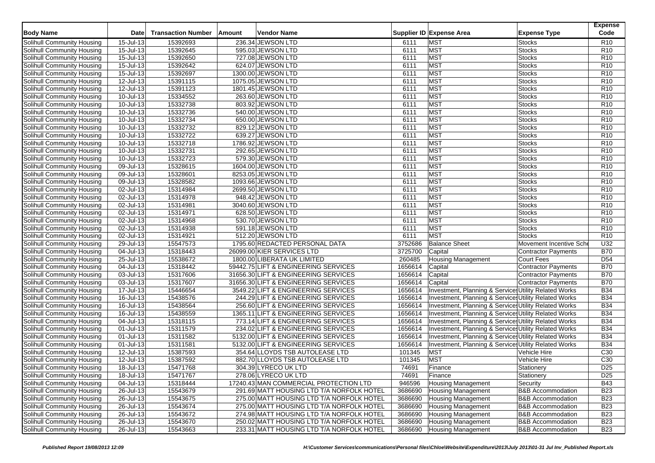| <b>Body Name</b>                                         | Date                    | <b>Transaction Number</b> | Amount | Vendor Name                                                            |                    | Supplier ID Expense Area                                                                                       | <b>Expense Type</b>          | <b>Expense</b><br>Code |
|----------------------------------------------------------|-------------------------|---------------------------|--------|------------------------------------------------------------------------|--------------------|----------------------------------------------------------------------------------------------------------------|------------------------------|------------------------|
| Solihull Community Housing                               | 15-Jul-13               | 15392693                  |        | 236.34 JEWSON LTD                                                      | 6111               | <b>MST</b>                                                                                                     | <b>Stocks</b>                | R <sub>10</sub>        |
| Solihull Community Housing                               | 15-Jul-13               | 15392645                  |        | 595.03 JEWSON LTD                                                      | 6111               | <b>MST</b>                                                                                                     | <b>Stocks</b>                | R <sub>10</sub>        |
| Solihull Community Housing                               | 15-Jul-13               | 15392650                  |        | 727.08 JEWSON LTD                                                      | 6111               | <b>MST</b>                                                                                                     | <b>Stocks</b>                | R <sub>10</sub>        |
| Solihull Community Housing                               | 15-Jul-13               | 15392642                  |        | 624.07 JEWSON LTD                                                      | 6111               | MST                                                                                                            | <b>Stocks</b>                | R <sub>10</sub>        |
| Solihull Community Housing                               | 15-Jul-13               | 15392697                  |        | 1300.00 JEWSON LTD                                                     | 6111               | <b>MST</b>                                                                                                     | <b>Stocks</b>                | R <sub>10</sub>        |
| Solihull Community Housing                               | 12-Jul-13               | 15391115                  |        | 1075.05 JEWSON LTD                                                     | 6111               | MST                                                                                                            | <b>Stocks</b>                | R <sub>10</sub>        |
| Solihull Community Housing                               | 12-Jul-13               | 15391123                  |        | 1801.45 JEWSON LTD                                                     | 6111               | MST                                                                                                            | <b>Stocks</b>                | R <sub>10</sub>        |
| Solihull Community Housing                               | 10-Jul-13               | 15334552                  |        | 263.60 JEWSON LTD                                                      | 6111               | <b>MST</b>                                                                                                     | <b>Stocks</b>                | R10                    |
| Solihull Community Housing                               | 10-Jul-13               | 15332738                  |        | 803.92 JEWSON LTD                                                      | 6111               | MST                                                                                                            | <b>Stocks</b>                | R <sub>10</sub>        |
| Solihull Community Housing                               | 10-Jul-13               | 15332736                  |        | 540.00 JEWSON LTD                                                      | 6111               | MST                                                                                                            | <b>Stocks</b>                | R <sub>10</sub>        |
| Solihull Community Housing                               | 10-Jul-13               | 15332734                  |        | 650.00 JEWSON LTD                                                      | 6111               | <b>MST</b>                                                                                                     | <b>Stocks</b>                | R <sub>10</sub>        |
| Solihull Community Housing                               | 10-Jul-13               | 15332732                  |        | 829.12 JEWSON LTD                                                      | 6111               | MST                                                                                                            | <b>Stocks</b>                | R <sub>10</sub>        |
| Solihull Community Housing                               | 10-Jul-13               | 15332722                  |        | 639.27 JEWSON LTD                                                      | 6111               | MST                                                                                                            | Stocks                       | R <sub>10</sub>        |
| Solihull Community Housing                               | 10-Jul-13               | 15332718                  |        | 1786.92 JEWSON LTD                                                     | 6111               | <b>MST</b>                                                                                                     | <b>Stocks</b>                | R <sub>10</sub>        |
| <b>Solihull Community Housing</b>                        | 10-Jul-13               | 15332731                  |        | 292.65 JEWSON LTD                                                      | 6111               | <b>MST</b>                                                                                                     | <b>Stocks</b>                | R <sub>10</sub>        |
| Solihull Community Housing                               | 10-Jul-13               | 15332723                  |        | 579.30 JEWSON LTD                                                      | 6111               | <b>MST</b>                                                                                                     | <b>Stocks</b>                | R <sub>10</sub>        |
| Solihull Community Housing                               | 09-Jul-13               | 15328615                  |        | 1604.00 JEWSON LTD                                                     | 6111               | <b>MST</b>                                                                                                     | <b>Stocks</b>                | R <sub>10</sub>        |
| Solihull Community Housing                               | 09-Jul-13               | 15328601                  |        | 8253.05 JEWSON LTD                                                     | 6111               | MST                                                                                                            | <b>Stocks</b>                | R <sub>10</sub>        |
| Solihull Community Housing                               | 09-Jul-13               | 15328582                  |        | 1093.66 JEWSON LTD                                                     | 6111               | MST                                                                                                            | <b>Stocks</b>                | R <sub>10</sub>        |
| Solihull Community Housing                               | 02-Jul-13               | 15314984                  |        | 2699.50 JEWSON LTD                                                     | 6111               | <b>MST</b>                                                                                                     | <b>Stocks</b>                | R <sub>10</sub>        |
| Solihull Community Housing                               | 02-Jul-13               | 15314978                  |        | 948.42 JEWSON LTD                                                      | 6111               | <b>MST</b>                                                                                                     | <b>Stocks</b>                | R <sub>10</sub>        |
| Solihull Community Housing                               | 02-Jul-13               | 15314981                  |        | 3040.60 JEWSON LTD                                                     | 6111               | <b>MST</b>                                                                                                     | <b>Stocks</b>                | R <sub>10</sub>        |
| Solihull Community Housing                               | 02-Jul-13               | 15314971                  |        | 628.50 JEWSON LTD                                                      | 6111               | <b>MST</b>                                                                                                     | <b>Stocks</b>                | R10                    |
| Solihull Community Housing                               | 02-Jul-13               | 15314968                  |        | 530.70 JEWSON LTD                                                      | 6111               | <b>MST</b>                                                                                                     | <b>Stocks</b>                | R <sub>10</sub>        |
| Solihull Community Housing                               | 02-Jul-13               | 15314938                  |        | 591.18 JEWSON LTD                                                      | 6111               | <b>MST</b>                                                                                                     | <b>Stocks</b>                | R <sub>10</sub>        |
| Solihull Community Housing                               | 02-Jul-13               | 15314921                  |        | 512.20 JEWSON LTD                                                      | 6111               | MST                                                                                                            | <b>Stocks</b>                | R <sub>10</sub>        |
| Solihull Community Housing                               | 29-Jul-13               | 15547573                  |        | 1795.60 REDACTED PERSONAL DATA                                         | 3752686            | <b>Balance Sheet</b>                                                                                           | Movement Incentive Sche      | U32                    |
| Solihull Community Housing                               | 04-Jul-13               | 15318443                  |        | 26099.00 KIER SERVICES LTD                                             | 3725700            | Capital                                                                                                        | <b>Contractor Payments</b>   | <b>B70</b>             |
| Solihull Community Housing                               | 25-Jul-13               | 15538672                  |        | 1800.00 LIBERATA UK LIMITED                                            | 260485             | <b>Housing Management</b>                                                                                      | <b>Court Fees</b>            | D <sub>54</sub>        |
| Solihull Community Housing                               | 04-Jul-13               | 15318442                  |        | 59442.75 LIFT & ENGINEERING SERVICES                                   | 1656614            | Capital                                                                                                        | <b>Contractor Payments</b>   | <b>B70</b>             |
| Solihull Community Housing                               | 03-Jul-13               | 15317606                  |        | 31656.30 LIFT & ENGINEERING SERVICES                                   | 1656614            | Capital                                                                                                        | <b>Contractor Payments</b>   | <b>B70</b>             |
| Solihull Community Housing                               | 03-Jul-13               | 15317607                  |        | 31656.30 LIFT & ENGINEERING SERVICES                                   | 1656614            | Capital                                                                                                        | Contractor Payments          | <b>B70</b>             |
| Solihull Community Housing                               | 17-Jul-13               | 15446654                  |        | 3549.22 LIFT & ENGINEERING SERVICES                                    | 1656614            | Investment, Planning & Services Utility Related Works                                                          |                              | <b>B34</b>             |
| Solihull Community Housing                               | $\overline{16}$ -Jul-13 | 15438576                  |        | 244.29 LIFT & ENGINEERING SERVICES                                     | 1656614            | Investment, Planning & Service Utility Related Works                                                           |                              | <b>B34</b>             |
| Solihull Community Housing                               | 16-Jul-13               | 15438564                  |        | 256.60 LIFT & ENGINEERING SERVICES                                     | 1656614            | Investment, Planning & Services Utility Related Works                                                          |                              | <b>B34</b>             |
|                                                          | 16-Jul-13               | 15438559                  |        | 1365.11 LIFT & ENGINEERING SERVICES                                    | 1656614            |                                                                                                                |                              | <b>B34</b>             |
| Solihull Community Housing<br>Solihull Community Housing | 04-Jul-13               | 15318115                  |        | 773.14 LIFT & ENGINEERING SERVICES                                     | 1656614            | Investment, Planning & Services Utility Related Works<br>Investment, Planning & Services Utility Related Works |                              | <b>B34</b>             |
| Solihull Community Housing                               |                         |                           |        |                                                                        |                    |                                                                                                                |                              | <b>B34</b>             |
| Solihull Community Housing                               | 01-Jul-13               | 15311579                  |        | 234.02 LIFT & ENGINEERING SERVICES                                     | 1656614<br>1656614 | Investment, Planning & Services Utility Related Works                                                          |                              | <b>B34</b>             |
|                                                          | 01-Jul-13               | 15311582                  |        | 5132.00 LIFT & ENGINEERING SERVICES                                    |                    | Investment, Planning & Services Utility Related Works                                                          |                              |                        |
| Solihull Community Housing                               | 01-Jul-13<br>12-Jul-13  | 15311581<br>15387593      |        | 5132.00 LIFT & ENGINEERING SERVICES<br>354.64 LLOYDS TSB AUTOLEASE LTD | 1656614            | Investment, Planning & Services Utility Related Works                                                          |                              | <b>B34</b>             |
| Solihull Community Housing                               |                         |                           |        | 882.70 LLOYDS TSB AUTOLEASE LTD                                        | 101345             | <b>MST</b><br>MST                                                                                              | Vehicle Hire                 | C <sub>30</sub>        |
| Solihull Community Housing                               | 12-Jul-13               | 15387592                  |        |                                                                        | 101345             |                                                                                                                | Vehicle Hire                 | C30                    |
| Solihull Community Housing                               | 18-Jul-13               | 15471768                  |        | 304.39 LYRECO UK LTD                                                   | 74691              | Finance                                                                                                        | Stationery                   | D <sub>25</sub>        |
| Solihull Community Housing                               | 18-Jul-13               | 15471767                  |        | 278.06 LYRECO UK LTD                                                   | 74691              | Finance                                                                                                        | Stationery                   | D <sub>25</sub>        |
| Solihull Community Housing                               | 04-Jul-13               | 15318444                  |        | 17240.43 MAN COMMERCIAL PROTECTION LTD                                 | 946596             | <b>Housing Management</b>                                                                                      | Security                     | <b>B43</b>             |
| Solihull Community Housing                               | 26-Jul-13               | 15543679                  |        | 291.69 MATT HOUSING LTD T/A NORFOLK HOTEL                              | 3686690            | <b>Housing Management</b>                                                                                      | <b>B&amp;B Accommodation</b> | <b>B23</b>             |
| Solihull Community Housing                               | 26-Jul-13               | 15543675                  |        | 275.00 MATT HOUSING LTD T/A NORFOLK HOTEL                              | 3686690            | <b>Housing Management</b>                                                                                      | <b>B&amp;B Accommodation</b> | <b>B23</b>             |
| Solihull Community Housing                               | $\overline{26}$ -Jul-13 | 15543674                  |        | 275.00 MATT HOUSING LTD T/A NORFOLK HOTEL                              | 3686690            | <b>Housing Management</b>                                                                                      | <b>B&amp;B Accommodation</b> | <b>B23</b>             |
| Solihull Community Housing                               | 26-Jul-13               | 15543672                  |        | 274.98 MATT HOUSING LTD T/A NORFOLK HOTEL                              | 3686690            | <b>Housing Management</b>                                                                                      | <b>B&amp;B Accommodation</b> | <b>B23</b>             |
| Solihull Community Housing                               | $26$ -Jul-13            | 15543670                  |        | 250.02 MATT HOUSING LTD T/A NORFOLK HOTEL                              | 3686690            | <b>Housing Management</b>                                                                                      | <b>B&amp;B Accommodation</b> | <b>B23</b>             |
| Solihull Community Housing                               | $26$ -Jul-13            | 15543663                  |        | 233.31 MATT HOUSING LTD T/A NORFOLK HOTEL                              | 3686690            | <b>Housing Management</b>                                                                                      | <b>B&amp;B Accommodation</b> | <b>B23</b>             |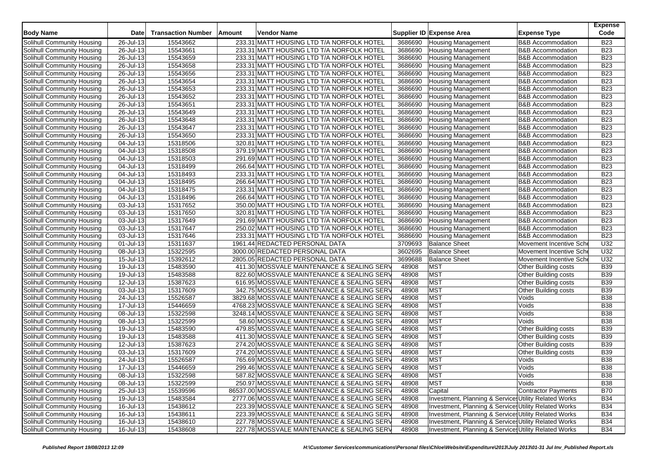| 233.31 MATT HOUSING LTD T/A NORFOLK HOTEL<br><b>B23</b><br>26-Jul-13<br>15543662<br><b>Housing Management</b><br><b>B&amp;B Accommodation</b><br>3686690<br>233.31 MATT HOUSING LTD T/A NORFOLK HOTEL<br><b>B23</b><br>Solihull Community Housing<br>26-Jul-13<br>15543661<br>3686690<br><b>B&amp;B</b> Accommodation<br><b>Housing Management</b><br><b>B23</b><br>26-Jul-13<br>15543659<br>233.31 MATT HOUSING LTD T/A NORFOLK HOTEL<br>3686690<br><b>Housing Management</b><br><b>B&amp;B Accommodation</b><br>Solihull Community Housing<br><b>B23</b><br>Solihull Community Housing<br>26-Jul-13<br>15543658<br>233.31 MATT HOUSING LTD T/A NORFOLK HOTEL<br>3686690<br><b>Housing Management</b><br><b>B&amp;B Accommodation</b><br><b>B23</b><br>15543656<br>3686690<br>Solihull Community Housing<br>26-Jul-13<br>233.31 MATT HOUSING LTD T/A NORFOLK HOTEL<br><b>Housing Management</b><br><b>B&amp;B Accommodation</b><br>15543654<br>3686690<br><b>B23</b><br>Solihull Community Housing<br>26-Jul-13<br>233.31 MATT HOUSING LTD T/A NORFOLK HOTEL<br><b>Housing Management</b><br><b>B&amp;B Accommodation</b><br>26-Jul-13<br>3686690<br><b>B23</b><br>15543653<br>233.31 MATT HOUSING LTD T/A NORFOLK HOTEL<br><b>Housing Management</b><br><b>B&amp;B Accommodation</b><br>15543652<br><b>B23</b><br>26-Jul-13<br>233.31 MATT HOUSING LTD T/A NORFOLK HOTEL<br>3686690<br><b>Housing Management</b><br><b>B&amp;B Accommodation</b><br><b>B23</b><br>26-Jul-13<br>3686690<br>Solihull Community Housing<br>15543651<br>233.31 MATT HOUSING LTD T/A NORFOLK HOTEL<br><b>Housing Management</b><br><b>B&amp;B Accommodation</b><br>$26$ -Jul-13<br>3686690<br><b>B23</b><br>Solihull Community Housing<br>15543649<br>233.31 MATT HOUSING LTD T/A NORFOLK HOTEL<br><b>Housing Management</b><br><b>B&amp;B Accommodation</b><br>15543648<br><b>B23</b><br>Solihull Community Housing<br>26-Jul-13<br>233.31 MATT HOUSING LTD T/A NORFOLK HOTEL<br>3686690<br><b>B&amp;B Accommodation</b><br><b>Housing Management</b><br><b>B23</b><br>$\overline{26}$ -Jul-13<br>15543647<br>3686690<br>Solihull Community Housing<br>233.31 MATT HOUSING LTD T/A NORFOLK HOTEL<br><b>Housing Management</b><br><b>B&amp;B Accommodation</b><br>26-Jul-13<br>15543650<br>3686690<br><b>B23</b><br>Solihull Community Housing<br>233.31 MATT HOUSING LTD T/A NORFOLK HOTEL<br><b>Housing Management</b><br><b>B&amp;B Accommodation</b><br>15318506<br>3686690<br><b>B23</b><br>Solihull Community Housing<br>04-Jul-13<br>320.81 MATT HOUSING LTD T/A NORFOLK HOTEL<br>Housing Management<br><b>B&amp;B Accommodation</b><br>15318508<br>3686690<br><b>B23</b><br>04-Jul-13<br>379.19 MATT HOUSING LTD T/A NORFOLK HOTEL<br><b>B&amp;B Accommodation</b><br><b>Housing Management</b><br><b>B23</b><br>15318503<br>3686690<br>Solihull Community Housing<br>04-Jul-13<br>291.69 MATT HOUSING LTD T/A NORFOLK HOTEL<br><b>Housing Management</b><br><b>B&amp;B Accommodation</b><br>3686690<br><b>B23</b><br>Solihull Community Housing<br>04-Jul-13<br>15318499<br>266.64 MATT HOUSING LTD T/A NORFOLK HOTEL<br><b>Housing Management</b><br><b>B&amp;B Accommodation</b><br><b>B23</b><br>Solihull Community Housing<br>04-Jul-13<br>15318493<br>233.31 MATT HOUSING LTD T/A NORFOLK HOTEL<br>3686690<br><b>B&amp;B Accommodation</b><br><b>Housing Management</b><br>3686690<br><b>B23</b><br>Solihull Community Housing<br>04-Jul-13<br>15318495<br>266.64 MATT HOUSING LTD T/A NORFOLK HOTEL<br><b>Housing Management</b><br><b>B&amp;B Accommodation</b><br><b>B23</b><br>04-Jul-13<br>15318475<br>233.31 MATT HOUSING LTD T/A NORFOLK HOTEL<br>3686690<br><b>Housing Management</b><br><b>B&amp;B Accommodation</b><br>Solihull Community Housing<br>3686690<br><b>B23</b><br>Solihull Community Housing<br>04-Jul-13<br>15318496<br>266.64 MATT HOUSING LTD T/A NORFOLK HOTEL<br><b>Housing Management</b><br><b>B&amp;B Accommodation</b><br>3686690<br><b>B23</b><br>Solihull Community Housing<br>03-Jul-13<br>15317652<br>350.00 MATT HOUSING LTD T/A NORFOLK HOTEL<br><b>Housing Management</b><br><b>B&amp;B Accommodation</b><br>15317650<br>3686690<br><b>B23</b><br>Solihull Community Housing<br>03-Jul-13<br>320.81 MATT HOUSING LTD T/A NORFOLK HOTEL<br><b>Housing Management</b><br><b>B&amp;B</b> Accommodation<br>03-Jul-13<br>15317649<br>3686690<br><b>B23</b><br>Solihull Community Housing<br>291.69 MATT HOUSING LTD T/A NORFOLK HOTEL<br><b>Housing Management</b><br><b>B&amp;B Accommodation</b><br><b>B23</b><br>15317647<br>3686690<br>Solihull Community Housing<br>03-Jul-13<br>250.02 MATT HOUSING LTD T/A NORFOLK HOTEL<br><b>Housing Management</b><br><b>B&amp;B Accommodation</b><br>3686690<br><b>B23</b><br>Solihull Community Housing<br>03-Jul-13<br>15317646<br>233.31 MATT HOUSING LTD T/A NORFOLK HOTEL<br><b>Housing Management</b><br><b>B&amp;B Accommodation</b><br>15311637<br>3709693<br><b>Balance Sheet</b><br>U32<br>Solihull Community Housing<br>01-Jul-13<br>1961.44 REDACTED PERSONAL DATA<br>Movement Incentive Sche<br>U32<br>15322595<br>3602695<br><b>Balance Sheet</b><br>Solihull Community Housing<br>08-Jul-13<br>3000.00 REDACTED PERSONAL DATA<br>Movement Incentive Sche<br>15392612<br>3699688<br><b>Balance Sheet</b><br>U32<br>15-Jul-13<br>2805.05 REDACTED PERSONAL DATA<br>Movement Incentive Sche<br>Solihull Community Housing<br>19-Jul-13<br>15483590<br>411.30 MOSSVALE MAINTENANCE & SEALING SERV<br>48908<br><b>MST</b><br><b>B39</b><br>Solihull Community Housing<br><b>Other Building costs</b><br><b>MST</b><br>15483588<br>822.60 MOSSVALE MAINTENANCE & SEALING SERV<br>48908<br><b>B39</b><br>Solihull Community Housing<br>19-Jul-13<br>Other Building costs<br>MST<br><b>B39</b><br>12-Jul-13<br>15387623<br>616.95 MOSSVALE MAINTENANCE & SEALING SERV<br>48908<br>Other Building costs<br>Solihull Community Housing<br>MST<br>03-Jul-13<br>15317609<br>48908<br><b>B39</b><br>Solihull Community Housing<br>342.75 MOSSVALE MAINTENANCE & SEALING SERV<br>Other Building costs<br>MST<br><b>B38</b><br>Solihull Community Housing<br>24-Jul-13<br>15526587<br>3829.68 MOSSVALE MAINTENANCE & SEALING SERV<br>48908<br>Voids<br>MST<br>Voids<br><b>B38</b><br>Solihull Community Housing<br>17-Jul-13<br>15446659<br>4768.23 MOSSVALE MAINTENANCE & SEALING SERV<br>48908<br><b>MST</b><br>08-Jul-13<br>15322598<br>48908<br>Voids<br><b>B38</b><br>Solihull Community Housing<br>3248.14 MOSSVALE MAINTENANCE & SEALING SERV<br><b>MST</b><br>15322599<br><b>B38</b><br>Solihull Community Housing<br>08-Jul-13<br>58.60 MOSSVALE MAINTENANCE & SEALING SERV<br>48908<br>Voids<br>MST<br><b>B39</b><br>Solihull Community Housing<br>19-Jul-13<br>15483590<br>479.85 MOSSVALE MAINTENANCE & SEALING SERV<br>48908<br>Other Building costs<br>19-Jul-13<br>15483588<br><b>MST</b><br><b>B39</b><br>Solihull Community Housing<br>411.30 MOSSVALE MAINTENANCE & SEALING SERV<br>48908<br>Other Building costs<br><b>MST</b><br><b>B39</b><br>Solihull Community Housing<br>12-Jul-13<br>15387623<br>274.20 MOSSVALE MAINTENANCE & SEALING SERV<br>48908<br>Other Building costs<br><b>MST</b><br>15317609<br>48908<br><b>B39</b><br>03-Jul-13<br>274.20 MOSSVALE MAINTENANCE & SEALING SERV<br>Other Building costs<br>Solihull Community Housing<br><b>MST</b><br><b>B38</b><br>24-Jul-13<br>15526587<br>765.69 MOSSVALE MAINTENANCE & SEALING SERV<br>48908<br>Solihull Community Housing<br>Voids<br><b>MST</b><br><b>B38</b><br>$17 -$ Jul-13<br>15446659<br>299.46 MOSSVALE MAINTENANCE & SEALING SERV<br>48908<br>Voids<br>Solihull Community Housing<br><b>MST</b><br>Solihull Community Housing<br>08-Jul-13<br>15322598<br>587.82 MOSSVALE MAINTENANCE & SEALING SERV<br>Voids<br><b>B38</b><br>48908<br><b>MST</b><br>Solihull Community Housing<br>08-Jul-13<br>15322599<br>250.97 MOSSVALE MAINTENANCE & SEALING SERV<br>48908<br>Voids<br><b>B38</b><br>Solihull Community Housing<br>Contractor Payments<br>25-Jul-13<br>15539596<br>86537.00 MOSSVALE MAINTENANCE & SEALING SERV<br>48908<br>Capital<br><b>B70</b><br>Investment, Planning & Services Utility Related Works<br>Solihull Community Housing<br>19-Jul-13<br>15483584<br>48908<br><b>B34</b><br>2777.06 MOSSVALE MAINTENANCE & SEALING SERV<br>Solihull Community Housing<br>$16$ -Jul-13<br>15438612<br>Investment, Planning & Services Utility Related Works<br><b>B34</b><br>223.39 MOSSVALE MAINTENANCE & SEALING SERV<br>48908<br>Solihull Community Housing<br>Investment, Planning & Services Utility Related Works<br>16-Jul-13<br>15438611<br>223.39 MOSSVALE MAINTENANCE & SEALING SERV<br>48908<br><b>B34</b><br>$16$ -Jul-13<br>15438610<br>227.78 MOSSVALE MAINTENANCE & SEALING SERV<br>48908<br>Investment, Planning & Services Utility Related Works<br><b>B34</b><br>Solihull Community Housing<br>$16$ -Jul-13<br>227.78 MOSSVALE MAINTENANCE & SEALING SERV<br>Investment, Planning & Services Utility Related Works | <b>Body Name</b>           | <b>Date</b> | <b>Transaction Number</b> | Amount | Vendor Name |       | Supplier ID Expense Area | <b>Expense Type</b> | <b>Expense</b><br>Code |
|------------------------------------------------------------------------------------------------------------------------------------------------------------------------------------------------------------------------------------------------------------------------------------------------------------------------------------------------------------------------------------------------------------------------------------------------------------------------------------------------------------------------------------------------------------------------------------------------------------------------------------------------------------------------------------------------------------------------------------------------------------------------------------------------------------------------------------------------------------------------------------------------------------------------------------------------------------------------------------------------------------------------------------------------------------------------------------------------------------------------------------------------------------------------------------------------------------------------------------------------------------------------------------------------------------------------------------------------------------------------------------------------------------------------------------------------------------------------------------------------------------------------------------------------------------------------------------------------------------------------------------------------------------------------------------------------------------------------------------------------------------------------------------------------------------------------------------------------------------------------------------------------------------------------------------------------------------------------------------------------------------------------------------------------------------------------------------------------------------------------------------------------------------------------------------------------------------------------------------------------------------------------------------------------------------------------------------------------------------------------------------------------------------------------------------------------------------------------------------------------------------------------------------------------------------------------------------------------------------------------------------------------------------------------------------------------------------------------------------------------------------------------------------------------------------------------------------------------------------------------------------------------------------------------------------------------------------------------------------------------------------------------------------------------------------------------------------------------------------------------------------------------------------------------------------------------------------------------------------------------------------------------------------------------------------------------------------------------------------------------------------------------------------------------------------------------------------------------------------------------------------------------------------------------------------------------------------------------------------------------------------------------------------------------------------------------------------------------------------------------------------------------------------------------------------------------------------------------------------------------------------------------------------------------------------------------------------------------------------------------------------------------------------------------------------------------------------------------------------------------------------------------------------------------------------------------------------------------------------------------------------------------------------------------------------------------------------------------------------------------------------------------------------------------------------------------------------------------------------------------------------------------------------------------------------------------------------------------------------------------------------------------------------------------------------------------------------------------------------------------------------------------------------------------------------------------------------------------------------------------------------------------------------------------------------------------------------------------------------------------------------------------------------------------------------------------------------------------------------------------------------------------------------------------------------------------------------------------------------------------------------------------------------------------------------------------------------------------------------------------------------------------------------------------------------------------------------------------------------------------------------------------------------------------------------------------------------------------------------------------------------------------------------------------------------------------------------------------------------------------------------------------------------------------------------------------------------------------------------------------------------------------------------------------------------------------------------------------------------------------------------------------------------------------------------------------------------------------------------------------------------------------------------------------------------------------------------------------------------------------------------------------------------------------------------------------------------------------------------------------------------------------------------------------------------------------------------------------------------------------------------------------------------------------------------------------------------------------------------------------------------------------------------------------------------------------------------------------------------------------------------------------------------------------------------------------------------------------------------------------------------------------------------------------------------------------------------------------------------------------------------------------------------------------------------------------------------------------------------------------------------------------------------------------------------------------------------------------------------------------------------------------------------------------------------------------------------------------------------------------------------------------------------------------------------------------------------------------------------------------------------------------------------------------------------------------------------------------------------------------------------------------------------------------------------------------------------------------------------------------------------------------------------------------------------------------------------------------------------------------------------------------------------------------------------------------------------------------------------------------------------------------------------------------------------------------------------------------------------------------------------------------------------------------------------------------------------------------------------------------------------------------------------------------------------------------------------------------------------------------------------------------------------------------------------------------------------------------------------------------------------------------------------------------------------------------------------------------------------------------------------------------------------------------------------------------------------------------------------------------------------------------------------------------------------------------------------------------------------------------------------------------------------------------------------------------------------------------------------------------------------------|----------------------------|-------------|---------------------------|--------|-------------|-------|--------------------------|---------------------|------------------------|
|                                                                                                                                                                                                                                                                                                                                                                                                                                                                                                                                                                                                                                                                                                                                                                                                                                                                                                                                                                                                                                                                                                                                                                                                                                                                                                                                                                                                                                                                                                                                                                                                                                                                                                                                                                                                                                                                                                                                                                                                                                                                                                                                                                                                                                                                                                                                                                                                                                                                                                                                                                                                                                                                                                                                                                                                                                                                                                                                                                                                                                                                                                                                                                                                                                                                                                                                                                                                                                                                                                                                                                                                                                                                                                                                                                                                                                                                                                                                                                                                                                                                                                                                                                                                                                                                                                                                                                                                                                                                                                                                                                                                                                                                                                                                                                                                                                                                                                                                                                                                                                                                                                                                                                                                                                                                                                                                                                                                                                                                                                                                                                                                                                                                                                                                                                                                                                                                                                                                                                                                                                                                                                                                                                                                                                                                                                                                                                                                                                                                                                                                                                                                                                                                                                                                                                                                                                                                                                                                                                                                                                                                                                                                                                                                                                                                                                                                                                                                                                                                                                                                                                                                                                                                                                                                                                                                                                                                                                                                                                                                                                                                                                                                                                                                                                                                                                                                                                                                                                                                                                                                                                                                                                                                                                                                                                                                                                                                                                                                                                                                                  | Solihull Community Housing |             |                           |        |             |       |                          |                     |                        |
|                                                                                                                                                                                                                                                                                                                                                                                                                                                                                                                                                                                                                                                                                                                                                                                                                                                                                                                                                                                                                                                                                                                                                                                                                                                                                                                                                                                                                                                                                                                                                                                                                                                                                                                                                                                                                                                                                                                                                                                                                                                                                                                                                                                                                                                                                                                                                                                                                                                                                                                                                                                                                                                                                                                                                                                                                                                                                                                                                                                                                                                                                                                                                                                                                                                                                                                                                                                                                                                                                                                                                                                                                                                                                                                                                                                                                                                                                                                                                                                                                                                                                                                                                                                                                                                                                                                                                                                                                                                                                                                                                                                                                                                                                                                                                                                                                                                                                                                                                                                                                                                                                                                                                                                                                                                                                                                                                                                                                                                                                                                                                                                                                                                                                                                                                                                                                                                                                                                                                                                                                                                                                                                                                                                                                                                                                                                                                                                                                                                                                                                                                                                                                                                                                                                                                                                                                                                                                                                                                                                                                                                                                                                                                                                                                                                                                                                                                                                                                                                                                                                                                                                                                                                                                                                                                                                                                                                                                                                                                                                                                                                                                                                                                                                                                                                                                                                                                                                                                                                                                                                                                                                                                                                                                                                                                                                                                                                                                                                                                                                                                  |                            |             |                           |        |             |       |                          |                     |                        |
|                                                                                                                                                                                                                                                                                                                                                                                                                                                                                                                                                                                                                                                                                                                                                                                                                                                                                                                                                                                                                                                                                                                                                                                                                                                                                                                                                                                                                                                                                                                                                                                                                                                                                                                                                                                                                                                                                                                                                                                                                                                                                                                                                                                                                                                                                                                                                                                                                                                                                                                                                                                                                                                                                                                                                                                                                                                                                                                                                                                                                                                                                                                                                                                                                                                                                                                                                                                                                                                                                                                                                                                                                                                                                                                                                                                                                                                                                                                                                                                                                                                                                                                                                                                                                                                                                                                                                                                                                                                                                                                                                                                                                                                                                                                                                                                                                                                                                                                                                                                                                                                                                                                                                                                                                                                                                                                                                                                                                                                                                                                                                                                                                                                                                                                                                                                                                                                                                                                                                                                                                                                                                                                                                                                                                                                                                                                                                                                                                                                                                                                                                                                                                                                                                                                                                                                                                                                                                                                                                                                                                                                                                                                                                                                                                                                                                                                                                                                                                                                                                                                                                                                                                                                                                                                                                                                                                                                                                                                                                                                                                                                                                                                                                                                                                                                                                                                                                                                                                                                                                                                                                                                                                                                                                                                                                                                                                                                                                                                                                                                                                  |                            |             |                           |        |             |       |                          |                     |                        |
|                                                                                                                                                                                                                                                                                                                                                                                                                                                                                                                                                                                                                                                                                                                                                                                                                                                                                                                                                                                                                                                                                                                                                                                                                                                                                                                                                                                                                                                                                                                                                                                                                                                                                                                                                                                                                                                                                                                                                                                                                                                                                                                                                                                                                                                                                                                                                                                                                                                                                                                                                                                                                                                                                                                                                                                                                                                                                                                                                                                                                                                                                                                                                                                                                                                                                                                                                                                                                                                                                                                                                                                                                                                                                                                                                                                                                                                                                                                                                                                                                                                                                                                                                                                                                                                                                                                                                                                                                                                                                                                                                                                                                                                                                                                                                                                                                                                                                                                                                                                                                                                                                                                                                                                                                                                                                                                                                                                                                                                                                                                                                                                                                                                                                                                                                                                                                                                                                                                                                                                                                                                                                                                                                                                                                                                                                                                                                                                                                                                                                                                                                                                                                                                                                                                                                                                                                                                                                                                                                                                                                                                                                                                                                                                                                                                                                                                                                                                                                                                                                                                                                                                                                                                                                                                                                                                                                                                                                                                                                                                                                                                                                                                                                                                                                                                                                                                                                                                                                                                                                                                                                                                                                                                                                                                                                                                                                                                                                                                                                                                                                  |                            |             |                           |        |             |       |                          |                     |                        |
|                                                                                                                                                                                                                                                                                                                                                                                                                                                                                                                                                                                                                                                                                                                                                                                                                                                                                                                                                                                                                                                                                                                                                                                                                                                                                                                                                                                                                                                                                                                                                                                                                                                                                                                                                                                                                                                                                                                                                                                                                                                                                                                                                                                                                                                                                                                                                                                                                                                                                                                                                                                                                                                                                                                                                                                                                                                                                                                                                                                                                                                                                                                                                                                                                                                                                                                                                                                                                                                                                                                                                                                                                                                                                                                                                                                                                                                                                                                                                                                                                                                                                                                                                                                                                                                                                                                                                                                                                                                                                                                                                                                                                                                                                                                                                                                                                                                                                                                                                                                                                                                                                                                                                                                                                                                                                                                                                                                                                                                                                                                                                                                                                                                                                                                                                                                                                                                                                                                                                                                                                                                                                                                                                                                                                                                                                                                                                                                                                                                                                                                                                                                                                                                                                                                                                                                                                                                                                                                                                                                                                                                                                                                                                                                                                                                                                                                                                                                                                                                                                                                                                                                                                                                                                                                                                                                                                                                                                                                                                                                                                                                                                                                                                                                                                                                                                                                                                                                                                                                                                                                                                                                                                                                                                                                                                                                                                                                                                                                                                                                                                  |                            |             |                           |        |             |       |                          |                     |                        |
|                                                                                                                                                                                                                                                                                                                                                                                                                                                                                                                                                                                                                                                                                                                                                                                                                                                                                                                                                                                                                                                                                                                                                                                                                                                                                                                                                                                                                                                                                                                                                                                                                                                                                                                                                                                                                                                                                                                                                                                                                                                                                                                                                                                                                                                                                                                                                                                                                                                                                                                                                                                                                                                                                                                                                                                                                                                                                                                                                                                                                                                                                                                                                                                                                                                                                                                                                                                                                                                                                                                                                                                                                                                                                                                                                                                                                                                                                                                                                                                                                                                                                                                                                                                                                                                                                                                                                                                                                                                                                                                                                                                                                                                                                                                                                                                                                                                                                                                                                                                                                                                                                                                                                                                                                                                                                                                                                                                                                                                                                                                                                                                                                                                                                                                                                                                                                                                                                                                                                                                                                                                                                                                                                                                                                                                                                                                                                                                                                                                                                                                                                                                                                                                                                                                                                                                                                                                                                                                                                                                                                                                                                                                                                                                                                                                                                                                                                                                                                                                                                                                                                                                                                                                                                                                                                                                                                                                                                                                                                                                                                                                                                                                                                                                                                                                                                                                                                                                                                                                                                                                                                                                                                                                                                                                                                                                                                                                                                                                                                                                                                  |                            |             |                           |        |             |       |                          |                     |                        |
|                                                                                                                                                                                                                                                                                                                                                                                                                                                                                                                                                                                                                                                                                                                                                                                                                                                                                                                                                                                                                                                                                                                                                                                                                                                                                                                                                                                                                                                                                                                                                                                                                                                                                                                                                                                                                                                                                                                                                                                                                                                                                                                                                                                                                                                                                                                                                                                                                                                                                                                                                                                                                                                                                                                                                                                                                                                                                                                                                                                                                                                                                                                                                                                                                                                                                                                                                                                                                                                                                                                                                                                                                                                                                                                                                                                                                                                                                                                                                                                                                                                                                                                                                                                                                                                                                                                                                                                                                                                                                                                                                                                                                                                                                                                                                                                                                                                                                                                                                                                                                                                                                                                                                                                                                                                                                                                                                                                                                                                                                                                                                                                                                                                                                                                                                                                                                                                                                                                                                                                                                                                                                                                                                                                                                                                                                                                                                                                                                                                                                                                                                                                                                                                                                                                                                                                                                                                                                                                                                                                                                                                                                                                                                                                                                                                                                                                                                                                                                                                                                                                                                                                                                                                                                                                                                                                                                                                                                                                                                                                                                                                                                                                                                                                                                                                                                                                                                                                                                                                                                                                                                                                                                                                                                                                                                                                                                                                                                                                                                                                                                  | Solihull Community Housing |             |                           |        |             |       |                          |                     |                        |
|                                                                                                                                                                                                                                                                                                                                                                                                                                                                                                                                                                                                                                                                                                                                                                                                                                                                                                                                                                                                                                                                                                                                                                                                                                                                                                                                                                                                                                                                                                                                                                                                                                                                                                                                                                                                                                                                                                                                                                                                                                                                                                                                                                                                                                                                                                                                                                                                                                                                                                                                                                                                                                                                                                                                                                                                                                                                                                                                                                                                                                                                                                                                                                                                                                                                                                                                                                                                                                                                                                                                                                                                                                                                                                                                                                                                                                                                                                                                                                                                                                                                                                                                                                                                                                                                                                                                                                                                                                                                                                                                                                                                                                                                                                                                                                                                                                                                                                                                                                                                                                                                                                                                                                                                                                                                                                                                                                                                                                                                                                                                                                                                                                                                                                                                                                                                                                                                                                                                                                                                                                                                                                                                                                                                                                                                                                                                                                                                                                                                                                                                                                                                                                                                                                                                                                                                                                                                                                                                                                                                                                                                                                                                                                                                                                                                                                                                                                                                                                                                                                                                                                                                                                                                                                                                                                                                                                                                                                                                                                                                                                                                                                                                                                                                                                                                                                                                                                                                                                                                                                                                                                                                                                                                                                                                                                                                                                                                                                                                                                                                                  | Solihull Community Housing |             |                           |        |             |       |                          |                     |                        |
|                                                                                                                                                                                                                                                                                                                                                                                                                                                                                                                                                                                                                                                                                                                                                                                                                                                                                                                                                                                                                                                                                                                                                                                                                                                                                                                                                                                                                                                                                                                                                                                                                                                                                                                                                                                                                                                                                                                                                                                                                                                                                                                                                                                                                                                                                                                                                                                                                                                                                                                                                                                                                                                                                                                                                                                                                                                                                                                                                                                                                                                                                                                                                                                                                                                                                                                                                                                                                                                                                                                                                                                                                                                                                                                                                                                                                                                                                                                                                                                                                                                                                                                                                                                                                                                                                                                                                                                                                                                                                                                                                                                                                                                                                                                                                                                                                                                                                                                                                                                                                                                                                                                                                                                                                                                                                                                                                                                                                                                                                                                                                                                                                                                                                                                                                                                                                                                                                                                                                                                                                                                                                                                                                                                                                                                                                                                                                                                                                                                                                                                                                                                                                                                                                                                                                                                                                                                                                                                                                                                                                                                                                                                                                                                                                                                                                                                                                                                                                                                                                                                                                                                                                                                                                                                                                                                                                                                                                                                                                                                                                                                                                                                                                                                                                                                                                                                                                                                                                                                                                                                                                                                                                                                                                                                                                                                                                                                                                                                                                                                                                  |                            |             |                           |        |             |       |                          |                     |                        |
|                                                                                                                                                                                                                                                                                                                                                                                                                                                                                                                                                                                                                                                                                                                                                                                                                                                                                                                                                                                                                                                                                                                                                                                                                                                                                                                                                                                                                                                                                                                                                                                                                                                                                                                                                                                                                                                                                                                                                                                                                                                                                                                                                                                                                                                                                                                                                                                                                                                                                                                                                                                                                                                                                                                                                                                                                                                                                                                                                                                                                                                                                                                                                                                                                                                                                                                                                                                                                                                                                                                                                                                                                                                                                                                                                                                                                                                                                                                                                                                                                                                                                                                                                                                                                                                                                                                                                                                                                                                                                                                                                                                                                                                                                                                                                                                                                                                                                                                                                                                                                                                                                                                                                                                                                                                                                                                                                                                                                                                                                                                                                                                                                                                                                                                                                                                                                                                                                                                                                                                                                                                                                                                                                                                                                                                                                                                                                                                                                                                                                                                                                                                                                                                                                                                                                                                                                                                                                                                                                                                                                                                                                                                                                                                                                                                                                                                                                                                                                                                                                                                                                                                                                                                                                                                                                                                                                                                                                                                                                                                                                                                                                                                                                                                                                                                                                                                                                                                                                                                                                                                                                                                                                                                                                                                                                                                                                                                                                                                                                                                                                  |                            |             |                           |        |             |       |                          |                     |                        |
|                                                                                                                                                                                                                                                                                                                                                                                                                                                                                                                                                                                                                                                                                                                                                                                                                                                                                                                                                                                                                                                                                                                                                                                                                                                                                                                                                                                                                                                                                                                                                                                                                                                                                                                                                                                                                                                                                                                                                                                                                                                                                                                                                                                                                                                                                                                                                                                                                                                                                                                                                                                                                                                                                                                                                                                                                                                                                                                                                                                                                                                                                                                                                                                                                                                                                                                                                                                                                                                                                                                                                                                                                                                                                                                                                                                                                                                                                                                                                                                                                                                                                                                                                                                                                                                                                                                                                                                                                                                                                                                                                                                                                                                                                                                                                                                                                                                                                                                                                                                                                                                                                                                                                                                                                                                                                                                                                                                                                                                                                                                                                                                                                                                                                                                                                                                                                                                                                                                                                                                                                                                                                                                                                                                                                                                                                                                                                                                                                                                                                                                                                                                                                                                                                                                                                                                                                                                                                                                                                                                                                                                                                                                                                                                                                                                                                                                                                                                                                                                                                                                                                                                                                                                                                                                                                                                                                                                                                                                                                                                                                                                                                                                                                                                                                                                                                                                                                                                                                                                                                                                                                                                                                                                                                                                                                                                                                                                                                                                                                                                                                  |                            |             |                           |        |             |       |                          |                     |                        |
|                                                                                                                                                                                                                                                                                                                                                                                                                                                                                                                                                                                                                                                                                                                                                                                                                                                                                                                                                                                                                                                                                                                                                                                                                                                                                                                                                                                                                                                                                                                                                                                                                                                                                                                                                                                                                                                                                                                                                                                                                                                                                                                                                                                                                                                                                                                                                                                                                                                                                                                                                                                                                                                                                                                                                                                                                                                                                                                                                                                                                                                                                                                                                                                                                                                                                                                                                                                                                                                                                                                                                                                                                                                                                                                                                                                                                                                                                                                                                                                                                                                                                                                                                                                                                                                                                                                                                                                                                                                                                                                                                                                                                                                                                                                                                                                                                                                                                                                                                                                                                                                                                                                                                                                                                                                                                                                                                                                                                                                                                                                                                                                                                                                                                                                                                                                                                                                                                                                                                                                                                                                                                                                                                                                                                                                                                                                                                                                                                                                                                                                                                                                                                                                                                                                                                                                                                                                                                                                                                                                                                                                                                                                                                                                                                                                                                                                                                                                                                                                                                                                                                                                                                                                                                                                                                                                                                                                                                                                                                                                                                                                                                                                                                                                                                                                                                                                                                                                                                                                                                                                                                                                                                                                                                                                                                                                                                                                                                                                                                                                                                  |                            |             |                           |        |             |       |                          |                     |                        |
|                                                                                                                                                                                                                                                                                                                                                                                                                                                                                                                                                                                                                                                                                                                                                                                                                                                                                                                                                                                                                                                                                                                                                                                                                                                                                                                                                                                                                                                                                                                                                                                                                                                                                                                                                                                                                                                                                                                                                                                                                                                                                                                                                                                                                                                                                                                                                                                                                                                                                                                                                                                                                                                                                                                                                                                                                                                                                                                                                                                                                                                                                                                                                                                                                                                                                                                                                                                                                                                                                                                                                                                                                                                                                                                                                                                                                                                                                                                                                                                                                                                                                                                                                                                                                                                                                                                                                                                                                                                                                                                                                                                                                                                                                                                                                                                                                                                                                                                                                                                                                                                                                                                                                                                                                                                                                                                                                                                                                                                                                                                                                                                                                                                                                                                                                                                                                                                                                                                                                                                                                                                                                                                                                                                                                                                                                                                                                                                                                                                                                                                                                                                                                                                                                                                                                                                                                                                                                                                                                                                                                                                                                                                                                                                                                                                                                                                                                                                                                                                                                                                                                                                                                                                                                                                                                                                                                                                                                                                                                                                                                                                                                                                                                                                                                                                                                                                                                                                                                                                                                                                                                                                                                                                                                                                                                                                                                                                                                                                                                                                                                  |                            |             |                           |        |             |       |                          |                     |                        |
|                                                                                                                                                                                                                                                                                                                                                                                                                                                                                                                                                                                                                                                                                                                                                                                                                                                                                                                                                                                                                                                                                                                                                                                                                                                                                                                                                                                                                                                                                                                                                                                                                                                                                                                                                                                                                                                                                                                                                                                                                                                                                                                                                                                                                                                                                                                                                                                                                                                                                                                                                                                                                                                                                                                                                                                                                                                                                                                                                                                                                                                                                                                                                                                                                                                                                                                                                                                                                                                                                                                                                                                                                                                                                                                                                                                                                                                                                                                                                                                                                                                                                                                                                                                                                                                                                                                                                                                                                                                                                                                                                                                                                                                                                                                                                                                                                                                                                                                                                                                                                                                                                                                                                                                                                                                                                                                                                                                                                                                                                                                                                                                                                                                                                                                                                                                                                                                                                                                                                                                                                                                                                                                                                                                                                                                                                                                                                                                                                                                                                                                                                                                                                                                                                                                                                                                                                                                                                                                                                                                                                                                                                                                                                                                                                                                                                                                                                                                                                                                                                                                                                                                                                                                                                                                                                                                                                                                                                                                                                                                                                                                                                                                                                                                                                                                                                                                                                                                                                                                                                                                                                                                                                                                                                                                                                                                                                                                                                                                                                                                                                  |                            |             |                           |        |             |       |                          |                     |                        |
|                                                                                                                                                                                                                                                                                                                                                                                                                                                                                                                                                                                                                                                                                                                                                                                                                                                                                                                                                                                                                                                                                                                                                                                                                                                                                                                                                                                                                                                                                                                                                                                                                                                                                                                                                                                                                                                                                                                                                                                                                                                                                                                                                                                                                                                                                                                                                                                                                                                                                                                                                                                                                                                                                                                                                                                                                                                                                                                                                                                                                                                                                                                                                                                                                                                                                                                                                                                                                                                                                                                                                                                                                                                                                                                                                                                                                                                                                                                                                                                                                                                                                                                                                                                                                                                                                                                                                                                                                                                                                                                                                                                                                                                                                                                                                                                                                                                                                                                                                                                                                                                                                                                                                                                                                                                                                                                                                                                                                                                                                                                                                                                                                                                                                                                                                                                                                                                                                                                                                                                                                                                                                                                                                                                                                                                                                                                                                                                                                                                                                                                                                                                                                                                                                                                                                                                                                                                                                                                                                                                                                                                                                                                                                                                                                                                                                                                                                                                                                                                                                                                                                                                                                                                                                                                                                                                                                                                                                                                                                                                                                                                                                                                                                                                                                                                                                                                                                                                                                                                                                                                                                                                                                                                                                                                                                                                                                                                                                                                                                                                                                  | Solihull Community Housing |             |                           |        |             |       |                          |                     |                        |
|                                                                                                                                                                                                                                                                                                                                                                                                                                                                                                                                                                                                                                                                                                                                                                                                                                                                                                                                                                                                                                                                                                                                                                                                                                                                                                                                                                                                                                                                                                                                                                                                                                                                                                                                                                                                                                                                                                                                                                                                                                                                                                                                                                                                                                                                                                                                                                                                                                                                                                                                                                                                                                                                                                                                                                                                                                                                                                                                                                                                                                                                                                                                                                                                                                                                                                                                                                                                                                                                                                                                                                                                                                                                                                                                                                                                                                                                                                                                                                                                                                                                                                                                                                                                                                                                                                                                                                                                                                                                                                                                                                                                                                                                                                                                                                                                                                                                                                                                                                                                                                                                                                                                                                                                                                                                                                                                                                                                                                                                                                                                                                                                                                                                                                                                                                                                                                                                                                                                                                                                                                                                                                                                                                                                                                                                                                                                                                                                                                                                                                                                                                                                                                                                                                                                                                                                                                                                                                                                                                                                                                                                                                                                                                                                                                                                                                                                                                                                                                                                                                                                                                                                                                                                                                                                                                                                                                                                                                                                                                                                                                                                                                                                                                                                                                                                                                                                                                                                                                                                                                                                                                                                                                                                                                                                                                                                                                                                                                                                                                                                                  |                            |             |                           |        |             |       |                          |                     |                        |
|                                                                                                                                                                                                                                                                                                                                                                                                                                                                                                                                                                                                                                                                                                                                                                                                                                                                                                                                                                                                                                                                                                                                                                                                                                                                                                                                                                                                                                                                                                                                                                                                                                                                                                                                                                                                                                                                                                                                                                                                                                                                                                                                                                                                                                                                                                                                                                                                                                                                                                                                                                                                                                                                                                                                                                                                                                                                                                                                                                                                                                                                                                                                                                                                                                                                                                                                                                                                                                                                                                                                                                                                                                                                                                                                                                                                                                                                                                                                                                                                                                                                                                                                                                                                                                                                                                                                                                                                                                                                                                                                                                                                                                                                                                                                                                                                                                                                                                                                                                                                                                                                                                                                                                                                                                                                                                                                                                                                                                                                                                                                                                                                                                                                                                                                                                                                                                                                                                                                                                                                                                                                                                                                                                                                                                                                                                                                                                                                                                                                                                                                                                                                                                                                                                                                                                                                                                                                                                                                                                                                                                                                                                                                                                                                                                                                                                                                                                                                                                                                                                                                                                                                                                                                                                                                                                                                                                                                                                                                                                                                                                                                                                                                                                                                                                                                                                                                                                                                                                                                                                                                                                                                                                                                                                                                                                                                                                                                                                                                                                                                                  |                            |             |                           |        |             |       |                          |                     |                        |
|                                                                                                                                                                                                                                                                                                                                                                                                                                                                                                                                                                                                                                                                                                                                                                                                                                                                                                                                                                                                                                                                                                                                                                                                                                                                                                                                                                                                                                                                                                                                                                                                                                                                                                                                                                                                                                                                                                                                                                                                                                                                                                                                                                                                                                                                                                                                                                                                                                                                                                                                                                                                                                                                                                                                                                                                                                                                                                                                                                                                                                                                                                                                                                                                                                                                                                                                                                                                                                                                                                                                                                                                                                                                                                                                                                                                                                                                                                                                                                                                                                                                                                                                                                                                                                                                                                                                                                                                                                                                                                                                                                                                                                                                                                                                                                                                                                                                                                                                                                                                                                                                                                                                                                                                                                                                                                                                                                                                                                                                                                                                                                                                                                                                                                                                                                                                                                                                                                                                                                                                                                                                                                                                                                                                                                                                                                                                                                                                                                                                                                                                                                                                                                                                                                                                                                                                                                                                                                                                                                                                                                                                                                                                                                                                                                                                                                                                                                                                                                                                                                                                                                                                                                                                                                                                                                                                                                                                                                                                                                                                                                                                                                                                                                                                                                                                                                                                                                                                                                                                                                                                                                                                                                                                                                                                                                                                                                                                                                                                                                                                                  |                            |             |                           |        |             |       |                          |                     |                        |
|                                                                                                                                                                                                                                                                                                                                                                                                                                                                                                                                                                                                                                                                                                                                                                                                                                                                                                                                                                                                                                                                                                                                                                                                                                                                                                                                                                                                                                                                                                                                                                                                                                                                                                                                                                                                                                                                                                                                                                                                                                                                                                                                                                                                                                                                                                                                                                                                                                                                                                                                                                                                                                                                                                                                                                                                                                                                                                                                                                                                                                                                                                                                                                                                                                                                                                                                                                                                                                                                                                                                                                                                                                                                                                                                                                                                                                                                                                                                                                                                                                                                                                                                                                                                                                                                                                                                                                                                                                                                                                                                                                                                                                                                                                                                                                                                                                                                                                                                                                                                                                                                                                                                                                                                                                                                                                                                                                                                                                                                                                                                                                                                                                                                                                                                                                                                                                                                                                                                                                                                                                                                                                                                                                                                                                                                                                                                                                                                                                                                                                                                                                                                                                                                                                                                                                                                                                                                                                                                                                                                                                                                                                                                                                                                                                                                                                                                                                                                                                                                                                                                                                                                                                                                                                                                                                                                                                                                                                                                                                                                                                                                                                                                                                                                                                                                                                                                                                                                                                                                                                                                                                                                                                                                                                                                                                                                                                                                                                                                                                                                                  |                            |             |                           |        |             |       |                          |                     |                        |
|                                                                                                                                                                                                                                                                                                                                                                                                                                                                                                                                                                                                                                                                                                                                                                                                                                                                                                                                                                                                                                                                                                                                                                                                                                                                                                                                                                                                                                                                                                                                                                                                                                                                                                                                                                                                                                                                                                                                                                                                                                                                                                                                                                                                                                                                                                                                                                                                                                                                                                                                                                                                                                                                                                                                                                                                                                                                                                                                                                                                                                                                                                                                                                                                                                                                                                                                                                                                                                                                                                                                                                                                                                                                                                                                                                                                                                                                                                                                                                                                                                                                                                                                                                                                                                                                                                                                                                                                                                                                                                                                                                                                                                                                                                                                                                                                                                                                                                                                                                                                                                                                                                                                                                                                                                                                                                                                                                                                                                                                                                                                                                                                                                                                                                                                                                                                                                                                                                                                                                                                                                                                                                                                                                                                                                                                                                                                                                                                                                                                                                                                                                                                                                                                                                                                                                                                                                                                                                                                                                                                                                                                                                                                                                                                                                                                                                                                                                                                                                                                                                                                                                                                                                                                                                                                                                                                                                                                                                                                                                                                                                                                                                                                                                                                                                                                                                                                                                                                                                                                                                                                                                                                                                                                                                                                                                                                                                                                                                                                                                                                                  |                            |             |                           |        |             |       |                          |                     |                        |
|                                                                                                                                                                                                                                                                                                                                                                                                                                                                                                                                                                                                                                                                                                                                                                                                                                                                                                                                                                                                                                                                                                                                                                                                                                                                                                                                                                                                                                                                                                                                                                                                                                                                                                                                                                                                                                                                                                                                                                                                                                                                                                                                                                                                                                                                                                                                                                                                                                                                                                                                                                                                                                                                                                                                                                                                                                                                                                                                                                                                                                                                                                                                                                                                                                                                                                                                                                                                                                                                                                                                                                                                                                                                                                                                                                                                                                                                                                                                                                                                                                                                                                                                                                                                                                                                                                                                                                                                                                                                                                                                                                                                                                                                                                                                                                                                                                                                                                                                                                                                                                                                                                                                                                                                                                                                                                                                                                                                                                                                                                                                                                                                                                                                                                                                                                                                                                                                                                                                                                                                                                                                                                                                                                                                                                                                                                                                                                                                                                                                                                                                                                                                                                                                                                                                                                                                                                                                                                                                                                                                                                                                                                                                                                                                                                                                                                                                                                                                                                                                                                                                                                                                                                                                                                                                                                                                                                                                                                                                                                                                                                                                                                                                                                                                                                                                                                                                                                                                                                                                                                                                                                                                                                                                                                                                                                                                                                                                                                                                                                                                                  |                            |             |                           |        |             |       |                          |                     |                        |
|                                                                                                                                                                                                                                                                                                                                                                                                                                                                                                                                                                                                                                                                                                                                                                                                                                                                                                                                                                                                                                                                                                                                                                                                                                                                                                                                                                                                                                                                                                                                                                                                                                                                                                                                                                                                                                                                                                                                                                                                                                                                                                                                                                                                                                                                                                                                                                                                                                                                                                                                                                                                                                                                                                                                                                                                                                                                                                                                                                                                                                                                                                                                                                                                                                                                                                                                                                                                                                                                                                                                                                                                                                                                                                                                                                                                                                                                                                                                                                                                                                                                                                                                                                                                                                                                                                                                                                                                                                                                                                                                                                                                                                                                                                                                                                                                                                                                                                                                                                                                                                                                                                                                                                                                                                                                                                                                                                                                                                                                                                                                                                                                                                                                                                                                                                                                                                                                                                                                                                                                                                                                                                                                                                                                                                                                                                                                                                                                                                                                                                                                                                                                                                                                                                                                                                                                                                                                                                                                                                                                                                                                                                                                                                                                                                                                                                                                                                                                                                                                                                                                                                                                                                                                                                                                                                                                                                                                                                                                                                                                                                                                                                                                                                                                                                                                                                                                                                                                                                                                                                                                                                                                                                                                                                                                                                                                                                                                                                                                                                                                                  |                            |             |                           |        |             |       |                          |                     |                        |
|                                                                                                                                                                                                                                                                                                                                                                                                                                                                                                                                                                                                                                                                                                                                                                                                                                                                                                                                                                                                                                                                                                                                                                                                                                                                                                                                                                                                                                                                                                                                                                                                                                                                                                                                                                                                                                                                                                                                                                                                                                                                                                                                                                                                                                                                                                                                                                                                                                                                                                                                                                                                                                                                                                                                                                                                                                                                                                                                                                                                                                                                                                                                                                                                                                                                                                                                                                                                                                                                                                                                                                                                                                                                                                                                                                                                                                                                                                                                                                                                                                                                                                                                                                                                                                                                                                                                                                                                                                                                                                                                                                                                                                                                                                                                                                                                                                                                                                                                                                                                                                                                                                                                                                                                                                                                                                                                                                                                                                                                                                                                                                                                                                                                                                                                                                                                                                                                                                                                                                                                                                                                                                                                                                                                                                                                                                                                                                                                                                                                                                                                                                                                                                                                                                                                                                                                                                                                                                                                                                                                                                                                                                                                                                                                                                                                                                                                                                                                                                                                                                                                                                                                                                                                                                                                                                                                                                                                                                                                                                                                                                                                                                                                                                                                                                                                                                                                                                                                                                                                                                                                                                                                                                                                                                                                                                                                                                                                                                                                                                                                                  |                            |             |                           |        |             |       |                          |                     |                        |
|                                                                                                                                                                                                                                                                                                                                                                                                                                                                                                                                                                                                                                                                                                                                                                                                                                                                                                                                                                                                                                                                                                                                                                                                                                                                                                                                                                                                                                                                                                                                                                                                                                                                                                                                                                                                                                                                                                                                                                                                                                                                                                                                                                                                                                                                                                                                                                                                                                                                                                                                                                                                                                                                                                                                                                                                                                                                                                                                                                                                                                                                                                                                                                                                                                                                                                                                                                                                                                                                                                                                                                                                                                                                                                                                                                                                                                                                                                                                                                                                                                                                                                                                                                                                                                                                                                                                                                                                                                                                                                                                                                                                                                                                                                                                                                                                                                                                                                                                                                                                                                                                                                                                                                                                                                                                                                                                                                                                                                                                                                                                                                                                                                                                                                                                                                                                                                                                                                                                                                                                                                                                                                                                                                                                                                                                                                                                                                                                                                                                                                                                                                                                                                                                                                                                                                                                                                                                                                                                                                                                                                                                                                                                                                                                                                                                                                                                                                                                                                                                                                                                                                                                                                                                                                                                                                                                                                                                                                                                                                                                                                                                                                                                                                                                                                                                                                                                                                                                                                                                                                                                                                                                                                                                                                                                                                                                                                                                                                                                                                                                                  |                            |             |                           |        |             |       |                          |                     |                        |
|                                                                                                                                                                                                                                                                                                                                                                                                                                                                                                                                                                                                                                                                                                                                                                                                                                                                                                                                                                                                                                                                                                                                                                                                                                                                                                                                                                                                                                                                                                                                                                                                                                                                                                                                                                                                                                                                                                                                                                                                                                                                                                                                                                                                                                                                                                                                                                                                                                                                                                                                                                                                                                                                                                                                                                                                                                                                                                                                                                                                                                                                                                                                                                                                                                                                                                                                                                                                                                                                                                                                                                                                                                                                                                                                                                                                                                                                                                                                                                                                                                                                                                                                                                                                                                                                                                                                                                                                                                                                                                                                                                                                                                                                                                                                                                                                                                                                                                                                                                                                                                                                                                                                                                                                                                                                                                                                                                                                                                                                                                                                                                                                                                                                                                                                                                                                                                                                                                                                                                                                                                                                                                                                                                                                                                                                                                                                                                                                                                                                                                                                                                                                                                                                                                                                                                                                                                                                                                                                                                                                                                                                                                                                                                                                                                                                                                                                                                                                                                                                                                                                                                                                                                                                                                                                                                                                                                                                                                                                                                                                                                                                                                                                                                                                                                                                                                                                                                                                                                                                                                                                                                                                                                                                                                                                                                                                                                                                                                                                                                                                                  |                            |             |                           |        |             |       |                          |                     |                        |
|                                                                                                                                                                                                                                                                                                                                                                                                                                                                                                                                                                                                                                                                                                                                                                                                                                                                                                                                                                                                                                                                                                                                                                                                                                                                                                                                                                                                                                                                                                                                                                                                                                                                                                                                                                                                                                                                                                                                                                                                                                                                                                                                                                                                                                                                                                                                                                                                                                                                                                                                                                                                                                                                                                                                                                                                                                                                                                                                                                                                                                                                                                                                                                                                                                                                                                                                                                                                                                                                                                                                                                                                                                                                                                                                                                                                                                                                                                                                                                                                                                                                                                                                                                                                                                                                                                                                                                                                                                                                                                                                                                                                                                                                                                                                                                                                                                                                                                                                                                                                                                                                                                                                                                                                                                                                                                                                                                                                                                                                                                                                                                                                                                                                                                                                                                                                                                                                                                                                                                                                                                                                                                                                                                                                                                                                                                                                                                                                                                                                                                                                                                                                                                                                                                                                                                                                                                                                                                                                                                                                                                                                                                                                                                                                                                                                                                                                                                                                                                                                                                                                                                                                                                                                                                                                                                                                                                                                                                                                                                                                                                                                                                                                                                                                                                                                                                                                                                                                                                                                                                                                                                                                                                                                                                                                                                                                                                                                                                                                                                                                                  |                            |             |                           |        |             |       |                          |                     |                        |
|                                                                                                                                                                                                                                                                                                                                                                                                                                                                                                                                                                                                                                                                                                                                                                                                                                                                                                                                                                                                                                                                                                                                                                                                                                                                                                                                                                                                                                                                                                                                                                                                                                                                                                                                                                                                                                                                                                                                                                                                                                                                                                                                                                                                                                                                                                                                                                                                                                                                                                                                                                                                                                                                                                                                                                                                                                                                                                                                                                                                                                                                                                                                                                                                                                                                                                                                                                                                                                                                                                                                                                                                                                                                                                                                                                                                                                                                                                                                                                                                                                                                                                                                                                                                                                                                                                                                                                                                                                                                                                                                                                                                                                                                                                                                                                                                                                                                                                                                                                                                                                                                                                                                                                                                                                                                                                                                                                                                                                                                                                                                                                                                                                                                                                                                                                                                                                                                                                                                                                                                                                                                                                                                                                                                                                                                                                                                                                                                                                                                                                                                                                                                                                                                                                                                                                                                                                                                                                                                                                                                                                                                                                                                                                                                                                                                                                                                                                                                                                                                                                                                                                                                                                                                                                                                                                                                                                                                                                                                                                                                                                                                                                                                                                                                                                                                                                                                                                                                                                                                                                                                                                                                                                                                                                                                                                                                                                                                                                                                                                                                                  |                            |             |                           |        |             |       |                          |                     |                        |
|                                                                                                                                                                                                                                                                                                                                                                                                                                                                                                                                                                                                                                                                                                                                                                                                                                                                                                                                                                                                                                                                                                                                                                                                                                                                                                                                                                                                                                                                                                                                                                                                                                                                                                                                                                                                                                                                                                                                                                                                                                                                                                                                                                                                                                                                                                                                                                                                                                                                                                                                                                                                                                                                                                                                                                                                                                                                                                                                                                                                                                                                                                                                                                                                                                                                                                                                                                                                                                                                                                                                                                                                                                                                                                                                                                                                                                                                                                                                                                                                                                                                                                                                                                                                                                                                                                                                                                                                                                                                                                                                                                                                                                                                                                                                                                                                                                                                                                                                                                                                                                                                                                                                                                                                                                                                                                                                                                                                                                                                                                                                                                                                                                                                                                                                                                                                                                                                                                                                                                                                                                                                                                                                                                                                                                                                                                                                                                                                                                                                                                                                                                                                                                                                                                                                                                                                                                                                                                                                                                                                                                                                                                                                                                                                                                                                                                                                                                                                                                                                                                                                                                                                                                                                                                                                                                                                                                                                                                                                                                                                                                                                                                                                                                                                                                                                                                                                                                                                                                                                                                                                                                                                                                                                                                                                                                                                                                                                                                                                                                                                                  |                            |             |                           |        |             |       |                          |                     |                        |
|                                                                                                                                                                                                                                                                                                                                                                                                                                                                                                                                                                                                                                                                                                                                                                                                                                                                                                                                                                                                                                                                                                                                                                                                                                                                                                                                                                                                                                                                                                                                                                                                                                                                                                                                                                                                                                                                                                                                                                                                                                                                                                                                                                                                                                                                                                                                                                                                                                                                                                                                                                                                                                                                                                                                                                                                                                                                                                                                                                                                                                                                                                                                                                                                                                                                                                                                                                                                                                                                                                                                                                                                                                                                                                                                                                                                                                                                                                                                                                                                                                                                                                                                                                                                                                                                                                                                                                                                                                                                                                                                                                                                                                                                                                                                                                                                                                                                                                                                                                                                                                                                                                                                                                                                                                                                                                                                                                                                                                                                                                                                                                                                                                                                                                                                                                                                                                                                                                                                                                                                                                                                                                                                                                                                                                                                                                                                                                                                                                                                                                                                                                                                                                                                                                                                                                                                                                                                                                                                                                                                                                                                                                                                                                                                                                                                                                                                                                                                                                                                                                                                                                                                                                                                                                                                                                                                                                                                                                                                                                                                                                                                                                                                                                                                                                                                                                                                                                                                                                                                                                                                                                                                                                                                                                                                                                                                                                                                                                                                                                                                                  |                            |             |                           |        |             |       |                          |                     |                        |
|                                                                                                                                                                                                                                                                                                                                                                                                                                                                                                                                                                                                                                                                                                                                                                                                                                                                                                                                                                                                                                                                                                                                                                                                                                                                                                                                                                                                                                                                                                                                                                                                                                                                                                                                                                                                                                                                                                                                                                                                                                                                                                                                                                                                                                                                                                                                                                                                                                                                                                                                                                                                                                                                                                                                                                                                                                                                                                                                                                                                                                                                                                                                                                                                                                                                                                                                                                                                                                                                                                                                                                                                                                                                                                                                                                                                                                                                                                                                                                                                                                                                                                                                                                                                                                                                                                                                                                                                                                                                                                                                                                                                                                                                                                                                                                                                                                                                                                                                                                                                                                                                                                                                                                                                                                                                                                                                                                                                                                                                                                                                                                                                                                                                                                                                                                                                                                                                                                                                                                                                                                                                                                                                                                                                                                                                                                                                                                                                                                                                                                                                                                                                                                                                                                                                                                                                                                                                                                                                                                                                                                                                                                                                                                                                                                                                                                                                                                                                                                                                                                                                                                                                                                                                                                                                                                                                                                                                                                                                                                                                                                                                                                                                                                                                                                                                                                                                                                                                                                                                                                                                                                                                                                                                                                                                                                                                                                                                                                                                                                                                                  |                            |             |                           |        |             |       |                          |                     |                        |
|                                                                                                                                                                                                                                                                                                                                                                                                                                                                                                                                                                                                                                                                                                                                                                                                                                                                                                                                                                                                                                                                                                                                                                                                                                                                                                                                                                                                                                                                                                                                                                                                                                                                                                                                                                                                                                                                                                                                                                                                                                                                                                                                                                                                                                                                                                                                                                                                                                                                                                                                                                                                                                                                                                                                                                                                                                                                                                                                                                                                                                                                                                                                                                                                                                                                                                                                                                                                                                                                                                                                                                                                                                                                                                                                                                                                                                                                                                                                                                                                                                                                                                                                                                                                                                                                                                                                                                                                                                                                                                                                                                                                                                                                                                                                                                                                                                                                                                                                                                                                                                                                                                                                                                                                                                                                                                                                                                                                                                                                                                                                                                                                                                                                                                                                                                                                                                                                                                                                                                                                                                                                                                                                                                                                                                                                                                                                                                                                                                                                                                                                                                                                                                                                                                                                                                                                                                                                                                                                                                                                                                                                                                                                                                                                                                                                                                                                                                                                                                                                                                                                                                                                                                                                                                                                                                                                                                                                                                                                                                                                                                                                                                                                                                                                                                                                                                                                                                                                                                                                                                                                                                                                                                                                                                                                                                                                                                                                                                                                                                                                                  |                            |             |                           |        |             |       |                          |                     |                        |
|                                                                                                                                                                                                                                                                                                                                                                                                                                                                                                                                                                                                                                                                                                                                                                                                                                                                                                                                                                                                                                                                                                                                                                                                                                                                                                                                                                                                                                                                                                                                                                                                                                                                                                                                                                                                                                                                                                                                                                                                                                                                                                                                                                                                                                                                                                                                                                                                                                                                                                                                                                                                                                                                                                                                                                                                                                                                                                                                                                                                                                                                                                                                                                                                                                                                                                                                                                                                                                                                                                                                                                                                                                                                                                                                                                                                                                                                                                                                                                                                                                                                                                                                                                                                                                                                                                                                                                                                                                                                                                                                                                                                                                                                                                                                                                                                                                                                                                                                                                                                                                                                                                                                                                                                                                                                                                                                                                                                                                                                                                                                                                                                                                                                                                                                                                                                                                                                                                                                                                                                                                                                                                                                                                                                                                                                                                                                                                                                                                                                                                                                                                                                                                                                                                                                                                                                                                                                                                                                                                                                                                                                                                                                                                                                                                                                                                                                                                                                                                                                                                                                                                                                                                                                                                                                                                                                                                                                                                                                                                                                                                                                                                                                                                                                                                                                                                                                                                                                                                                                                                                                                                                                                                                                                                                                                                                                                                                                                                                                                                                                                  |                            |             |                           |        |             |       |                          |                     |                        |
|                                                                                                                                                                                                                                                                                                                                                                                                                                                                                                                                                                                                                                                                                                                                                                                                                                                                                                                                                                                                                                                                                                                                                                                                                                                                                                                                                                                                                                                                                                                                                                                                                                                                                                                                                                                                                                                                                                                                                                                                                                                                                                                                                                                                                                                                                                                                                                                                                                                                                                                                                                                                                                                                                                                                                                                                                                                                                                                                                                                                                                                                                                                                                                                                                                                                                                                                                                                                                                                                                                                                                                                                                                                                                                                                                                                                                                                                                                                                                                                                                                                                                                                                                                                                                                                                                                                                                                                                                                                                                                                                                                                                                                                                                                                                                                                                                                                                                                                                                                                                                                                                                                                                                                                                                                                                                                                                                                                                                                                                                                                                                                                                                                                                                                                                                                                                                                                                                                                                                                                                                                                                                                                                                                                                                                                                                                                                                                                                                                                                                                                                                                                                                                                                                                                                                                                                                                                                                                                                                                                                                                                                                                                                                                                                                                                                                                                                                                                                                                                                                                                                                                                                                                                                                                                                                                                                                                                                                                                                                                                                                                                                                                                                                                                                                                                                                                                                                                                                                                                                                                                                                                                                                                                                                                                                                                                                                                                                                                                                                                                                                  |                            |             |                           |        |             |       |                          |                     |                        |
|                                                                                                                                                                                                                                                                                                                                                                                                                                                                                                                                                                                                                                                                                                                                                                                                                                                                                                                                                                                                                                                                                                                                                                                                                                                                                                                                                                                                                                                                                                                                                                                                                                                                                                                                                                                                                                                                                                                                                                                                                                                                                                                                                                                                                                                                                                                                                                                                                                                                                                                                                                                                                                                                                                                                                                                                                                                                                                                                                                                                                                                                                                                                                                                                                                                                                                                                                                                                                                                                                                                                                                                                                                                                                                                                                                                                                                                                                                                                                                                                                                                                                                                                                                                                                                                                                                                                                                                                                                                                                                                                                                                                                                                                                                                                                                                                                                                                                                                                                                                                                                                                                                                                                                                                                                                                                                                                                                                                                                                                                                                                                                                                                                                                                                                                                                                                                                                                                                                                                                                                                                                                                                                                                                                                                                                                                                                                                                                                                                                                                                                                                                                                                                                                                                                                                                                                                                                                                                                                                                                                                                                                                                                                                                                                                                                                                                                                                                                                                                                                                                                                                                                                                                                                                                                                                                                                                                                                                                                                                                                                                                                                                                                                                                                                                                                                                                                                                                                                                                                                                                                                                                                                                                                                                                                                                                                                                                                                                                                                                                                                                  |                            |             |                           |        |             |       |                          |                     |                        |
|                                                                                                                                                                                                                                                                                                                                                                                                                                                                                                                                                                                                                                                                                                                                                                                                                                                                                                                                                                                                                                                                                                                                                                                                                                                                                                                                                                                                                                                                                                                                                                                                                                                                                                                                                                                                                                                                                                                                                                                                                                                                                                                                                                                                                                                                                                                                                                                                                                                                                                                                                                                                                                                                                                                                                                                                                                                                                                                                                                                                                                                                                                                                                                                                                                                                                                                                                                                                                                                                                                                                                                                                                                                                                                                                                                                                                                                                                                                                                                                                                                                                                                                                                                                                                                                                                                                                                                                                                                                                                                                                                                                                                                                                                                                                                                                                                                                                                                                                                                                                                                                                                                                                                                                                                                                                                                                                                                                                                                                                                                                                                                                                                                                                                                                                                                                                                                                                                                                                                                                                                                                                                                                                                                                                                                                                                                                                                                                                                                                                                                                                                                                                                                                                                                                                                                                                                                                                                                                                                                                                                                                                                                                                                                                                                                                                                                                                                                                                                                                                                                                                                                                                                                                                                                                                                                                                                                                                                                                                                                                                                                                                                                                                                                                                                                                                                                                                                                                                                                                                                                                                                                                                                                                                                                                                                                                                                                                                                                                                                                                                                  |                            |             |                           |        |             |       |                          |                     |                        |
|                                                                                                                                                                                                                                                                                                                                                                                                                                                                                                                                                                                                                                                                                                                                                                                                                                                                                                                                                                                                                                                                                                                                                                                                                                                                                                                                                                                                                                                                                                                                                                                                                                                                                                                                                                                                                                                                                                                                                                                                                                                                                                                                                                                                                                                                                                                                                                                                                                                                                                                                                                                                                                                                                                                                                                                                                                                                                                                                                                                                                                                                                                                                                                                                                                                                                                                                                                                                                                                                                                                                                                                                                                                                                                                                                                                                                                                                                                                                                                                                                                                                                                                                                                                                                                                                                                                                                                                                                                                                                                                                                                                                                                                                                                                                                                                                                                                                                                                                                                                                                                                                                                                                                                                                                                                                                                                                                                                                                                                                                                                                                                                                                                                                                                                                                                                                                                                                                                                                                                                                                                                                                                                                                                                                                                                                                                                                                                                                                                                                                                                                                                                                                                                                                                                                                                                                                                                                                                                                                                                                                                                                                                                                                                                                                                                                                                                                                                                                                                                                                                                                                                                                                                                                                                                                                                                                                                                                                                                                                                                                                                                                                                                                                                                                                                                                                                                                                                                                                                                                                                                                                                                                                                                                                                                                                                                                                                                                                                                                                                                                                  |                            |             |                           |        |             |       |                          |                     |                        |
|                                                                                                                                                                                                                                                                                                                                                                                                                                                                                                                                                                                                                                                                                                                                                                                                                                                                                                                                                                                                                                                                                                                                                                                                                                                                                                                                                                                                                                                                                                                                                                                                                                                                                                                                                                                                                                                                                                                                                                                                                                                                                                                                                                                                                                                                                                                                                                                                                                                                                                                                                                                                                                                                                                                                                                                                                                                                                                                                                                                                                                                                                                                                                                                                                                                                                                                                                                                                                                                                                                                                                                                                                                                                                                                                                                                                                                                                                                                                                                                                                                                                                                                                                                                                                                                                                                                                                                                                                                                                                                                                                                                                                                                                                                                                                                                                                                                                                                                                                                                                                                                                                                                                                                                                                                                                                                                                                                                                                                                                                                                                                                                                                                                                                                                                                                                                                                                                                                                                                                                                                                                                                                                                                                                                                                                                                                                                                                                                                                                                                                                                                                                                                                                                                                                                                                                                                                                                                                                                                                                                                                                                                                                                                                                                                                                                                                                                                                                                                                                                                                                                                                                                                                                                                                                                                                                                                                                                                                                                                                                                                                                                                                                                                                                                                                                                                                                                                                                                                                                                                                                                                                                                                                                                                                                                                                                                                                                                                                                                                                                                                  |                            |             |                           |        |             |       |                          |                     |                        |
|                                                                                                                                                                                                                                                                                                                                                                                                                                                                                                                                                                                                                                                                                                                                                                                                                                                                                                                                                                                                                                                                                                                                                                                                                                                                                                                                                                                                                                                                                                                                                                                                                                                                                                                                                                                                                                                                                                                                                                                                                                                                                                                                                                                                                                                                                                                                                                                                                                                                                                                                                                                                                                                                                                                                                                                                                                                                                                                                                                                                                                                                                                                                                                                                                                                                                                                                                                                                                                                                                                                                                                                                                                                                                                                                                                                                                                                                                                                                                                                                                                                                                                                                                                                                                                                                                                                                                                                                                                                                                                                                                                                                                                                                                                                                                                                                                                                                                                                                                                                                                                                                                                                                                                                                                                                                                                                                                                                                                                                                                                                                                                                                                                                                                                                                                                                                                                                                                                                                                                                                                                                                                                                                                                                                                                                                                                                                                                                                                                                                                                                                                                                                                                                                                                                                                                                                                                                                                                                                                                                                                                                                                                                                                                                                                                                                                                                                                                                                                                                                                                                                                                                                                                                                                                                                                                                                                                                                                                                                                                                                                                                                                                                                                                                                                                                                                                                                                                                                                                                                                                                                                                                                                                                                                                                                                                                                                                                                                                                                                                                                                  |                            |             |                           |        |             |       |                          |                     |                        |
|                                                                                                                                                                                                                                                                                                                                                                                                                                                                                                                                                                                                                                                                                                                                                                                                                                                                                                                                                                                                                                                                                                                                                                                                                                                                                                                                                                                                                                                                                                                                                                                                                                                                                                                                                                                                                                                                                                                                                                                                                                                                                                                                                                                                                                                                                                                                                                                                                                                                                                                                                                                                                                                                                                                                                                                                                                                                                                                                                                                                                                                                                                                                                                                                                                                                                                                                                                                                                                                                                                                                                                                                                                                                                                                                                                                                                                                                                                                                                                                                                                                                                                                                                                                                                                                                                                                                                                                                                                                                                                                                                                                                                                                                                                                                                                                                                                                                                                                                                                                                                                                                                                                                                                                                                                                                                                                                                                                                                                                                                                                                                                                                                                                                                                                                                                                                                                                                                                                                                                                                                                                                                                                                                                                                                                                                                                                                                                                                                                                                                                                                                                                                                                                                                                                                                                                                                                                                                                                                                                                                                                                                                                                                                                                                                                                                                                                                                                                                                                                                                                                                                                                                                                                                                                                                                                                                                                                                                                                                                                                                                                                                                                                                                                                                                                                                                                                                                                                                                                                                                                                                                                                                                                                                                                                                                                                                                                                                                                                                                                                                                  |                            |             |                           |        |             |       |                          |                     |                        |
|                                                                                                                                                                                                                                                                                                                                                                                                                                                                                                                                                                                                                                                                                                                                                                                                                                                                                                                                                                                                                                                                                                                                                                                                                                                                                                                                                                                                                                                                                                                                                                                                                                                                                                                                                                                                                                                                                                                                                                                                                                                                                                                                                                                                                                                                                                                                                                                                                                                                                                                                                                                                                                                                                                                                                                                                                                                                                                                                                                                                                                                                                                                                                                                                                                                                                                                                                                                                                                                                                                                                                                                                                                                                                                                                                                                                                                                                                                                                                                                                                                                                                                                                                                                                                                                                                                                                                                                                                                                                                                                                                                                                                                                                                                                                                                                                                                                                                                                                                                                                                                                                                                                                                                                                                                                                                                                                                                                                                                                                                                                                                                                                                                                                                                                                                                                                                                                                                                                                                                                                                                                                                                                                                                                                                                                                                                                                                                                                                                                                                                                                                                                                                                                                                                                                                                                                                                                                                                                                                                                                                                                                                                                                                                                                                                                                                                                                                                                                                                                                                                                                                                                                                                                                                                                                                                                                                                                                                                                                                                                                                                                                                                                                                                                                                                                                                                                                                                                                                                                                                                                                                                                                                                                                                                                                                                                                                                                                                                                                                                                                                  |                            |             |                           |        |             |       |                          |                     |                        |
|                                                                                                                                                                                                                                                                                                                                                                                                                                                                                                                                                                                                                                                                                                                                                                                                                                                                                                                                                                                                                                                                                                                                                                                                                                                                                                                                                                                                                                                                                                                                                                                                                                                                                                                                                                                                                                                                                                                                                                                                                                                                                                                                                                                                                                                                                                                                                                                                                                                                                                                                                                                                                                                                                                                                                                                                                                                                                                                                                                                                                                                                                                                                                                                                                                                                                                                                                                                                                                                                                                                                                                                                                                                                                                                                                                                                                                                                                                                                                                                                                                                                                                                                                                                                                                                                                                                                                                                                                                                                                                                                                                                                                                                                                                                                                                                                                                                                                                                                                                                                                                                                                                                                                                                                                                                                                                                                                                                                                                                                                                                                                                                                                                                                                                                                                                                                                                                                                                                                                                                                                                                                                                                                                                                                                                                                                                                                                                                                                                                                                                                                                                                                                                                                                                                                                                                                                                                                                                                                                                                                                                                                                                                                                                                                                                                                                                                                                                                                                                                                                                                                                                                                                                                                                                                                                                                                                                                                                                                                                                                                                                                                                                                                                                                                                                                                                                                                                                                                                                                                                                                                                                                                                                                                                                                                                                                                                                                                                                                                                                                                                  |                            |             |                           |        |             |       |                          |                     |                        |
|                                                                                                                                                                                                                                                                                                                                                                                                                                                                                                                                                                                                                                                                                                                                                                                                                                                                                                                                                                                                                                                                                                                                                                                                                                                                                                                                                                                                                                                                                                                                                                                                                                                                                                                                                                                                                                                                                                                                                                                                                                                                                                                                                                                                                                                                                                                                                                                                                                                                                                                                                                                                                                                                                                                                                                                                                                                                                                                                                                                                                                                                                                                                                                                                                                                                                                                                                                                                                                                                                                                                                                                                                                                                                                                                                                                                                                                                                                                                                                                                                                                                                                                                                                                                                                                                                                                                                                                                                                                                                                                                                                                                                                                                                                                                                                                                                                                                                                                                                                                                                                                                                                                                                                                                                                                                                                                                                                                                                                                                                                                                                                                                                                                                                                                                                                                                                                                                                                                                                                                                                                                                                                                                                                                                                                                                                                                                                                                                                                                                                                                                                                                                                                                                                                                                                                                                                                                                                                                                                                                                                                                                                                                                                                                                                                                                                                                                                                                                                                                                                                                                                                                                                                                                                                                                                                                                                                                                                                                                                                                                                                                                                                                                                                                                                                                                                                                                                                                                                                                                                                                                                                                                                                                                                                                                                                                                                                                                                                                                                                                                                  |                            |             |                           |        |             |       |                          |                     |                        |
|                                                                                                                                                                                                                                                                                                                                                                                                                                                                                                                                                                                                                                                                                                                                                                                                                                                                                                                                                                                                                                                                                                                                                                                                                                                                                                                                                                                                                                                                                                                                                                                                                                                                                                                                                                                                                                                                                                                                                                                                                                                                                                                                                                                                                                                                                                                                                                                                                                                                                                                                                                                                                                                                                                                                                                                                                                                                                                                                                                                                                                                                                                                                                                                                                                                                                                                                                                                                                                                                                                                                                                                                                                                                                                                                                                                                                                                                                                                                                                                                                                                                                                                                                                                                                                                                                                                                                                                                                                                                                                                                                                                                                                                                                                                                                                                                                                                                                                                                                                                                                                                                                                                                                                                                                                                                                                                                                                                                                                                                                                                                                                                                                                                                                                                                                                                                                                                                                                                                                                                                                                                                                                                                                                                                                                                                                                                                                                                                                                                                                                                                                                                                                                                                                                                                                                                                                                                                                                                                                                                                                                                                                                                                                                                                                                                                                                                                                                                                                                                                                                                                                                                                                                                                                                                                                                                                                                                                                                                                                                                                                                                                                                                                                                                                                                                                                                                                                                                                                                                                                                                                                                                                                                                                                                                                                                                                                                                                                                                                                                                                                  |                            |             |                           |        |             |       |                          |                     |                        |
|                                                                                                                                                                                                                                                                                                                                                                                                                                                                                                                                                                                                                                                                                                                                                                                                                                                                                                                                                                                                                                                                                                                                                                                                                                                                                                                                                                                                                                                                                                                                                                                                                                                                                                                                                                                                                                                                                                                                                                                                                                                                                                                                                                                                                                                                                                                                                                                                                                                                                                                                                                                                                                                                                                                                                                                                                                                                                                                                                                                                                                                                                                                                                                                                                                                                                                                                                                                                                                                                                                                                                                                                                                                                                                                                                                                                                                                                                                                                                                                                                                                                                                                                                                                                                                                                                                                                                                                                                                                                                                                                                                                                                                                                                                                                                                                                                                                                                                                                                                                                                                                                                                                                                                                                                                                                                                                                                                                                                                                                                                                                                                                                                                                                                                                                                                                                                                                                                                                                                                                                                                                                                                                                                                                                                                                                                                                                                                                                                                                                                                                                                                                                                                                                                                                                                                                                                                                                                                                                                                                                                                                                                                                                                                                                                                                                                                                                                                                                                                                                                                                                                                                                                                                                                                                                                                                                                                                                                                                                                                                                                                                                                                                                                                                                                                                                                                                                                                                                                                                                                                                                                                                                                                                                                                                                                                                                                                                                                                                                                                                                                  |                            |             |                           |        |             |       |                          |                     |                        |
|                                                                                                                                                                                                                                                                                                                                                                                                                                                                                                                                                                                                                                                                                                                                                                                                                                                                                                                                                                                                                                                                                                                                                                                                                                                                                                                                                                                                                                                                                                                                                                                                                                                                                                                                                                                                                                                                                                                                                                                                                                                                                                                                                                                                                                                                                                                                                                                                                                                                                                                                                                                                                                                                                                                                                                                                                                                                                                                                                                                                                                                                                                                                                                                                                                                                                                                                                                                                                                                                                                                                                                                                                                                                                                                                                                                                                                                                                                                                                                                                                                                                                                                                                                                                                                                                                                                                                                                                                                                                                                                                                                                                                                                                                                                                                                                                                                                                                                                                                                                                                                                                                                                                                                                                                                                                                                                                                                                                                                                                                                                                                                                                                                                                                                                                                                                                                                                                                                                                                                                                                                                                                                                                                                                                                                                                                                                                                                                                                                                                                                                                                                                                                                                                                                                                                                                                                                                                                                                                                                                                                                                                                                                                                                                                                                                                                                                                                                                                                                                                                                                                                                                                                                                                                                                                                                                                                                                                                                                                                                                                                                                                                                                                                                                                                                                                                                                                                                                                                                                                                                                                                                                                                                                                                                                                                                                                                                                                                                                                                                                                                  |                            |             |                           |        |             |       |                          |                     |                        |
|                                                                                                                                                                                                                                                                                                                                                                                                                                                                                                                                                                                                                                                                                                                                                                                                                                                                                                                                                                                                                                                                                                                                                                                                                                                                                                                                                                                                                                                                                                                                                                                                                                                                                                                                                                                                                                                                                                                                                                                                                                                                                                                                                                                                                                                                                                                                                                                                                                                                                                                                                                                                                                                                                                                                                                                                                                                                                                                                                                                                                                                                                                                                                                                                                                                                                                                                                                                                                                                                                                                                                                                                                                                                                                                                                                                                                                                                                                                                                                                                                                                                                                                                                                                                                                                                                                                                                                                                                                                                                                                                                                                                                                                                                                                                                                                                                                                                                                                                                                                                                                                                                                                                                                                                                                                                                                                                                                                                                                                                                                                                                                                                                                                                                                                                                                                                                                                                                                                                                                                                                                                                                                                                                                                                                                                                                                                                                                                                                                                                                                                                                                                                                                                                                                                                                                                                                                                                                                                                                                                                                                                                                                                                                                                                                                                                                                                                                                                                                                                                                                                                                                                                                                                                                                                                                                                                                                                                                                                                                                                                                                                                                                                                                                                                                                                                                                                                                                                                                                                                                                                                                                                                                                                                                                                                                                                                                                                                                                                                                                                                                  |                            |             |                           |        |             |       |                          |                     |                        |
|                                                                                                                                                                                                                                                                                                                                                                                                                                                                                                                                                                                                                                                                                                                                                                                                                                                                                                                                                                                                                                                                                                                                                                                                                                                                                                                                                                                                                                                                                                                                                                                                                                                                                                                                                                                                                                                                                                                                                                                                                                                                                                                                                                                                                                                                                                                                                                                                                                                                                                                                                                                                                                                                                                                                                                                                                                                                                                                                                                                                                                                                                                                                                                                                                                                                                                                                                                                                                                                                                                                                                                                                                                                                                                                                                                                                                                                                                                                                                                                                                                                                                                                                                                                                                                                                                                                                                                                                                                                                                                                                                                                                                                                                                                                                                                                                                                                                                                                                                                                                                                                                                                                                                                                                                                                                                                                                                                                                                                                                                                                                                                                                                                                                                                                                                                                                                                                                                                                                                                                                                                                                                                                                                                                                                                                                                                                                                                                                                                                                                                                                                                                                                                                                                                                                                                                                                                                                                                                                                                                                                                                                                                                                                                                                                                                                                                                                                                                                                                                                                                                                                                                                                                                                                                                                                                                                                                                                                                                                                                                                                                                                                                                                                                                                                                                                                                                                                                                                                                                                                                                                                                                                                                                                                                                                                                                                                                                                                                                                                                                                                  |                            |             |                           |        |             |       |                          |                     |                        |
|                                                                                                                                                                                                                                                                                                                                                                                                                                                                                                                                                                                                                                                                                                                                                                                                                                                                                                                                                                                                                                                                                                                                                                                                                                                                                                                                                                                                                                                                                                                                                                                                                                                                                                                                                                                                                                                                                                                                                                                                                                                                                                                                                                                                                                                                                                                                                                                                                                                                                                                                                                                                                                                                                                                                                                                                                                                                                                                                                                                                                                                                                                                                                                                                                                                                                                                                                                                                                                                                                                                                                                                                                                                                                                                                                                                                                                                                                                                                                                                                                                                                                                                                                                                                                                                                                                                                                                                                                                                                                                                                                                                                                                                                                                                                                                                                                                                                                                                                                                                                                                                                                                                                                                                                                                                                                                                                                                                                                                                                                                                                                                                                                                                                                                                                                                                                                                                                                                                                                                                                                                                                                                                                                                                                                                                                                                                                                                                                                                                                                                                                                                                                                                                                                                                                                                                                                                                                                                                                                                                                                                                                                                                                                                                                                                                                                                                                                                                                                                                                                                                                                                                                                                                                                                                                                                                                                                                                                                                                                                                                                                                                                                                                                                                                                                                                                                                                                                                                                                                                                                                                                                                                                                                                                                                                                                                                                                                                                                                                                                                                                  |                            |             |                           |        |             |       |                          |                     |                        |
|                                                                                                                                                                                                                                                                                                                                                                                                                                                                                                                                                                                                                                                                                                                                                                                                                                                                                                                                                                                                                                                                                                                                                                                                                                                                                                                                                                                                                                                                                                                                                                                                                                                                                                                                                                                                                                                                                                                                                                                                                                                                                                                                                                                                                                                                                                                                                                                                                                                                                                                                                                                                                                                                                                                                                                                                                                                                                                                                                                                                                                                                                                                                                                                                                                                                                                                                                                                                                                                                                                                                                                                                                                                                                                                                                                                                                                                                                                                                                                                                                                                                                                                                                                                                                                                                                                                                                                                                                                                                                                                                                                                                                                                                                                                                                                                                                                                                                                                                                                                                                                                                                                                                                                                                                                                                                                                                                                                                                                                                                                                                                                                                                                                                                                                                                                                                                                                                                                                                                                                                                                                                                                                                                                                                                                                                                                                                                                                                                                                                                                                                                                                                                                                                                                                                                                                                                                                                                                                                                                                                                                                                                                                                                                                                                                                                                                                                                                                                                                                                                                                                                                                                                                                                                                                                                                                                                                                                                                                                                                                                                                                                                                                                                                                                                                                                                                                                                                                                                                                                                                                                                                                                                                                                                                                                                                                                                                                                                                                                                                                                                  |                            |             |                           |        |             |       |                          |                     |                        |
|                                                                                                                                                                                                                                                                                                                                                                                                                                                                                                                                                                                                                                                                                                                                                                                                                                                                                                                                                                                                                                                                                                                                                                                                                                                                                                                                                                                                                                                                                                                                                                                                                                                                                                                                                                                                                                                                                                                                                                                                                                                                                                                                                                                                                                                                                                                                                                                                                                                                                                                                                                                                                                                                                                                                                                                                                                                                                                                                                                                                                                                                                                                                                                                                                                                                                                                                                                                                                                                                                                                                                                                                                                                                                                                                                                                                                                                                                                                                                                                                                                                                                                                                                                                                                                                                                                                                                                                                                                                                                                                                                                                                                                                                                                                                                                                                                                                                                                                                                                                                                                                                                                                                                                                                                                                                                                                                                                                                                                                                                                                                                                                                                                                                                                                                                                                                                                                                                                                                                                                                                                                                                                                                                                                                                                                                                                                                                                                                                                                                                                                                                                                                                                                                                                                                                                                                                                                                                                                                                                                                                                                                                                                                                                                                                                                                                                                                                                                                                                                                                                                                                                                                                                                                                                                                                                                                                                                                                                                                                                                                                                                                                                                                                                                                                                                                                                                                                                                                                                                                                                                                                                                                                                                                                                                                                                                                                                                                                                                                                                                                                  |                            |             |                           |        |             |       |                          |                     |                        |
|                                                                                                                                                                                                                                                                                                                                                                                                                                                                                                                                                                                                                                                                                                                                                                                                                                                                                                                                                                                                                                                                                                                                                                                                                                                                                                                                                                                                                                                                                                                                                                                                                                                                                                                                                                                                                                                                                                                                                                                                                                                                                                                                                                                                                                                                                                                                                                                                                                                                                                                                                                                                                                                                                                                                                                                                                                                                                                                                                                                                                                                                                                                                                                                                                                                                                                                                                                                                                                                                                                                                                                                                                                                                                                                                                                                                                                                                                                                                                                                                                                                                                                                                                                                                                                                                                                                                                                                                                                                                                                                                                                                                                                                                                                                                                                                                                                                                                                                                                                                                                                                                                                                                                                                                                                                                                                                                                                                                                                                                                                                                                                                                                                                                                                                                                                                                                                                                                                                                                                                                                                                                                                                                                                                                                                                                                                                                                                                                                                                                                                                                                                                                                                                                                                                                                                                                                                                                                                                                                                                                                                                                                                                                                                                                                                                                                                                                                                                                                                                                                                                                                                                                                                                                                                                                                                                                                                                                                                                                                                                                                                                                                                                                                                                                                                                                                                                                                                                                                                                                                                                                                                                                                                                                                                                                                                                                                                                                                                                                                                                                                  | Solihull Community Housing |             | 15438608                  |        |             | 48908 |                          |                     | <b>B34</b>             |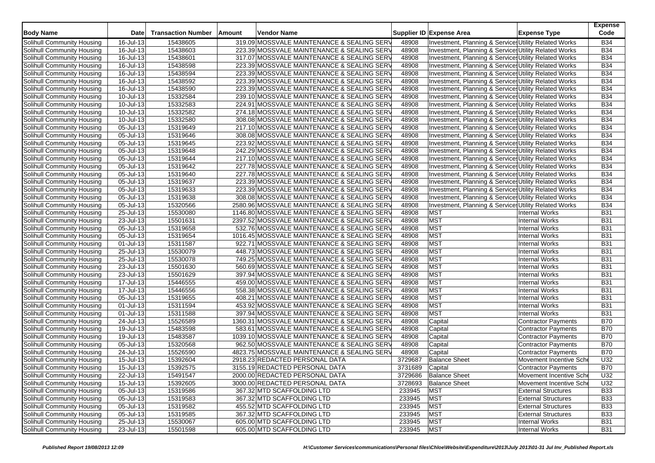| <b>Body Name</b>                  | <b>Date</b>             | <b>Transaction Number</b> | Amount | Vendor Name                                 |         | Supplier ID Expense Area                              | <b>Expense Type</b>        | <b>Expense</b><br>Code |
|-----------------------------------|-------------------------|---------------------------|--------|---------------------------------------------|---------|-------------------------------------------------------|----------------------------|------------------------|
| Solihull Community Housing        | 16-Jul-13               | 15438605                  |        | 319.09 MOSSVALE MAINTENANCE & SEALING SERV  | 48908   | Investment, Planning & Services Utility Related Works |                            | <b>B34</b>             |
| Solihull Community Housing        | 16-Jul-13               | 15438603                  |        | 223.39 MOSSVALE MAINTENANCE & SEALING SERV  | 48908   | Investment, Planning & Services Utility Related Works |                            | <b>B34</b>             |
| Solihull Community Housing        | 16-Jul-13               | 15438601                  |        | 317.07 MOSSVALE MAINTENANCE & SEALING SERV  | 48908   | Investment, Planning & Services Utility Related Works |                            | <b>B34</b>             |
| Solihull Community Housing        | 16-Jul-13               | 15438598                  |        | 223.39 MOSSVALE MAINTENANCE & SEALING SERV  | 48908   | Investment, Planning & Services Utility Related Works |                            | <b>B34</b>             |
| Solihull Community Housing        | 16-Jul-13               | 15438594                  |        | 223.39 MOSSVALE MAINTENANCE & SEALING SERV  | 48908   | Investment, Planning & Services Utility Related Works |                            | <b>B34</b>             |
| Solihull Community Housing        | 16-Jul-13               | 15438592                  |        | 223.39 MOSSVALE MAINTENANCE & SEALING SERV  | 48908   | Investment, Planning & Services Utility Related Works |                            | <b>B34</b>             |
| Solihull Community Housing        | 16-Jul-13               | 15438590                  |        | 223.39 MOSSVALE MAINTENANCE & SEALING SERV  | 48908   | Investment, Planning & Services Utility Related Works |                            | <b>B34</b>             |
| <b>Solihull Community Housing</b> | 10-Jul-13               | 15332584                  |        | 239.10 MOSSVALE MAINTENANCE & SEALING SERV  | 48908   | Investment, Planning & Services Utility Related Works |                            | <b>B34</b>             |
| Solihull Community Housing        | 10-Jul-13               | 15332583                  |        | 224.91 MOSSVALE MAINTENANCE & SEALING SERV  | 48908   | Investment, Planning & Services Utility Related Works |                            | <b>B34</b>             |
| Solihull Community Housing        | 10-Jul-13               | 15332582                  |        | 274.18 MOSSVALE MAINTENANCE & SEALING SERV  | 48908   | Investment, Planning & Services Utility Related Works |                            | <b>B34</b>             |
| Solihull Community Housing        | 10-Jul-13               | 15332580                  |        | 308.08 MOSSVALE MAINTENANCE & SEALING SERV  | 48908   | Investment, Planning & Services Utility Related Works |                            | <b>B34</b>             |
| Solihull Community Housing        | 05-Jul-13               | 15319649                  |        | 217.10 MOSSVALE MAINTENANCE & SEALING SERV  | 48908   | Investment, Planning & Services Utility Related Works |                            | <b>B34</b>             |
| Solihull Community Housing        | 05-Jul-13               | 15319646                  |        | 308.08 MOSSVALE MAINTENANCE & SEALING SERV  | 48908   | Investment, Planning & Services Utility Related Works |                            | <b>B34</b>             |
| Solihull Community Housing        | 05-Jul-13               | 15319645                  |        | 223.92 MOSSVALE MAINTENANCE & SEALING SERV  | 48908   | Investment, Planning & Services Utility Related Works |                            | <b>B34</b>             |
| Solihull Community Housing        | 05-Jul-13               | 15319648                  |        | 242.29 MOSSVALE MAINTENANCE & SEALING SERV  | 48908   | Investment, Planning & Services Utility Related Works |                            | <b>B34</b>             |
| Solihull Community Housing        | 05-Jul-13               | 15319644                  |        | 217.10 MOSSVALE MAINTENANCE & SEALING SERV  | 48908   | Investment, Planning & Service Utility Related Works  |                            | <b>B34</b>             |
| Solihull Community Housing        | 05-Jul-13               | 15319642                  |        | 227.78 MOSSVALE MAINTENANCE & SEALING SERV  | 48908   | Investment, Planning & Services Utility Related Works |                            | <b>B34</b>             |
| Solihull Community Housing        | 05-Jul-13               | 15319640                  |        | 227.78 MOSSVALE MAINTENANCE & SEALING SERV  | 48908   | Investment, Planning & Services Utility Related Works |                            | <b>B34</b>             |
| Solihull Community Housing        | 05-Jul-13               | 15319637                  |        | 223.39 MOSSVALE MAINTENANCE & SEALING SERV  | 48908   | Investment, Planning & Service Utility Related Works  |                            | <b>B34</b>             |
| Solihull Community Housing        | 05-Jul-13               | 15319633                  |        | 223.39 MOSSVALE MAINTENANCE & SEALING SERV  | 48908   | Investment, Planning & Services Utility Related Works |                            | <b>B34</b>             |
| Solihull Community Housing        | $\overline{05}$ -Jul-13 | 15319638                  |        | 308.08 MOSSVALE MAINTENANCE & SEALING SERV  | 48908   | Investment, Planning & Services Utility Related Works |                            | <b>B34</b>             |
| Solihull Community Housing        | 05-Jul-13               | 15320566                  |        | 2580.96 MOSSVALE MAINTENANCE & SEALING SERV | 48908   | Investment, Planning & Services Utility Related Works |                            | <b>B34</b>             |
| Solihull Community Housing        | 25-Jul-13               | 15530080                  |        | 1146.80 MOSSVALE MAINTENANCE & SEALING SERV | 48908   | <b>MST</b>                                            | <b>Internal Works</b>      | <b>B31</b>             |
| Solihull Community Housing        | 23-Jul-13               | 15501631                  |        | 2397.52 MOSSVALE MAINTENANCE & SEALING SERV | 48908   | <b>MST</b>                                            | Internal Works             | <b>B31</b>             |
| Solihull Community Housing        | 05-Jul-13               | 15319658                  |        | 532.76 MOSSVALE MAINTENANCE & SEALING SERV  | 48908   | <b>MST</b>                                            | <b>Internal Works</b>      | <b>B31</b>             |
| Solihull Community Housing        | 05-Jul-13               | 15319654                  |        | 1016.45 MOSSVALE MAINTENANCE & SEALING SERV | 48908   | <b>MST</b>                                            | <b>Internal Works</b>      | <b>B31</b>             |
| Solihull Community Housing        | 01-Jul-13               | 15311587                  |        | 922.71 MOSSVALE MAINTENANCE & SEALING SERV  | 48908   | <b>MST</b>                                            | <b>Internal Works</b>      | <b>B31</b>             |
| Solihull Community Housing        | 25-Jul-13               | 15530079                  |        | 448.73 MOSSVALE MAINTENANCE & SEALING SERV  | 48908   | <b>MST</b>                                            | <b>Internal Works</b>      | <b>B31</b>             |
| Solihull Community Housing        | 25-Jul-13               | 15530078                  |        | 749.25 MOSSVALE MAINTENANCE & SEALING SERV  | 48908   | <b>MST</b>                                            | <b>Internal Works</b>      | <b>B31</b>             |
| Solihull Community Housing        | 23-Jul-13               | 15501630                  |        | 560.69 MOSSVALE MAINTENANCE & SEALING SERV  | 48908   | <b>MST</b>                                            | <b>Internal Works</b>      | <b>B31</b>             |
| Solihull Community Housing        | 23-Jul-13               | 15501629                  |        | 397.94 MOSSVALE MAINTENANCE & SEALING SERV  | 48908   | <b>MST</b>                                            | <b>Internal Works</b>      | <b>B31</b>             |
| Solihull Community Housing        | 17-Jul-13               | 15446555                  |        | 459.00 MOSSVALE MAINTENANCE & SEALING SERV  | 48908   | <b>MST</b>                                            | <b>Internal Works</b>      | <b>B31</b>             |
| Solihull Community Housing        | 17-Jul-13               | 15446556                  |        | 558.38 MOSSVALE MAINTENANCE & SEALING SERV  | 48908   | <b>MST</b>                                            | <b>Internal Works</b>      | <b>B31</b>             |
| Solihull Community Housing        | 05-Jul-13               | 15319655                  |        | 408.21 MOSSVALE MAINTENANCE & SEALING SERV  | 48908   | <b>MST</b>                                            | <b>Internal Works</b>      | <b>B31</b>             |
| Solihull Community Housing        | 01-Jul-13               | 15311594                  |        | 453.92 MOSSVALE MAINTENANCE & SEALING SERV  | 48908   | <b>MST</b>                                            | <b>Internal Works</b>      | <b>B31</b>             |
| <b>Solihull Community Housing</b> | 01-Jul-13               | 15311588                  |        | 397.94 MOSSVALE MAINTENANCE & SEALING SERV  | 48908   | <b>MST</b>                                            | <b>Internal Works</b>      | <b>B31</b>             |
| Solihull Community Housing        | 24-Jul-13               | 15526589                  |        | 1360.31 MOSSVALE MAINTENANCE & SEALING SERV | 48908   | Capital                                               | <b>Contractor Payments</b> | <b>B70</b>             |
| Solihull Community Housing        | 19-Jul-13               | 15483598                  |        | 583.61 MOSSVALE MAINTENANCE & SEALING SERV  | 48908   | Capital                                               | <b>Contractor Payments</b> | <b>B70</b>             |
| Solihull Community Housing        | 19-Jul-13               | 15483587                  |        | 1039.10 MOSSVALE MAINTENANCE & SEALING SERV | 48908   | Capital                                               | Contractor Payments        | <b>B70</b>             |
| Solihull Community Housing        | $\overline{05}$ -Jul-13 | 15320568                  |        | 962.50 MOSSVALE MAINTENANCE & SEALING SERV  | 48908   | Capital                                               | Contractor Payments        | <b>B70</b>             |
| Solihull Community Housing        | 24-Jul-13               | 15526590                  |        | 4823.75 MOSSVALE MAINTENANCE & SEALING SERV | 48908   | Capital                                               | Contractor Payments        | <b>B70</b>             |
| Solihull Community Housing        | 15-Jul-13               | 15392604                  |        | 2918.23 REDACTED PERSONAL DATA              | 3729687 | <b>Balance Sheet</b>                                  | Movement Incentive Sch     | U32                    |
| Solihull Community Housing        | 15-Jul-13               | 15392575                  |        | 3155.19 REDACTED PERSONAL DATA              | 3731689 | Capital                                               | <b>Contractor Payments</b> | <b>B70</b>             |
| Solihull Community Housing        | 22-Jul-13               | 15491547                  |        | 2000.00 REDACTED PERSONAL DATA              |         | 3729686 Balance Sheet                                 | Movement Incentive Sche    | U32                    |
| Solihull Community Housing        | 15-Jul-13               | 15392605                  |        | 3000.00 REDACTED PERSONAL DATA              | 3728693 | <b>Balance Sheet</b>                                  | Movement Incentive Sche    | U32                    |
| Solihull Community Housing        | 05-Jul-13               | 15319586                  |        | 367.32 MTD SCAFFOLDING LTD                  | 233945  | <b>MST</b>                                            | <b>External Structures</b> | <b>B33</b>             |
| Solihull Community Housing        | 05-Jul-13               | 15319583                  |        | 367.32 MTD SCAFFOLDING LTD                  | 233945  | <b>MST</b>                                            | <b>External Structures</b> | <b>B33</b>             |
| Solihull Community Housing        | 05-Jul-13               | 15319582                  |        | 455.52 MTD SCAFFOLDING LTD                  | 233945  | <b>MST</b>                                            | <b>External Structures</b> | <b>B33</b>             |
| Solihull Community Housing        | 05-Jul-13               | 15319585                  |        | 367.32 MTD SCAFFOLDING LTD                  | 233945  | <b>MST</b>                                            | <b>External Structures</b> | <b>B33</b>             |
| <b>Solihull Community Housing</b> | $25 -$ Jul-13           | 15530067                  |        | 605.00 MTD SCAFFOLDING LTD                  | 233945  | <b>MST</b>                                            | Internal Works             | <b>B31</b>             |
| Solihull Community Housing        | 23-Jul-13               | 15501598                  |        | 605.00 MTD SCAFFOLDING LTD                  | 233945  | <b>MST</b>                                            | <b>Internal Works</b>      | <b>B31</b>             |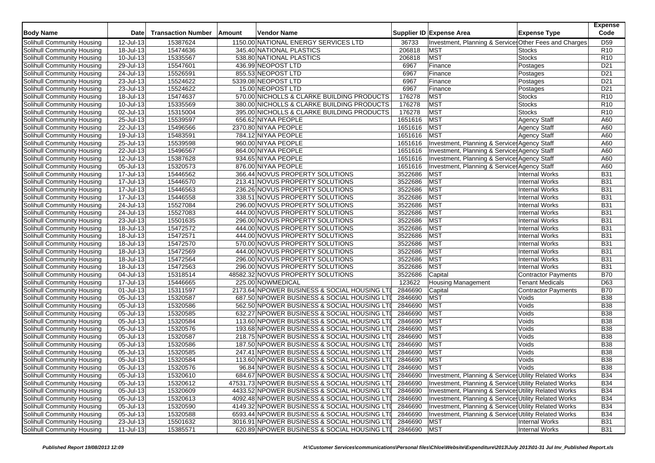| 1150.00 NATIONAL ENERGY SERVICES LTD<br>15387624<br>Investment, Planning & Services Other Fees and Charges<br>D <sub>59</sub><br>12-Jul-13<br>36733<br>18-Jul-13<br>15474636<br>345.40 NATIONAL PLASTICS<br>206818<br>MST<br>R <sub>10</sub><br>Stocks<br>MST<br>15335567<br>538.80 NATIONAL PLASTICS<br>206818<br>R <sub>10</sub><br>Solihull Community Housing<br>10-Jul-13<br><b>Stocks</b><br>29-Jul-13<br>15547601<br>436.99 NEOPOST LTD<br>Finance<br>D <sub>21</sub><br>6967<br>Postages<br>15526591<br>855.53 NEOPOST LTD<br>6967<br>Finance<br>D <sub>21</sub><br>24-Jul-13<br>Postages<br>23-Jul-13<br>15524622<br>5339.08 NEOPOST LTD<br>6967<br>D <sub>21</sub><br>Solihull Community Housing<br>Finance<br>Postages<br>Solihull Community Housing<br>23-Jul-13<br>15524622<br>15.00 NEOPOST LTD<br>6967<br>Finance<br>D <sub>21</sub><br>Postages<br><b>MST</b><br>15474637<br>570.00 NICHOLLS & CLARKE BUILDING PRODUCTS<br>176278<br>R <sub>10</sub><br>Solihull Community Housing<br>18-Jul-13<br><b>Stocks</b><br>MST<br>10-Jul-13<br>15335569<br>380.00 NICHOLLS & CLARKE BUILDING PRODUCTS<br>176278<br><b>Stocks</b><br>R <sub>10</sub><br>MST<br>Solihull Community Housing<br>02-Jul-13<br>15315004<br>395.00 NICHOLLS & CLARKE BUILDING PRODUCTS<br>176278<br><b>Stocks</b><br>R <sub>10</sub><br><b>MST</b><br>15539597<br>1651616<br><b>Agency Staff</b><br>Solihull Community Housing<br>25-Jul-13<br>656.62 NIYAA PEOPLE<br>A60<br><b>MST</b><br>15496566<br>1651616<br>22-Jul-13<br>2370.80 NIYAA PEOPLE<br>A60<br>Solihull Community Housing<br><b>Agency Staff</b><br><b>MST</b><br>Solihull Community Housing<br>19-Jul-13<br>15483591<br>784.12 NIYAA PEOPLE<br>1651616<br><b>Agency Staff</b><br>A60<br>25-Jul-13<br>15539598<br>960.00 NIYAA PEOPLE<br>1651616<br>Investment, Planning & Service Agency Staff<br>A60<br>Solihull Community Housing<br>1651616<br>15496567<br>Investment, Planning & Services Agency Staff<br>A60<br>Solihull Community Housing<br>22-Jul-13<br>864.00 NIYAA PEOPLE<br>15387628<br>12-Jul-13<br>934.65 NIYAA PEOPLE<br>1651616<br>Investment, Planning & Services Agency Staff<br>A60<br>Solihull Community Housing<br>Solihull Community Housing<br>05-Jul-13<br>15320573<br>876.00 NIYAA PEOPLE<br>1651616<br>Investment, Planning & Services Agency Staff<br>A60<br>15446562<br>366.44 NOVUS PROPERTY SOLUTIONS<br>3522686<br>MST<br><b>B31</b><br>Solihull Community Housing<br>17-Jul-13<br><b>Internal Works</b><br>3522686<br><b>MST</b><br>17-Jul-13<br>15446570<br>213.41 NOVUS PROPERTY SOLUTIONS<br>Internal Works<br><b>B31</b><br>Solihull Community Housing<br><b>MST</b><br>17-Jul-13<br>15446563<br>3522686<br><b>Internal Works</b><br><b>B31</b><br>Solihull Community Housing<br>236.26 NOVUS PROPERTY SOLUTIONS<br>3522686<br><b>MST</b><br>Solihull Community Housing<br>17-Jul-13<br>15446558<br>338.51 NOVUS PROPERTY SOLUTIONS<br><b>Internal Works</b><br><b>B31</b><br><b>MST</b><br>15527084<br>296.00 NOVUS PROPERTY SOLUTIONS<br>3522686<br><b>Internal Works</b><br><b>B31</b><br>Solihull Community Housing<br>24-Jul-13<br><b>MST</b><br>3522686<br><b>B31</b><br>24-Jul-13<br>15527083<br>444.00 NOVUS PROPERTY SOLUTIONS<br>Internal Works<br>Solihull Community Housing<br>3522686<br>MST<br>Solihull Community Housing<br>23-Jul-13<br>15501635<br>296.00 NOVUS PROPERTY SOLUTIONS<br><b>Internal Works</b><br><b>B31</b><br><b>MST</b><br><b>B31</b><br>18-Jul-13<br>15472572<br>444.00 NOVUS PROPERTY SOLUTIONS<br>3522686<br>Internal Works<br>Solihull Community Housing<br>3522686<br><b>MST</b><br>18-Jul-13<br>15472571<br>444.00 NOVUS PROPERTY SOLUTIONS<br>Internal Works<br><b>B31</b><br>Solihull Community Housing<br>3522686<br><b>MST</b><br>18-Jul-13<br>15472570<br>570.00 NOVUS PROPERTY SOLUTIONS<br>Internal Works<br><b>B31</b><br>Solihull Community Housing<br><b>MST</b><br><b>B31</b><br>$\overline{18}$ -Jul-13<br>15472569<br>444.00 NOVUS PROPERTY SOLUTIONS<br>3522686<br>Internal Works<br>Solihull Community Housing<br>15472564<br><b>MST</b><br>18-Jul-13<br>296.00 NOVUS PROPERTY SOLUTIONS<br>3522686<br>Internal Works<br><b>B31</b><br>Solihull Community Housing<br>15472563<br>3522686<br>MST<br><b>B31</b><br>Solihull Community Housing<br>18-Jul-13<br>296.00 NOVUS PROPERTY SOLUTIONS<br><b>Internal Works</b><br>3522686<br><b>B70</b><br>Solihull Community Housing<br>15318514<br>48582.32 NOVUS PROPERTY SOLUTIONS<br>04-Jul-13<br>Capital<br><b>Contractor Payments</b><br>15446665<br>225.00 NOWMEDICAL<br>123622<br><b>Tenant Medicals</b><br>D63<br>Solihull Community Housing<br>17-Jul-13<br><b>Housing Management</b><br>2846690<br><b>B70</b><br>01-Jul-13<br>15311597<br>2173.64 NPOWER BUSINESS & SOCIAL HOUSING LTI<br>Capital<br>Solihull Community Housing<br><b>Contractor Payments</b><br>2846690<br><b>MST</b><br><b>B38</b><br>15320587<br>687.50 NPOWER BUSINESS & SOCIAL HOUSING LTI<br>Solihull Community Housing<br>05-Jul-13<br>Voids<br>MST<br>15320586<br>562.50 NPOWER BUSINESS & SOCIAL HOUSING LTI<br>2846690<br>Voids<br><b>B38</b><br>Solihull Community Housing<br>05-Jul-13<br>15320585<br>2846690<br><b>MST</b><br>05-Jul-13<br>632.27 NPOWER BUSINESS & SOCIAL HOUSING LTI<br>Voids<br><b>B38</b><br>Solihull Community Housing<br>2846690<br><b>MST</b><br>Solihull Community Housing<br>15320584<br>113.60 NPOWER BUSINESS & SOCIAL HOUSING LTI<br><b>B38</b><br>05-Jul-13<br>Voids<br>MST<br>05-Jul-13<br>15320576<br>193.68 NPOWER BUSINESS & SOCIAL HOUSING LTI<br>2846690<br>Voids<br><b>B38</b><br>Solihull Community Housing<br>2846690<br><b>MST</b><br>05-Jul-13<br>15320587<br>Voids<br><b>B38</b><br>Solihull Community Housing<br>218.75 NPOWER BUSINESS & SOCIAL HOUSING LTI<br><b>MST</b><br>$\overline{05}$ -Jul-13<br>15320586<br>2846690<br><b>B38</b><br>Solihull Community Housing<br>187.50 NPOWER BUSINESS & SOCIAL HOUSING LTI<br>Voids<br>MST<br>05-Jul-13<br>15320585<br>247.41 NPOWER BUSINESS & SOCIAL HOUSING LTI<br>2846690<br>Voids<br><b>B38</b><br>Solihull Community Housing<br>15320584<br>2846690<br><b>MST</b><br><b>B38</b><br>05-Jul-13<br>113.60 NPOWER BUSINESS & SOCIAL HOUSING LTI<br>Voids<br>Solihull Community Housing<br>MST<br><b>B38</b><br>Solihull Community Housing<br>05-Jul-13<br>15320576<br>96.84 NPOWER BUSINESS & SOCIAL HOUSING LTI<br>2846690<br>Voids<br>Solihull Community Housing<br>05-Jul-13<br>15320610<br>684.67 NPOWER BUSINESS & SOCIAL HOUSING LTI<br>Investment, Planning & Services Utility Related Works<br><b>B34</b><br>2846690<br>Solihull Community Housing<br>05-Jul-13<br>15320612<br>47531.73 NPOWER BUSINESS & SOCIAL HOUSING LTI<br>2846690<br>Investment, Planning & Services Utility Related Works<br><b>B34</b><br>Solihull Community Housing<br>Investment, Planning & Services Utility Related Works<br>05-Jul-13<br>15320609<br>4433.52 NPOWER BUSINESS & SOCIAL HOUSING LTI<br>2846690<br><b>B34</b><br>Solihull Community Housing<br>05-Jul-13<br>15320613<br>4092.48 NPOWER BUSINESS & SOCIAL HOUSING LTI<br>2846690<br>Investment, Planning & Services Utility Related Works<br><b>B34</b><br>Solihull Community Housing<br>$05$ -Jul-13<br>15320590<br>2846690<br>Investment, Planning & Services Utility Related Works<br><b>B34</b><br>4149.32 NPOWER BUSINESS & SOCIAL HOUSING LTI<br>Solihull Community Housing<br>Investment, Planning & Services Utility Related Works<br>05-Jul-13<br>15320588<br>6593.44 NPOWER BUSINESS & SOCIAL HOUSING LTI<br>2846690<br><b>B34</b><br><b>Solihull Community Housing</b><br>$23$ -Jul-13<br>15501632<br>3016.91 NPOWER BUSINESS & SOCIAL HOUSING LTI<br>2846690<br><b>MST</b><br><b>B31</b><br><b>Internal Works</b><br>2846690 MST<br>620.89 NPOWER BUSINESS & SOCIAL HOUSING LTI | <b>Body Name</b>           | <b>Date</b>  | <b>Transaction Number</b> | Amount | <b>Vendor Name</b> |  | Supplier ID Expense Area | <b>Expense Type</b>   | <b>Expense</b><br>Code |
|----------------------------------------------------------------------------------------------------------------------------------------------------------------------------------------------------------------------------------------------------------------------------------------------------------------------------------------------------------------------------------------------------------------------------------------------------------------------------------------------------------------------------------------------------------------------------------------------------------------------------------------------------------------------------------------------------------------------------------------------------------------------------------------------------------------------------------------------------------------------------------------------------------------------------------------------------------------------------------------------------------------------------------------------------------------------------------------------------------------------------------------------------------------------------------------------------------------------------------------------------------------------------------------------------------------------------------------------------------------------------------------------------------------------------------------------------------------------------------------------------------------------------------------------------------------------------------------------------------------------------------------------------------------------------------------------------------------------------------------------------------------------------------------------------------------------------------------------------------------------------------------------------------------------------------------------------------------------------------------------------------------------------------------------------------------------------------------------------------------------------------------------------------------------------------------------------------------------------------------------------------------------------------------------------------------------------------------------------------------------------------------------------------------------------------------------------------------------------------------------------------------------------------------------------------------------------------------------------------------------------------------------------------------------------------------------------------------------------------------------------------------------------------------------------------------------------------------------------------------------------------------------------------------------------------------------------------------------------------------------------------------------------------------------------------------------------------------------------------------------------------------------------------------------------------------------------------------------------------------------------------------------------------------------------------------------------------------------------------------------------------------------------------------------------------------------------------------------------------------------------------------------------------------------------------------------------------------------------------------------------------------------------------------------------------------------------------------------------------------------------------------------------------------------------------------------------------------------------------------------------------------------------------------------------------------------------------------------------------------------------------------------------------------------------------------------------------------------------------------------------------------------------------------------------------------------------------------------------------------------------------------------------------------------------------------------------------------------------------------------------------------------------------------------------------------------------------------------------------------------------------------------------------------------------------------------------------------------------------------------------------------------------------------------------------------------------------------------------------------------------------------------------------------------------------------------------------------------------------------------------------------------------------------------------------------------------------------------------------------------------------------------------------------------------------------------------------------------------------------------------------------------------------------------------------------------------------------------------------------------------------------------------------------------------------------------------------------------------------------------------------------------------------------------------------------------------------------------------------------------------------------------------------------------------------------------------------------------------------------------------------------------------------------------------------------------------------------------------------------------------------------------------------------------------------------------------------------------------------------------------------------------------------------------------------------------------------------------------------------------------------------------------------------------------------------------------------------------------------------------------------------------------------------------------------------------------------------------------------------------------------------------------------------------------------------------------------------------------------------------------------------------------------------------------------------------------------------------------------------------------------------------------------------------------------------------------------------------------------------------------------------------------------------------------------------------------------------------------------------------------------------------------------------------------------------------------------------------------------------------------------------------------------------------------------------------------------------------------------------------------------------------------------------------------------------------------------------------------------------------------------------------------------------------------------------------------------------------------------------------------------------------------------------------------------------------------------------------------------------------------------------------------------------------------------------------------------------------------------------------------------------------------------------------------------------------------------------------------------------------------------------------------------------------------------------------------------------------------------------------------------------------------------------------------------------|----------------------------|--------------|---------------------------|--------|--------------------|--|--------------------------|-----------------------|------------------------|
|                                                                                                                                                                                                                                                                                                                                                                                                                                                                                                                                                                                                                                                                                                                                                                                                                                                                                                                                                                                                                                                                                                                                                                                                                                                                                                                                                                                                                                                                                                                                                                                                                                                                                                                                                                                                                                                                                                                                                                                                                                                                                                                                                                                                                                                                                                                                                                                                                                                                                                                                                                                                                                                                                                                                                                                                                                                                                                                                                                                                                                                                                                                                                                                                                                                                                                                                                                                                                                                                                                                                                                                                                                                                                                                                                                                                                                                                                                                                                                                                                                                                                                                                                                                                                                                                                                                                                                                                                                                                                                                                                                                                                                                                                                                                                                                                                                                                                                                                                                                                                                                                                                                                                                                                                                                                                                                                                                                                                                                                                                                                                                                                                                                                                                                                                                                                                                                                                                                                                                                                                                                                                                                                                                                                                                                                                                                                                                                                                                                                                                                                                                                                                                                                                                                                                                                                                                                                                                                                                                                                                                                                                                                                                                                                                                                                                                                                                                                                                                                                                                                                                                                                                                                                                                                                                                                                                | Solihull Community Housing |              |                           |        |                    |  |                          |                       |                        |
|                                                                                                                                                                                                                                                                                                                                                                                                                                                                                                                                                                                                                                                                                                                                                                                                                                                                                                                                                                                                                                                                                                                                                                                                                                                                                                                                                                                                                                                                                                                                                                                                                                                                                                                                                                                                                                                                                                                                                                                                                                                                                                                                                                                                                                                                                                                                                                                                                                                                                                                                                                                                                                                                                                                                                                                                                                                                                                                                                                                                                                                                                                                                                                                                                                                                                                                                                                                                                                                                                                                                                                                                                                                                                                                                                                                                                                                                                                                                                                                                                                                                                                                                                                                                                                                                                                                                                                                                                                                                                                                                                                                                                                                                                                                                                                                                                                                                                                                                                                                                                                                                                                                                                                                                                                                                                                                                                                                                                                                                                                                                                                                                                                                                                                                                                                                                                                                                                                                                                                                                                                                                                                                                                                                                                                                                                                                                                                                                                                                                                                                                                                                                                                                                                                                                                                                                                                                                                                                                                                                                                                                                                                                                                                                                                                                                                                                                                                                                                                                                                                                                                                                                                                                                                                                                                                                                                | Solihull Community Housing |              |                           |        |                    |  |                          |                       |                        |
|                                                                                                                                                                                                                                                                                                                                                                                                                                                                                                                                                                                                                                                                                                                                                                                                                                                                                                                                                                                                                                                                                                                                                                                                                                                                                                                                                                                                                                                                                                                                                                                                                                                                                                                                                                                                                                                                                                                                                                                                                                                                                                                                                                                                                                                                                                                                                                                                                                                                                                                                                                                                                                                                                                                                                                                                                                                                                                                                                                                                                                                                                                                                                                                                                                                                                                                                                                                                                                                                                                                                                                                                                                                                                                                                                                                                                                                                                                                                                                                                                                                                                                                                                                                                                                                                                                                                                                                                                                                                                                                                                                                                                                                                                                                                                                                                                                                                                                                                                                                                                                                                                                                                                                                                                                                                                                                                                                                                                                                                                                                                                                                                                                                                                                                                                                                                                                                                                                                                                                                                                                                                                                                                                                                                                                                                                                                                                                                                                                                                                                                                                                                                                                                                                                                                                                                                                                                                                                                                                                                                                                                                                                                                                                                                                                                                                                                                                                                                                                                                                                                                                                                                                                                                                                                                                                                                                |                            |              |                           |        |                    |  |                          |                       |                        |
|                                                                                                                                                                                                                                                                                                                                                                                                                                                                                                                                                                                                                                                                                                                                                                                                                                                                                                                                                                                                                                                                                                                                                                                                                                                                                                                                                                                                                                                                                                                                                                                                                                                                                                                                                                                                                                                                                                                                                                                                                                                                                                                                                                                                                                                                                                                                                                                                                                                                                                                                                                                                                                                                                                                                                                                                                                                                                                                                                                                                                                                                                                                                                                                                                                                                                                                                                                                                                                                                                                                                                                                                                                                                                                                                                                                                                                                                                                                                                                                                                                                                                                                                                                                                                                                                                                                                                                                                                                                                                                                                                                                                                                                                                                                                                                                                                                                                                                                                                                                                                                                                                                                                                                                                                                                                                                                                                                                                                                                                                                                                                                                                                                                                                                                                                                                                                                                                                                                                                                                                                                                                                                                                                                                                                                                                                                                                                                                                                                                                                                                                                                                                                                                                                                                                                                                                                                                                                                                                                                                                                                                                                                                                                                                                                                                                                                                                                                                                                                                                                                                                                                                                                                                                                                                                                                                                                | Solihull Community Housing |              |                           |        |                    |  |                          |                       |                        |
|                                                                                                                                                                                                                                                                                                                                                                                                                                                                                                                                                                                                                                                                                                                                                                                                                                                                                                                                                                                                                                                                                                                                                                                                                                                                                                                                                                                                                                                                                                                                                                                                                                                                                                                                                                                                                                                                                                                                                                                                                                                                                                                                                                                                                                                                                                                                                                                                                                                                                                                                                                                                                                                                                                                                                                                                                                                                                                                                                                                                                                                                                                                                                                                                                                                                                                                                                                                                                                                                                                                                                                                                                                                                                                                                                                                                                                                                                                                                                                                                                                                                                                                                                                                                                                                                                                                                                                                                                                                                                                                                                                                                                                                                                                                                                                                                                                                                                                                                                                                                                                                                                                                                                                                                                                                                                                                                                                                                                                                                                                                                                                                                                                                                                                                                                                                                                                                                                                                                                                                                                                                                                                                                                                                                                                                                                                                                                                                                                                                                                                                                                                                                                                                                                                                                                                                                                                                                                                                                                                                                                                                                                                                                                                                                                                                                                                                                                                                                                                                                                                                                                                                                                                                                                                                                                                                                                | Solihull Community Housing |              |                           |        |                    |  |                          |                       |                        |
|                                                                                                                                                                                                                                                                                                                                                                                                                                                                                                                                                                                                                                                                                                                                                                                                                                                                                                                                                                                                                                                                                                                                                                                                                                                                                                                                                                                                                                                                                                                                                                                                                                                                                                                                                                                                                                                                                                                                                                                                                                                                                                                                                                                                                                                                                                                                                                                                                                                                                                                                                                                                                                                                                                                                                                                                                                                                                                                                                                                                                                                                                                                                                                                                                                                                                                                                                                                                                                                                                                                                                                                                                                                                                                                                                                                                                                                                                                                                                                                                                                                                                                                                                                                                                                                                                                                                                                                                                                                                                                                                                                                                                                                                                                                                                                                                                                                                                                                                                                                                                                                                                                                                                                                                                                                                                                                                                                                                                                                                                                                                                                                                                                                                                                                                                                                                                                                                                                                                                                                                                                                                                                                                                                                                                                                                                                                                                                                                                                                                                                                                                                                                                                                                                                                                                                                                                                                                                                                                                                                                                                                                                                                                                                                                                                                                                                                                                                                                                                                                                                                                                                                                                                                                                                                                                                                                                |                            |              |                           |        |                    |  |                          |                       |                        |
|                                                                                                                                                                                                                                                                                                                                                                                                                                                                                                                                                                                                                                                                                                                                                                                                                                                                                                                                                                                                                                                                                                                                                                                                                                                                                                                                                                                                                                                                                                                                                                                                                                                                                                                                                                                                                                                                                                                                                                                                                                                                                                                                                                                                                                                                                                                                                                                                                                                                                                                                                                                                                                                                                                                                                                                                                                                                                                                                                                                                                                                                                                                                                                                                                                                                                                                                                                                                                                                                                                                                                                                                                                                                                                                                                                                                                                                                                                                                                                                                                                                                                                                                                                                                                                                                                                                                                                                                                                                                                                                                                                                                                                                                                                                                                                                                                                                                                                                                                                                                                                                                                                                                                                                                                                                                                                                                                                                                                                                                                                                                                                                                                                                                                                                                                                                                                                                                                                                                                                                                                                                                                                                                                                                                                                                                                                                                                                                                                                                                                                                                                                                                                                                                                                                                                                                                                                                                                                                                                                                                                                                                                                                                                                                                                                                                                                                                                                                                                                                                                                                                                                                                                                                                                                                                                                                                                |                            |              |                           |        |                    |  |                          |                       |                        |
|                                                                                                                                                                                                                                                                                                                                                                                                                                                                                                                                                                                                                                                                                                                                                                                                                                                                                                                                                                                                                                                                                                                                                                                                                                                                                                                                                                                                                                                                                                                                                                                                                                                                                                                                                                                                                                                                                                                                                                                                                                                                                                                                                                                                                                                                                                                                                                                                                                                                                                                                                                                                                                                                                                                                                                                                                                                                                                                                                                                                                                                                                                                                                                                                                                                                                                                                                                                                                                                                                                                                                                                                                                                                                                                                                                                                                                                                                                                                                                                                                                                                                                                                                                                                                                                                                                                                                                                                                                                                                                                                                                                                                                                                                                                                                                                                                                                                                                                                                                                                                                                                                                                                                                                                                                                                                                                                                                                                                                                                                                                                                                                                                                                                                                                                                                                                                                                                                                                                                                                                                                                                                                                                                                                                                                                                                                                                                                                                                                                                                                                                                                                                                                                                                                                                                                                                                                                                                                                                                                                                                                                                                                                                                                                                                                                                                                                                                                                                                                                                                                                                                                                                                                                                                                                                                                                                                |                            |              |                           |        |                    |  |                          |                       |                        |
|                                                                                                                                                                                                                                                                                                                                                                                                                                                                                                                                                                                                                                                                                                                                                                                                                                                                                                                                                                                                                                                                                                                                                                                                                                                                                                                                                                                                                                                                                                                                                                                                                                                                                                                                                                                                                                                                                                                                                                                                                                                                                                                                                                                                                                                                                                                                                                                                                                                                                                                                                                                                                                                                                                                                                                                                                                                                                                                                                                                                                                                                                                                                                                                                                                                                                                                                                                                                                                                                                                                                                                                                                                                                                                                                                                                                                                                                                                                                                                                                                                                                                                                                                                                                                                                                                                                                                                                                                                                                                                                                                                                                                                                                                                                                                                                                                                                                                                                                                                                                                                                                                                                                                                                                                                                                                                                                                                                                                                                                                                                                                                                                                                                                                                                                                                                                                                                                                                                                                                                                                                                                                                                                                                                                                                                                                                                                                                                                                                                                                                                                                                                                                                                                                                                                                                                                                                                                                                                                                                                                                                                                                                                                                                                                                                                                                                                                                                                                                                                                                                                                                                                                                                                                                                                                                                                                                | Solihull Community Housing |              |                           |        |                    |  |                          |                       |                        |
|                                                                                                                                                                                                                                                                                                                                                                                                                                                                                                                                                                                                                                                                                                                                                                                                                                                                                                                                                                                                                                                                                                                                                                                                                                                                                                                                                                                                                                                                                                                                                                                                                                                                                                                                                                                                                                                                                                                                                                                                                                                                                                                                                                                                                                                                                                                                                                                                                                                                                                                                                                                                                                                                                                                                                                                                                                                                                                                                                                                                                                                                                                                                                                                                                                                                                                                                                                                                                                                                                                                                                                                                                                                                                                                                                                                                                                                                                                                                                                                                                                                                                                                                                                                                                                                                                                                                                                                                                                                                                                                                                                                                                                                                                                                                                                                                                                                                                                                                                                                                                                                                                                                                                                                                                                                                                                                                                                                                                                                                                                                                                                                                                                                                                                                                                                                                                                                                                                                                                                                                                                                                                                                                                                                                                                                                                                                                                                                                                                                                                                                                                                                                                                                                                                                                                                                                                                                                                                                                                                                                                                                                                                                                                                                                                                                                                                                                                                                                                                                                                                                                                                                                                                                                                                                                                                                                                |                            |              |                           |        |                    |  |                          |                       |                        |
|                                                                                                                                                                                                                                                                                                                                                                                                                                                                                                                                                                                                                                                                                                                                                                                                                                                                                                                                                                                                                                                                                                                                                                                                                                                                                                                                                                                                                                                                                                                                                                                                                                                                                                                                                                                                                                                                                                                                                                                                                                                                                                                                                                                                                                                                                                                                                                                                                                                                                                                                                                                                                                                                                                                                                                                                                                                                                                                                                                                                                                                                                                                                                                                                                                                                                                                                                                                                                                                                                                                                                                                                                                                                                                                                                                                                                                                                                                                                                                                                                                                                                                                                                                                                                                                                                                                                                                                                                                                                                                                                                                                                                                                                                                                                                                                                                                                                                                                                                                                                                                                                                                                                                                                                                                                                                                                                                                                                                                                                                                                                                                                                                                                                                                                                                                                                                                                                                                                                                                                                                                                                                                                                                                                                                                                                                                                                                                                                                                                                                                                                                                                                                                                                                                                                                                                                                                                                                                                                                                                                                                                                                                                                                                                                                                                                                                                                                                                                                                                                                                                                                                                                                                                                                                                                                                                                                |                            |              |                           |        |                    |  |                          |                       |                        |
|                                                                                                                                                                                                                                                                                                                                                                                                                                                                                                                                                                                                                                                                                                                                                                                                                                                                                                                                                                                                                                                                                                                                                                                                                                                                                                                                                                                                                                                                                                                                                                                                                                                                                                                                                                                                                                                                                                                                                                                                                                                                                                                                                                                                                                                                                                                                                                                                                                                                                                                                                                                                                                                                                                                                                                                                                                                                                                                                                                                                                                                                                                                                                                                                                                                                                                                                                                                                                                                                                                                                                                                                                                                                                                                                                                                                                                                                                                                                                                                                                                                                                                                                                                                                                                                                                                                                                                                                                                                                                                                                                                                                                                                                                                                                                                                                                                                                                                                                                                                                                                                                                                                                                                                                                                                                                                                                                                                                                                                                                                                                                                                                                                                                                                                                                                                                                                                                                                                                                                                                                                                                                                                                                                                                                                                                                                                                                                                                                                                                                                                                                                                                                                                                                                                                                                                                                                                                                                                                                                                                                                                                                                                                                                                                                                                                                                                                                                                                                                                                                                                                                                                                                                                                                                                                                                                                                |                            |              |                           |        |                    |  |                          |                       |                        |
|                                                                                                                                                                                                                                                                                                                                                                                                                                                                                                                                                                                                                                                                                                                                                                                                                                                                                                                                                                                                                                                                                                                                                                                                                                                                                                                                                                                                                                                                                                                                                                                                                                                                                                                                                                                                                                                                                                                                                                                                                                                                                                                                                                                                                                                                                                                                                                                                                                                                                                                                                                                                                                                                                                                                                                                                                                                                                                                                                                                                                                                                                                                                                                                                                                                                                                                                                                                                                                                                                                                                                                                                                                                                                                                                                                                                                                                                                                                                                                                                                                                                                                                                                                                                                                                                                                                                                                                                                                                                                                                                                                                                                                                                                                                                                                                                                                                                                                                                                                                                                                                                                                                                                                                                                                                                                                                                                                                                                                                                                                                                                                                                                                                                                                                                                                                                                                                                                                                                                                                                                                                                                                                                                                                                                                                                                                                                                                                                                                                                                                                                                                                                                                                                                                                                                                                                                                                                                                                                                                                                                                                                                                                                                                                                                                                                                                                                                                                                                                                                                                                                                                                                                                                                                                                                                                                                                |                            |              |                           |        |                    |  |                          |                       |                        |
|                                                                                                                                                                                                                                                                                                                                                                                                                                                                                                                                                                                                                                                                                                                                                                                                                                                                                                                                                                                                                                                                                                                                                                                                                                                                                                                                                                                                                                                                                                                                                                                                                                                                                                                                                                                                                                                                                                                                                                                                                                                                                                                                                                                                                                                                                                                                                                                                                                                                                                                                                                                                                                                                                                                                                                                                                                                                                                                                                                                                                                                                                                                                                                                                                                                                                                                                                                                                                                                                                                                                                                                                                                                                                                                                                                                                                                                                                                                                                                                                                                                                                                                                                                                                                                                                                                                                                                                                                                                                                                                                                                                                                                                                                                                                                                                                                                                                                                                                                                                                                                                                                                                                                                                                                                                                                                                                                                                                                                                                                                                                                                                                                                                                                                                                                                                                                                                                                                                                                                                                                                                                                                                                                                                                                                                                                                                                                                                                                                                                                                                                                                                                                                                                                                                                                                                                                                                                                                                                                                                                                                                                                                                                                                                                                                                                                                                                                                                                                                                                                                                                                                                                                                                                                                                                                                                                                |                            |              |                           |        |                    |  |                          |                       |                        |
|                                                                                                                                                                                                                                                                                                                                                                                                                                                                                                                                                                                                                                                                                                                                                                                                                                                                                                                                                                                                                                                                                                                                                                                                                                                                                                                                                                                                                                                                                                                                                                                                                                                                                                                                                                                                                                                                                                                                                                                                                                                                                                                                                                                                                                                                                                                                                                                                                                                                                                                                                                                                                                                                                                                                                                                                                                                                                                                                                                                                                                                                                                                                                                                                                                                                                                                                                                                                                                                                                                                                                                                                                                                                                                                                                                                                                                                                                                                                                                                                                                                                                                                                                                                                                                                                                                                                                                                                                                                                                                                                                                                                                                                                                                                                                                                                                                                                                                                                                                                                                                                                                                                                                                                                                                                                                                                                                                                                                                                                                                                                                                                                                                                                                                                                                                                                                                                                                                                                                                                                                                                                                                                                                                                                                                                                                                                                                                                                                                                                                                                                                                                                                                                                                                                                                                                                                                                                                                                                                                                                                                                                                                                                                                                                                                                                                                                                                                                                                                                                                                                                                                                                                                                                                                                                                                                                                |                            |              |                           |        |                    |  |                          |                       |                        |
|                                                                                                                                                                                                                                                                                                                                                                                                                                                                                                                                                                                                                                                                                                                                                                                                                                                                                                                                                                                                                                                                                                                                                                                                                                                                                                                                                                                                                                                                                                                                                                                                                                                                                                                                                                                                                                                                                                                                                                                                                                                                                                                                                                                                                                                                                                                                                                                                                                                                                                                                                                                                                                                                                                                                                                                                                                                                                                                                                                                                                                                                                                                                                                                                                                                                                                                                                                                                                                                                                                                                                                                                                                                                                                                                                                                                                                                                                                                                                                                                                                                                                                                                                                                                                                                                                                                                                                                                                                                                                                                                                                                                                                                                                                                                                                                                                                                                                                                                                                                                                                                                                                                                                                                                                                                                                                                                                                                                                                                                                                                                                                                                                                                                                                                                                                                                                                                                                                                                                                                                                                                                                                                                                                                                                                                                                                                                                                                                                                                                                                                                                                                                                                                                                                                                                                                                                                                                                                                                                                                                                                                                                                                                                                                                                                                                                                                                                                                                                                                                                                                                                                                                                                                                                                                                                                                                                |                            |              |                           |        |                    |  |                          |                       |                        |
|                                                                                                                                                                                                                                                                                                                                                                                                                                                                                                                                                                                                                                                                                                                                                                                                                                                                                                                                                                                                                                                                                                                                                                                                                                                                                                                                                                                                                                                                                                                                                                                                                                                                                                                                                                                                                                                                                                                                                                                                                                                                                                                                                                                                                                                                                                                                                                                                                                                                                                                                                                                                                                                                                                                                                                                                                                                                                                                                                                                                                                                                                                                                                                                                                                                                                                                                                                                                                                                                                                                                                                                                                                                                                                                                                                                                                                                                                                                                                                                                                                                                                                                                                                                                                                                                                                                                                                                                                                                                                                                                                                                                                                                                                                                                                                                                                                                                                                                                                                                                                                                                                                                                                                                                                                                                                                                                                                                                                                                                                                                                                                                                                                                                                                                                                                                                                                                                                                                                                                                                                                                                                                                                                                                                                                                                                                                                                                                                                                                                                                                                                                                                                                                                                                                                                                                                                                                                                                                                                                                                                                                                                                                                                                                                                                                                                                                                                                                                                                                                                                                                                                                                                                                                                                                                                                                                                |                            |              |                           |        |                    |  |                          |                       |                        |
|                                                                                                                                                                                                                                                                                                                                                                                                                                                                                                                                                                                                                                                                                                                                                                                                                                                                                                                                                                                                                                                                                                                                                                                                                                                                                                                                                                                                                                                                                                                                                                                                                                                                                                                                                                                                                                                                                                                                                                                                                                                                                                                                                                                                                                                                                                                                                                                                                                                                                                                                                                                                                                                                                                                                                                                                                                                                                                                                                                                                                                                                                                                                                                                                                                                                                                                                                                                                                                                                                                                                                                                                                                                                                                                                                                                                                                                                                                                                                                                                                                                                                                                                                                                                                                                                                                                                                                                                                                                                                                                                                                                                                                                                                                                                                                                                                                                                                                                                                                                                                                                                                                                                                                                                                                                                                                                                                                                                                                                                                                                                                                                                                                                                                                                                                                                                                                                                                                                                                                                                                                                                                                                                                                                                                                                                                                                                                                                                                                                                                                                                                                                                                                                                                                                                                                                                                                                                                                                                                                                                                                                                                                                                                                                                                                                                                                                                                                                                                                                                                                                                                                                                                                                                                                                                                                                                                |                            |              |                           |        |                    |  |                          |                       |                        |
|                                                                                                                                                                                                                                                                                                                                                                                                                                                                                                                                                                                                                                                                                                                                                                                                                                                                                                                                                                                                                                                                                                                                                                                                                                                                                                                                                                                                                                                                                                                                                                                                                                                                                                                                                                                                                                                                                                                                                                                                                                                                                                                                                                                                                                                                                                                                                                                                                                                                                                                                                                                                                                                                                                                                                                                                                                                                                                                                                                                                                                                                                                                                                                                                                                                                                                                                                                                                                                                                                                                                                                                                                                                                                                                                                                                                                                                                                                                                                                                                                                                                                                                                                                                                                                                                                                                                                                                                                                                                                                                                                                                                                                                                                                                                                                                                                                                                                                                                                                                                                                                                                                                                                                                                                                                                                                                                                                                                                                                                                                                                                                                                                                                                                                                                                                                                                                                                                                                                                                                                                                                                                                                                                                                                                                                                                                                                                                                                                                                                                                                                                                                                                                                                                                                                                                                                                                                                                                                                                                                                                                                                                                                                                                                                                                                                                                                                                                                                                                                                                                                                                                                                                                                                                                                                                                                                                |                            |              |                           |        |                    |  |                          |                       |                        |
|                                                                                                                                                                                                                                                                                                                                                                                                                                                                                                                                                                                                                                                                                                                                                                                                                                                                                                                                                                                                                                                                                                                                                                                                                                                                                                                                                                                                                                                                                                                                                                                                                                                                                                                                                                                                                                                                                                                                                                                                                                                                                                                                                                                                                                                                                                                                                                                                                                                                                                                                                                                                                                                                                                                                                                                                                                                                                                                                                                                                                                                                                                                                                                                                                                                                                                                                                                                                                                                                                                                                                                                                                                                                                                                                                                                                                                                                                                                                                                                                                                                                                                                                                                                                                                                                                                                                                                                                                                                                                                                                                                                                                                                                                                                                                                                                                                                                                                                                                                                                                                                                                                                                                                                                                                                                                                                                                                                                                                                                                                                                                                                                                                                                                                                                                                                                                                                                                                                                                                                                                                                                                                                                                                                                                                                                                                                                                                                                                                                                                                                                                                                                                                                                                                                                                                                                                                                                                                                                                                                                                                                                                                                                                                                                                                                                                                                                                                                                                                                                                                                                                                                                                                                                                                                                                                                                                |                            |              |                           |        |                    |  |                          |                       |                        |
|                                                                                                                                                                                                                                                                                                                                                                                                                                                                                                                                                                                                                                                                                                                                                                                                                                                                                                                                                                                                                                                                                                                                                                                                                                                                                                                                                                                                                                                                                                                                                                                                                                                                                                                                                                                                                                                                                                                                                                                                                                                                                                                                                                                                                                                                                                                                                                                                                                                                                                                                                                                                                                                                                                                                                                                                                                                                                                                                                                                                                                                                                                                                                                                                                                                                                                                                                                                                                                                                                                                                                                                                                                                                                                                                                                                                                                                                                                                                                                                                                                                                                                                                                                                                                                                                                                                                                                                                                                                                                                                                                                                                                                                                                                                                                                                                                                                                                                                                                                                                                                                                                                                                                                                                                                                                                                                                                                                                                                                                                                                                                                                                                                                                                                                                                                                                                                                                                                                                                                                                                                                                                                                                                                                                                                                                                                                                                                                                                                                                                                                                                                                                                                                                                                                                                                                                                                                                                                                                                                                                                                                                                                                                                                                                                                                                                                                                                                                                                                                                                                                                                                                                                                                                                                                                                                                                                |                            |              |                           |        |                    |  |                          |                       |                        |
|                                                                                                                                                                                                                                                                                                                                                                                                                                                                                                                                                                                                                                                                                                                                                                                                                                                                                                                                                                                                                                                                                                                                                                                                                                                                                                                                                                                                                                                                                                                                                                                                                                                                                                                                                                                                                                                                                                                                                                                                                                                                                                                                                                                                                                                                                                                                                                                                                                                                                                                                                                                                                                                                                                                                                                                                                                                                                                                                                                                                                                                                                                                                                                                                                                                                                                                                                                                                                                                                                                                                                                                                                                                                                                                                                                                                                                                                                                                                                                                                                                                                                                                                                                                                                                                                                                                                                                                                                                                                                                                                                                                                                                                                                                                                                                                                                                                                                                                                                                                                                                                                                                                                                                                                                                                                                                                                                                                                                                                                                                                                                                                                                                                                                                                                                                                                                                                                                                                                                                                                                                                                                                                                                                                                                                                                                                                                                                                                                                                                                                                                                                                                                                                                                                                                                                                                                                                                                                                                                                                                                                                                                                                                                                                                                                                                                                                                                                                                                                                                                                                                                                                                                                                                                                                                                                                                                |                            |              |                           |        |                    |  |                          |                       |                        |
|                                                                                                                                                                                                                                                                                                                                                                                                                                                                                                                                                                                                                                                                                                                                                                                                                                                                                                                                                                                                                                                                                                                                                                                                                                                                                                                                                                                                                                                                                                                                                                                                                                                                                                                                                                                                                                                                                                                                                                                                                                                                                                                                                                                                                                                                                                                                                                                                                                                                                                                                                                                                                                                                                                                                                                                                                                                                                                                                                                                                                                                                                                                                                                                                                                                                                                                                                                                                                                                                                                                                                                                                                                                                                                                                                                                                                                                                                                                                                                                                                                                                                                                                                                                                                                                                                                                                                                                                                                                                                                                                                                                                                                                                                                                                                                                                                                                                                                                                                                                                                                                                                                                                                                                                                                                                                                                                                                                                                                                                                                                                                                                                                                                                                                                                                                                                                                                                                                                                                                                                                                                                                                                                                                                                                                                                                                                                                                                                                                                                                                                                                                                                                                                                                                                                                                                                                                                                                                                                                                                                                                                                                                                                                                                                                                                                                                                                                                                                                                                                                                                                                                                                                                                                                                                                                                                                                |                            |              |                           |        |                    |  |                          |                       |                        |
|                                                                                                                                                                                                                                                                                                                                                                                                                                                                                                                                                                                                                                                                                                                                                                                                                                                                                                                                                                                                                                                                                                                                                                                                                                                                                                                                                                                                                                                                                                                                                                                                                                                                                                                                                                                                                                                                                                                                                                                                                                                                                                                                                                                                                                                                                                                                                                                                                                                                                                                                                                                                                                                                                                                                                                                                                                                                                                                                                                                                                                                                                                                                                                                                                                                                                                                                                                                                                                                                                                                                                                                                                                                                                                                                                                                                                                                                                                                                                                                                                                                                                                                                                                                                                                                                                                                                                                                                                                                                                                                                                                                                                                                                                                                                                                                                                                                                                                                                                                                                                                                                                                                                                                                                                                                                                                                                                                                                                                                                                                                                                                                                                                                                                                                                                                                                                                                                                                                                                                                                                                                                                                                                                                                                                                                                                                                                                                                                                                                                                                                                                                                                                                                                                                                                                                                                                                                                                                                                                                                                                                                                                                                                                                                                                                                                                                                                                                                                                                                                                                                                                                                                                                                                                                                                                                                                                |                            |              |                           |        |                    |  |                          |                       |                        |
|                                                                                                                                                                                                                                                                                                                                                                                                                                                                                                                                                                                                                                                                                                                                                                                                                                                                                                                                                                                                                                                                                                                                                                                                                                                                                                                                                                                                                                                                                                                                                                                                                                                                                                                                                                                                                                                                                                                                                                                                                                                                                                                                                                                                                                                                                                                                                                                                                                                                                                                                                                                                                                                                                                                                                                                                                                                                                                                                                                                                                                                                                                                                                                                                                                                                                                                                                                                                                                                                                                                                                                                                                                                                                                                                                                                                                                                                                                                                                                                                                                                                                                                                                                                                                                                                                                                                                                                                                                                                                                                                                                                                                                                                                                                                                                                                                                                                                                                                                                                                                                                                                                                                                                                                                                                                                                                                                                                                                                                                                                                                                                                                                                                                                                                                                                                                                                                                                                                                                                                                                                                                                                                                                                                                                                                                                                                                                                                                                                                                                                                                                                                                                                                                                                                                                                                                                                                                                                                                                                                                                                                                                                                                                                                                                                                                                                                                                                                                                                                                                                                                                                                                                                                                                                                                                                                                                |                            |              |                           |        |                    |  |                          |                       |                        |
|                                                                                                                                                                                                                                                                                                                                                                                                                                                                                                                                                                                                                                                                                                                                                                                                                                                                                                                                                                                                                                                                                                                                                                                                                                                                                                                                                                                                                                                                                                                                                                                                                                                                                                                                                                                                                                                                                                                                                                                                                                                                                                                                                                                                                                                                                                                                                                                                                                                                                                                                                                                                                                                                                                                                                                                                                                                                                                                                                                                                                                                                                                                                                                                                                                                                                                                                                                                                                                                                                                                                                                                                                                                                                                                                                                                                                                                                                                                                                                                                                                                                                                                                                                                                                                                                                                                                                                                                                                                                                                                                                                                                                                                                                                                                                                                                                                                                                                                                                                                                                                                                                                                                                                                                                                                                                                                                                                                                                                                                                                                                                                                                                                                                                                                                                                                                                                                                                                                                                                                                                                                                                                                                                                                                                                                                                                                                                                                                                                                                                                                                                                                                                                                                                                                                                                                                                                                                                                                                                                                                                                                                                                                                                                                                                                                                                                                                                                                                                                                                                                                                                                                                                                                                                                                                                                                                                |                            |              |                           |        |                    |  |                          |                       |                        |
|                                                                                                                                                                                                                                                                                                                                                                                                                                                                                                                                                                                                                                                                                                                                                                                                                                                                                                                                                                                                                                                                                                                                                                                                                                                                                                                                                                                                                                                                                                                                                                                                                                                                                                                                                                                                                                                                                                                                                                                                                                                                                                                                                                                                                                                                                                                                                                                                                                                                                                                                                                                                                                                                                                                                                                                                                                                                                                                                                                                                                                                                                                                                                                                                                                                                                                                                                                                                                                                                                                                                                                                                                                                                                                                                                                                                                                                                                                                                                                                                                                                                                                                                                                                                                                                                                                                                                                                                                                                                                                                                                                                                                                                                                                                                                                                                                                                                                                                                                                                                                                                                                                                                                                                                                                                                                                                                                                                                                                                                                                                                                                                                                                                                                                                                                                                                                                                                                                                                                                                                                                                                                                                                                                                                                                                                                                                                                                                                                                                                                                                                                                                                                                                                                                                                                                                                                                                                                                                                                                                                                                                                                                                                                                                                                                                                                                                                                                                                                                                                                                                                                                                                                                                                                                                                                                                                                |                            |              |                           |        |                    |  |                          |                       |                        |
|                                                                                                                                                                                                                                                                                                                                                                                                                                                                                                                                                                                                                                                                                                                                                                                                                                                                                                                                                                                                                                                                                                                                                                                                                                                                                                                                                                                                                                                                                                                                                                                                                                                                                                                                                                                                                                                                                                                                                                                                                                                                                                                                                                                                                                                                                                                                                                                                                                                                                                                                                                                                                                                                                                                                                                                                                                                                                                                                                                                                                                                                                                                                                                                                                                                                                                                                                                                                                                                                                                                                                                                                                                                                                                                                                                                                                                                                                                                                                                                                                                                                                                                                                                                                                                                                                                                                                                                                                                                                                                                                                                                                                                                                                                                                                                                                                                                                                                                                                                                                                                                                                                                                                                                                                                                                                                                                                                                                                                                                                                                                                                                                                                                                                                                                                                                                                                                                                                                                                                                                                                                                                                                                                                                                                                                                                                                                                                                                                                                                                                                                                                                                                                                                                                                                                                                                                                                                                                                                                                                                                                                                                                                                                                                                                                                                                                                                                                                                                                                                                                                                                                                                                                                                                                                                                                                                                |                            |              |                           |        |                    |  |                          |                       |                        |
|                                                                                                                                                                                                                                                                                                                                                                                                                                                                                                                                                                                                                                                                                                                                                                                                                                                                                                                                                                                                                                                                                                                                                                                                                                                                                                                                                                                                                                                                                                                                                                                                                                                                                                                                                                                                                                                                                                                                                                                                                                                                                                                                                                                                                                                                                                                                                                                                                                                                                                                                                                                                                                                                                                                                                                                                                                                                                                                                                                                                                                                                                                                                                                                                                                                                                                                                                                                                                                                                                                                                                                                                                                                                                                                                                                                                                                                                                                                                                                                                                                                                                                                                                                                                                                                                                                                                                                                                                                                                                                                                                                                                                                                                                                                                                                                                                                                                                                                                                                                                                                                                                                                                                                                                                                                                                                                                                                                                                                                                                                                                                                                                                                                                                                                                                                                                                                                                                                                                                                                                                                                                                                                                                                                                                                                                                                                                                                                                                                                                                                                                                                                                                                                                                                                                                                                                                                                                                                                                                                                                                                                                                                                                                                                                                                                                                                                                                                                                                                                                                                                                                                                                                                                                                                                                                                                                                |                            |              |                           |        |                    |  |                          |                       |                        |
|                                                                                                                                                                                                                                                                                                                                                                                                                                                                                                                                                                                                                                                                                                                                                                                                                                                                                                                                                                                                                                                                                                                                                                                                                                                                                                                                                                                                                                                                                                                                                                                                                                                                                                                                                                                                                                                                                                                                                                                                                                                                                                                                                                                                                                                                                                                                                                                                                                                                                                                                                                                                                                                                                                                                                                                                                                                                                                                                                                                                                                                                                                                                                                                                                                                                                                                                                                                                                                                                                                                                                                                                                                                                                                                                                                                                                                                                                                                                                                                                                                                                                                                                                                                                                                                                                                                                                                                                                                                                                                                                                                                                                                                                                                                                                                                                                                                                                                                                                                                                                                                                                                                                                                                                                                                                                                                                                                                                                                                                                                                                                                                                                                                                                                                                                                                                                                                                                                                                                                                                                                                                                                                                                                                                                                                                                                                                                                                                                                                                                                                                                                                                                                                                                                                                                                                                                                                                                                                                                                                                                                                                                                                                                                                                                                                                                                                                                                                                                                                                                                                                                                                                                                                                                                                                                                                                                |                            |              |                           |        |                    |  |                          |                       |                        |
|                                                                                                                                                                                                                                                                                                                                                                                                                                                                                                                                                                                                                                                                                                                                                                                                                                                                                                                                                                                                                                                                                                                                                                                                                                                                                                                                                                                                                                                                                                                                                                                                                                                                                                                                                                                                                                                                                                                                                                                                                                                                                                                                                                                                                                                                                                                                                                                                                                                                                                                                                                                                                                                                                                                                                                                                                                                                                                                                                                                                                                                                                                                                                                                                                                                                                                                                                                                                                                                                                                                                                                                                                                                                                                                                                                                                                                                                                                                                                                                                                                                                                                                                                                                                                                                                                                                                                                                                                                                                                                                                                                                                                                                                                                                                                                                                                                                                                                                                                                                                                                                                                                                                                                                                                                                                                                                                                                                                                                                                                                                                                                                                                                                                                                                                                                                                                                                                                                                                                                                                                                                                                                                                                                                                                                                                                                                                                                                                                                                                                                                                                                                                                                                                                                                                                                                                                                                                                                                                                                                                                                                                                                                                                                                                                                                                                                                                                                                                                                                                                                                                                                                                                                                                                                                                                                                                                |                            |              |                           |        |                    |  |                          |                       |                        |
|                                                                                                                                                                                                                                                                                                                                                                                                                                                                                                                                                                                                                                                                                                                                                                                                                                                                                                                                                                                                                                                                                                                                                                                                                                                                                                                                                                                                                                                                                                                                                                                                                                                                                                                                                                                                                                                                                                                                                                                                                                                                                                                                                                                                                                                                                                                                                                                                                                                                                                                                                                                                                                                                                                                                                                                                                                                                                                                                                                                                                                                                                                                                                                                                                                                                                                                                                                                                                                                                                                                                                                                                                                                                                                                                                                                                                                                                                                                                                                                                                                                                                                                                                                                                                                                                                                                                                                                                                                                                                                                                                                                                                                                                                                                                                                                                                                                                                                                                                                                                                                                                                                                                                                                                                                                                                                                                                                                                                                                                                                                                                                                                                                                                                                                                                                                                                                                                                                                                                                                                                                                                                                                                                                                                                                                                                                                                                                                                                                                                                                                                                                                                                                                                                                                                                                                                                                                                                                                                                                                                                                                                                                                                                                                                                                                                                                                                                                                                                                                                                                                                                                                                                                                                                                                                                                                                                |                            |              |                           |        |                    |  |                          |                       |                        |
|                                                                                                                                                                                                                                                                                                                                                                                                                                                                                                                                                                                                                                                                                                                                                                                                                                                                                                                                                                                                                                                                                                                                                                                                                                                                                                                                                                                                                                                                                                                                                                                                                                                                                                                                                                                                                                                                                                                                                                                                                                                                                                                                                                                                                                                                                                                                                                                                                                                                                                                                                                                                                                                                                                                                                                                                                                                                                                                                                                                                                                                                                                                                                                                                                                                                                                                                                                                                                                                                                                                                                                                                                                                                                                                                                                                                                                                                                                                                                                                                                                                                                                                                                                                                                                                                                                                                                                                                                                                                                                                                                                                                                                                                                                                                                                                                                                                                                                                                                                                                                                                                                                                                                                                                                                                                                                                                                                                                                                                                                                                                                                                                                                                                                                                                                                                                                                                                                                                                                                                                                                                                                                                                                                                                                                                                                                                                                                                                                                                                                                                                                                                                                                                                                                                                                                                                                                                                                                                                                                                                                                                                                                                                                                                                                                                                                                                                                                                                                                                                                                                                                                                                                                                                                                                                                                                                                |                            |              |                           |        |                    |  |                          |                       |                        |
|                                                                                                                                                                                                                                                                                                                                                                                                                                                                                                                                                                                                                                                                                                                                                                                                                                                                                                                                                                                                                                                                                                                                                                                                                                                                                                                                                                                                                                                                                                                                                                                                                                                                                                                                                                                                                                                                                                                                                                                                                                                                                                                                                                                                                                                                                                                                                                                                                                                                                                                                                                                                                                                                                                                                                                                                                                                                                                                                                                                                                                                                                                                                                                                                                                                                                                                                                                                                                                                                                                                                                                                                                                                                                                                                                                                                                                                                                                                                                                                                                                                                                                                                                                                                                                                                                                                                                                                                                                                                                                                                                                                                                                                                                                                                                                                                                                                                                                                                                                                                                                                                                                                                                                                                                                                                                                                                                                                                                                                                                                                                                                                                                                                                                                                                                                                                                                                                                                                                                                                                                                                                                                                                                                                                                                                                                                                                                                                                                                                                                                                                                                                                                                                                                                                                                                                                                                                                                                                                                                                                                                                                                                                                                                                                                                                                                                                                                                                                                                                                                                                                                                                                                                                                                                                                                                                                                |                            |              |                           |        |                    |  |                          |                       |                        |
|                                                                                                                                                                                                                                                                                                                                                                                                                                                                                                                                                                                                                                                                                                                                                                                                                                                                                                                                                                                                                                                                                                                                                                                                                                                                                                                                                                                                                                                                                                                                                                                                                                                                                                                                                                                                                                                                                                                                                                                                                                                                                                                                                                                                                                                                                                                                                                                                                                                                                                                                                                                                                                                                                                                                                                                                                                                                                                                                                                                                                                                                                                                                                                                                                                                                                                                                                                                                                                                                                                                                                                                                                                                                                                                                                                                                                                                                                                                                                                                                                                                                                                                                                                                                                                                                                                                                                                                                                                                                                                                                                                                                                                                                                                                                                                                                                                                                                                                                                                                                                                                                                                                                                                                                                                                                                                                                                                                                                                                                                                                                                                                                                                                                                                                                                                                                                                                                                                                                                                                                                                                                                                                                                                                                                                                                                                                                                                                                                                                                                                                                                                                                                                                                                                                                                                                                                                                                                                                                                                                                                                                                                                                                                                                                                                                                                                                                                                                                                                                                                                                                                                                                                                                                                                                                                                                                                |                            |              |                           |        |                    |  |                          |                       |                        |
|                                                                                                                                                                                                                                                                                                                                                                                                                                                                                                                                                                                                                                                                                                                                                                                                                                                                                                                                                                                                                                                                                                                                                                                                                                                                                                                                                                                                                                                                                                                                                                                                                                                                                                                                                                                                                                                                                                                                                                                                                                                                                                                                                                                                                                                                                                                                                                                                                                                                                                                                                                                                                                                                                                                                                                                                                                                                                                                                                                                                                                                                                                                                                                                                                                                                                                                                                                                                                                                                                                                                                                                                                                                                                                                                                                                                                                                                                                                                                                                                                                                                                                                                                                                                                                                                                                                                                                                                                                                                                                                                                                                                                                                                                                                                                                                                                                                                                                                                                                                                                                                                                                                                                                                                                                                                                                                                                                                                                                                                                                                                                                                                                                                                                                                                                                                                                                                                                                                                                                                                                                                                                                                                                                                                                                                                                                                                                                                                                                                                                                                                                                                                                                                                                                                                                                                                                                                                                                                                                                                                                                                                                                                                                                                                                                                                                                                                                                                                                                                                                                                                                                                                                                                                                                                                                                                                                |                            |              |                           |        |                    |  |                          |                       |                        |
|                                                                                                                                                                                                                                                                                                                                                                                                                                                                                                                                                                                                                                                                                                                                                                                                                                                                                                                                                                                                                                                                                                                                                                                                                                                                                                                                                                                                                                                                                                                                                                                                                                                                                                                                                                                                                                                                                                                                                                                                                                                                                                                                                                                                                                                                                                                                                                                                                                                                                                                                                                                                                                                                                                                                                                                                                                                                                                                                                                                                                                                                                                                                                                                                                                                                                                                                                                                                                                                                                                                                                                                                                                                                                                                                                                                                                                                                                                                                                                                                                                                                                                                                                                                                                                                                                                                                                                                                                                                                                                                                                                                                                                                                                                                                                                                                                                                                                                                                                                                                                                                                                                                                                                                                                                                                                                                                                                                                                                                                                                                                                                                                                                                                                                                                                                                                                                                                                                                                                                                                                                                                                                                                                                                                                                                                                                                                                                                                                                                                                                                                                                                                                                                                                                                                                                                                                                                                                                                                                                                                                                                                                                                                                                                                                                                                                                                                                                                                                                                                                                                                                                                                                                                                                                                                                                                                                |                            |              |                           |        |                    |  |                          |                       |                        |
|                                                                                                                                                                                                                                                                                                                                                                                                                                                                                                                                                                                                                                                                                                                                                                                                                                                                                                                                                                                                                                                                                                                                                                                                                                                                                                                                                                                                                                                                                                                                                                                                                                                                                                                                                                                                                                                                                                                                                                                                                                                                                                                                                                                                                                                                                                                                                                                                                                                                                                                                                                                                                                                                                                                                                                                                                                                                                                                                                                                                                                                                                                                                                                                                                                                                                                                                                                                                                                                                                                                                                                                                                                                                                                                                                                                                                                                                                                                                                                                                                                                                                                                                                                                                                                                                                                                                                                                                                                                                                                                                                                                                                                                                                                                                                                                                                                                                                                                                                                                                                                                                                                                                                                                                                                                                                                                                                                                                                                                                                                                                                                                                                                                                                                                                                                                                                                                                                                                                                                                                                                                                                                                                                                                                                                                                                                                                                                                                                                                                                                                                                                                                                                                                                                                                                                                                                                                                                                                                                                                                                                                                                                                                                                                                                                                                                                                                                                                                                                                                                                                                                                                                                                                                                                                                                                                                                |                            |              |                           |        |                    |  |                          |                       |                        |
|                                                                                                                                                                                                                                                                                                                                                                                                                                                                                                                                                                                                                                                                                                                                                                                                                                                                                                                                                                                                                                                                                                                                                                                                                                                                                                                                                                                                                                                                                                                                                                                                                                                                                                                                                                                                                                                                                                                                                                                                                                                                                                                                                                                                                                                                                                                                                                                                                                                                                                                                                                                                                                                                                                                                                                                                                                                                                                                                                                                                                                                                                                                                                                                                                                                                                                                                                                                                                                                                                                                                                                                                                                                                                                                                                                                                                                                                                                                                                                                                                                                                                                                                                                                                                                                                                                                                                                                                                                                                                                                                                                                                                                                                                                                                                                                                                                                                                                                                                                                                                                                                                                                                                                                                                                                                                                                                                                                                                                                                                                                                                                                                                                                                                                                                                                                                                                                                                                                                                                                                                                                                                                                                                                                                                                                                                                                                                                                                                                                                                                                                                                                                                                                                                                                                                                                                                                                                                                                                                                                                                                                                                                                                                                                                                                                                                                                                                                                                                                                                                                                                                                                                                                                                                                                                                                                                                |                            |              |                           |        |                    |  |                          |                       |                        |
|                                                                                                                                                                                                                                                                                                                                                                                                                                                                                                                                                                                                                                                                                                                                                                                                                                                                                                                                                                                                                                                                                                                                                                                                                                                                                                                                                                                                                                                                                                                                                                                                                                                                                                                                                                                                                                                                                                                                                                                                                                                                                                                                                                                                                                                                                                                                                                                                                                                                                                                                                                                                                                                                                                                                                                                                                                                                                                                                                                                                                                                                                                                                                                                                                                                                                                                                                                                                                                                                                                                                                                                                                                                                                                                                                                                                                                                                                                                                                                                                                                                                                                                                                                                                                                                                                                                                                                                                                                                                                                                                                                                                                                                                                                                                                                                                                                                                                                                                                                                                                                                                                                                                                                                                                                                                                                                                                                                                                                                                                                                                                                                                                                                                                                                                                                                                                                                                                                                                                                                                                                                                                                                                                                                                                                                                                                                                                                                                                                                                                                                                                                                                                                                                                                                                                                                                                                                                                                                                                                                                                                                                                                                                                                                                                                                                                                                                                                                                                                                                                                                                                                                                                                                                                                                                                                                                                |                            |              |                           |        |                    |  |                          |                       |                        |
|                                                                                                                                                                                                                                                                                                                                                                                                                                                                                                                                                                                                                                                                                                                                                                                                                                                                                                                                                                                                                                                                                                                                                                                                                                                                                                                                                                                                                                                                                                                                                                                                                                                                                                                                                                                                                                                                                                                                                                                                                                                                                                                                                                                                                                                                                                                                                                                                                                                                                                                                                                                                                                                                                                                                                                                                                                                                                                                                                                                                                                                                                                                                                                                                                                                                                                                                                                                                                                                                                                                                                                                                                                                                                                                                                                                                                                                                                                                                                                                                                                                                                                                                                                                                                                                                                                                                                                                                                                                                                                                                                                                                                                                                                                                                                                                                                                                                                                                                                                                                                                                                                                                                                                                                                                                                                                                                                                                                                                                                                                                                                                                                                                                                                                                                                                                                                                                                                                                                                                                                                                                                                                                                                                                                                                                                                                                                                                                                                                                                                                                                                                                                                                                                                                                                                                                                                                                                                                                                                                                                                                                                                                                                                                                                                                                                                                                                                                                                                                                                                                                                                                                                                                                                                                                                                                                                                |                            |              |                           |        |                    |  |                          |                       |                        |
|                                                                                                                                                                                                                                                                                                                                                                                                                                                                                                                                                                                                                                                                                                                                                                                                                                                                                                                                                                                                                                                                                                                                                                                                                                                                                                                                                                                                                                                                                                                                                                                                                                                                                                                                                                                                                                                                                                                                                                                                                                                                                                                                                                                                                                                                                                                                                                                                                                                                                                                                                                                                                                                                                                                                                                                                                                                                                                                                                                                                                                                                                                                                                                                                                                                                                                                                                                                                                                                                                                                                                                                                                                                                                                                                                                                                                                                                                                                                                                                                                                                                                                                                                                                                                                                                                                                                                                                                                                                                                                                                                                                                                                                                                                                                                                                                                                                                                                                                                                                                                                                                                                                                                                                                                                                                                                                                                                                                                                                                                                                                                                                                                                                                                                                                                                                                                                                                                                                                                                                                                                                                                                                                                                                                                                                                                                                                                                                                                                                                                                                                                                                                                                                                                                                                                                                                                                                                                                                                                                                                                                                                                                                                                                                                                                                                                                                                                                                                                                                                                                                                                                                                                                                                                                                                                                                                                |                            |              |                           |        |                    |  |                          |                       |                        |
|                                                                                                                                                                                                                                                                                                                                                                                                                                                                                                                                                                                                                                                                                                                                                                                                                                                                                                                                                                                                                                                                                                                                                                                                                                                                                                                                                                                                                                                                                                                                                                                                                                                                                                                                                                                                                                                                                                                                                                                                                                                                                                                                                                                                                                                                                                                                                                                                                                                                                                                                                                                                                                                                                                                                                                                                                                                                                                                                                                                                                                                                                                                                                                                                                                                                                                                                                                                                                                                                                                                                                                                                                                                                                                                                                                                                                                                                                                                                                                                                                                                                                                                                                                                                                                                                                                                                                                                                                                                                                                                                                                                                                                                                                                                                                                                                                                                                                                                                                                                                                                                                                                                                                                                                                                                                                                                                                                                                                                                                                                                                                                                                                                                                                                                                                                                                                                                                                                                                                                                                                                                                                                                                                                                                                                                                                                                                                                                                                                                                                                                                                                                                                                                                                                                                                                                                                                                                                                                                                                                                                                                                                                                                                                                                                                                                                                                                                                                                                                                                                                                                                                                                                                                                                                                                                                                                                |                            |              |                           |        |                    |  |                          |                       |                        |
|                                                                                                                                                                                                                                                                                                                                                                                                                                                                                                                                                                                                                                                                                                                                                                                                                                                                                                                                                                                                                                                                                                                                                                                                                                                                                                                                                                                                                                                                                                                                                                                                                                                                                                                                                                                                                                                                                                                                                                                                                                                                                                                                                                                                                                                                                                                                                                                                                                                                                                                                                                                                                                                                                                                                                                                                                                                                                                                                                                                                                                                                                                                                                                                                                                                                                                                                                                                                                                                                                                                                                                                                                                                                                                                                                                                                                                                                                                                                                                                                                                                                                                                                                                                                                                                                                                                                                                                                                                                                                                                                                                                                                                                                                                                                                                                                                                                                                                                                                                                                                                                                                                                                                                                                                                                                                                                                                                                                                                                                                                                                                                                                                                                                                                                                                                                                                                                                                                                                                                                                                                                                                                                                                                                                                                                                                                                                                                                                                                                                                                                                                                                                                                                                                                                                                                                                                                                                                                                                                                                                                                                                                                                                                                                                                                                                                                                                                                                                                                                                                                                                                                                                                                                                                                                                                                                                                |                            |              |                           |        |                    |  |                          |                       |                        |
|                                                                                                                                                                                                                                                                                                                                                                                                                                                                                                                                                                                                                                                                                                                                                                                                                                                                                                                                                                                                                                                                                                                                                                                                                                                                                                                                                                                                                                                                                                                                                                                                                                                                                                                                                                                                                                                                                                                                                                                                                                                                                                                                                                                                                                                                                                                                                                                                                                                                                                                                                                                                                                                                                                                                                                                                                                                                                                                                                                                                                                                                                                                                                                                                                                                                                                                                                                                                                                                                                                                                                                                                                                                                                                                                                                                                                                                                                                                                                                                                                                                                                                                                                                                                                                                                                                                                                                                                                                                                                                                                                                                                                                                                                                                                                                                                                                                                                                                                                                                                                                                                                                                                                                                                                                                                                                                                                                                                                                                                                                                                                                                                                                                                                                                                                                                                                                                                                                                                                                                                                                                                                                                                                                                                                                                                                                                                                                                                                                                                                                                                                                                                                                                                                                                                                                                                                                                                                                                                                                                                                                                                                                                                                                                                                                                                                                                                                                                                                                                                                                                                                                                                                                                                                                                                                                                                                |                            |              |                           |        |                    |  |                          |                       |                        |
|                                                                                                                                                                                                                                                                                                                                                                                                                                                                                                                                                                                                                                                                                                                                                                                                                                                                                                                                                                                                                                                                                                                                                                                                                                                                                                                                                                                                                                                                                                                                                                                                                                                                                                                                                                                                                                                                                                                                                                                                                                                                                                                                                                                                                                                                                                                                                                                                                                                                                                                                                                                                                                                                                                                                                                                                                                                                                                                                                                                                                                                                                                                                                                                                                                                                                                                                                                                                                                                                                                                                                                                                                                                                                                                                                                                                                                                                                                                                                                                                                                                                                                                                                                                                                                                                                                                                                                                                                                                                                                                                                                                                                                                                                                                                                                                                                                                                                                                                                                                                                                                                                                                                                                                                                                                                                                                                                                                                                                                                                                                                                                                                                                                                                                                                                                                                                                                                                                                                                                                                                                                                                                                                                                                                                                                                                                                                                                                                                                                                                                                                                                                                                                                                                                                                                                                                                                                                                                                                                                                                                                                                                                                                                                                                                                                                                                                                                                                                                                                                                                                                                                                                                                                                                                                                                                                                                |                            |              |                           |        |                    |  |                          |                       |                        |
|                                                                                                                                                                                                                                                                                                                                                                                                                                                                                                                                                                                                                                                                                                                                                                                                                                                                                                                                                                                                                                                                                                                                                                                                                                                                                                                                                                                                                                                                                                                                                                                                                                                                                                                                                                                                                                                                                                                                                                                                                                                                                                                                                                                                                                                                                                                                                                                                                                                                                                                                                                                                                                                                                                                                                                                                                                                                                                                                                                                                                                                                                                                                                                                                                                                                                                                                                                                                                                                                                                                                                                                                                                                                                                                                                                                                                                                                                                                                                                                                                                                                                                                                                                                                                                                                                                                                                                                                                                                                                                                                                                                                                                                                                                                                                                                                                                                                                                                                                                                                                                                                                                                                                                                                                                                                                                                                                                                                                                                                                                                                                                                                                                                                                                                                                                                                                                                                                                                                                                                                                                                                                                                                                                                                                                                                                                                                                                                                                                                                                                                                                                                                                                                                                                                                                                                                                                                                                                                                                                                                                                                                                                                                                                                                                                                                                                                                                                                                                                                                                                                                                                                                                                                                                                                                                                                                                |                            |              |                           |        |                    |  |                          |                       |                        |
|                                                                                                                                                                                                                                                                                                                                                                                                                                                                                                                                                                                                                                                                                                                                                                                                                                                                                                                                                                                                                                                                                                                                                                                                                                                                                                                                                                                                                                                                                                                                                                                                                                                                                                                                                                                                                                                                                                                                                                                                                                                                                                                                                                                                                                                                                                                                                                                                                                                                                                                                                                                                                                                                                                                                                                                                                                                                                                                                                                                                                                                                                                                                                                                                                                                                                                                                                                                                                                                                                                                                                                                                                                                                                                                                                                                                                                                                                                                                                                                                                                                                                                                                                                                                                                                                                                                                                                                                                                                                                                                                                                                                                                                                                                                                                                                                                                                                                                                                                                                                                                                                                                                                                                                                                                                                                                                                                                                                                                                                                                                                                                                                                                                                                                                                                                                                                                                                                                                                                                                                                                                                                                                                                                                                                                                                                                                                                                                                                                                                                                                                                                                                                                                                                                                                                                                                                                                                                                                                                                                                                                                                                                                                                                                                                                                                                                                                                                                                                                                                                                                                                                                                                                                                                                                                                                                                                |                            |              |                           |        |                    |  |                          |                       |                        |
|                                                                                                                                                                                                                                                                                                                                                                                                                                                                                                                                                                                                                                                                                                                                                                                                                                                                                                                                                                                                                                                                                                                                                                                                                                                                                                                                                                                                                                                                                                                                                                                                                                                                                                                                                                                                                                                                                                                                                                                                                                                                                                                                                                                                                                                                                                                                                                                                                                                                                                                                                                                                                                                                                                                                                                                                                                                                                                                                                                                                                                                                                                                                                                                                                                                                                                                                                                                                                                                                                                                                                                                                                                                                                                                                                                                                                                                                                                                                                                                                                                                                                                                                                                                                                                                                                                                                                                                                                                                                                                                                                                                                                                                                                                                                                                                                                                                                                                                                                                                                                                                                                                                                                                                                                                                                                                                                                                                                                                                                                                                                                                                                                                                                                                                                                                                                                                                                                                                                                                                                                                                                                                                                                                                                                                                                                                                                                                                                                                                                                                                                                                                                                                                                                                                                                                                                                                                                                                                                                                                                                                                                                                                                                                                                                                                                                                                                                                                                                                                                                                                                                                                                                                                                                                                                                                                                                |                            |              |                           |        |                    |  |                          |                       |                        |
|                                                                                                                                                                                                                                                                                                                                                                                                                                                                                                                                                                                                                                                                                                                                                                                                                                                                                                                                                                                                                                                                                                                                                                                                                                                                                                                                                                                                                                                                                                                                                                                                                                                                                                                                                                                                                                                                                                                                                                                                                                                                                                                                                                                                                                                                                                                                                                                                                                                                                                                                                                                                                                                                                                                                                                                                                                                                                                                                                                                                                                                                                                                                                                                                                                                                                                                                                                                                                                                                                                                                                                                                                                                                                                                                                                                                                                                                                                                                                                                                                                                                                                                                                                                                                                                                                                                                                                                                                                                                                                                                                                                                                                                                                                                                                                                                                                                                                                                                                                                                                                                                                                                                                                                                                                                                                                                                                                                                                                                                                                                                                                                                                                                                                                                                                                                                                                                                                                                                                                                                                                                                                                                                                                                                                                                                                                                                                                                                                                                                                                                                                                                                                                                                                                                                                                                                                                                                                                                                                                                                                                                                                                                                                                                                                                                                                                                                                                                                                                                                                                                                                                                                                                                                                                                                                                                                                |                            |              |                           |        |                    |  |                          |                       |                        |
|                                                                                                                                                                                                                                                                                                                                                                                                                                                                                                                                                                                                                                                                                                                                                                                                                                                                                                                                                                                                                                                                                                                                                                                                                                                                                                                                                                                                                                                                                                                                                                                                                                                                                                                                                                                                                                                                                                                                                                                                                                                                                                                                                                                                                                                                                                                                                                                                                                                                                                                                                                                                                                                                                                                                                                                                                                                                                                                                                                                                                                                                                                                                                                                                                                                                                                                                                                                                                                                                                                                                                                                                                                                                                                                                                                                                                                                                                                                                                                                                                                                                                                                                                                                                                                                                                                                                                                                                                                                                                                                                                                                                                                                                                                                                                                                                                                                                                                                                                                                                                                                                                                                                                                                                                                                                                                                                                                                                                                                                                                                                                                                                                                                                                                                                                                                                                                                                                                                                                                                                                                                                                                                                                                                                                                                                                                                                                                                                                                                                                                                                                                                                                                                                                                                                                                                                                                                                                                                                                                                                                                                                                                                                                                                                                                                                                                                                                                                                                                                                                                                                                                                                                                                                                                                                                                                                                | Solihull Community Housing | $11$ -Jul-13 | 15385571                  |        |                    |  |                          | <b>Internal Works</b> | <b>B31</b>             |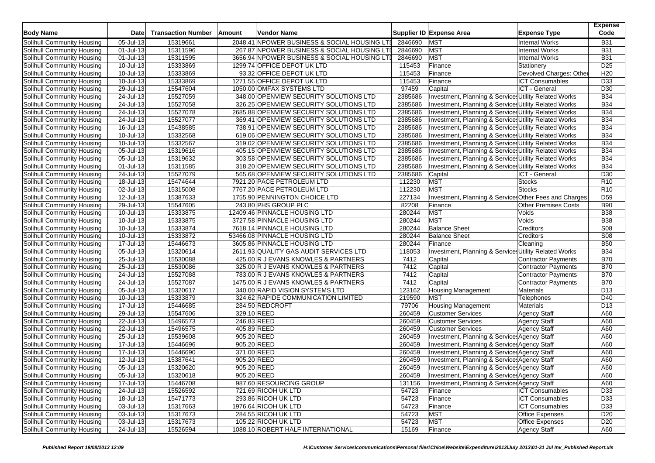| <b>Body Name</b>                  | <b>Date</b>             | <b>Transaction Number</b> | Amount      | <b>Vendor Name</b>                                            |         | Supplier ID Expense Area                               | <b>Expense Type</b>         | <b>Expense</b><br>Code |
|-----------------------------------|-------------------------|---------------------------|-------------|---------------------------------------------------------------|---------|--------------------------------------------------------|-----------------------------|------------------------|
| Solihull Community Housing        | 05-Jul-13               | 15319661                  |             | 2048.41 NPOWER BUSINESS & SOCIAL HOUSING LTI                  | 2846690 | <b>MST</b>                                             | Internal Works              | <b>B31</b>             |
| Solihull Community Housing        | 01-Jul-13               | 15311596                  |             | 267.87 NPOWER BUSINESS & SOCIAL HOUSING LTI                   | 2846690 | <b>MST</b>                                             | <b>Internal Works</b>       | <b>B31</b>             |
| Solihull Community Housing        | 01-Jul-13               | 15311595                  |             | 3656.94 NPOWER BUSINESS & SOCIAL HOUSING LTI                  | 2846690 | <b>MST</b>                                             | <b>Internal Works</b>       | <b>B31</b>             |
| Solihull Community Housing        | 10-Jul-13               | 15333869                  |             | 1299.74 OFFICE DEPOT UK LTD                                   | 115453  | Finance                                                | Stationery                  | D <sub>25</sub>        |
| Solihull Community Housing        | 10-Jul-13               | 15333869                  |             | 93.32 OFFICE DEPOT UK LTD                                     | 115453  | Finance                                                | Devolved Charges: Othe      | H <sub>20</sub>        |
| Solihull Community Housing        | 10-Jul-13               | 15333869                  |             | 1271.55 OFFICE DEPOT UK LTD                                   | 115453  | Finance                                                | <b>ICT Consumables</b>      | D33                    |
| Solihull Community Housing        | 29-Jul-13               | 15547604                  |             | 1050.00 OMFAX SYSTEMS LTD                                     | 97459   | Capital                                                | ICT - General               | D30                    |
| Solihull Community Housing        | 24-Jul-13               | 15527059                  |             | 348.00 OPENVIEW SECURITY SOLUTIONS LTD                        | 2385686 | Investment, Planning & Services Utility Related Works  |                             | <b>B34</b>             |
| Solihull Community Housing        | 24-Jul-13               | 15527058                  |             | 326.25 OPENVIEW SECURITY SOLUTIONS LTD                        | 2385686 | Investment, Planning & Services Utility Related Works  |                             | <b>B34</b>             |
| Solihull Community Housing        | 24-Jul-13               | 15527078                  |             | 2685.88 OPENVIEW SECURITY SOLUTIONS LTD                       | 2385686 | Investment, Planning & Services Utility Related Works  |                             | <b>B34</b>             |
| Solihull Community Housing        | $24$ -Jul-13            | 15527077                  |             | 369.41 OPENVIEW SECURITY SOLUTIONS LTD                        | 2385686 | Investment, Planning & Services Utility Related Works  |                             | <b>B34</b>             |
| Solihull Community Housing        | 16-Jul-13               | 15438585                  |             | 738.91 OPENVIEW SECURITY SOLUTIONS LTD                        | 2385686 | Investment, Planning & Services Utility Related Works  |                             | <b>B34</b>             |
| Solihull Community Housing        | 10-Jul-13               | 15332568                  |             | 619.06 OPENVIEW SECURITY SOLUTIONS LTD                        | 2385686 | Investment, Planning & Services Utility Related Works  |                             | <b>B34</b>             |
| Solihull Community Housing        | 10-Jul-13               | 15332567                  |             | 319.02 OPENVIEW SECURITY SOLUTIONS LTD                        | 2385686 | Investment, Planning & Services Utility Related Works  |                             | <b>B34</b>             |
| Solihull Community Housing        | 05-Jul-13               | 15319616                  |             | 405.15 OPENVIEW SECURITY SOLUTIONS LTD                        | 2385686 | Investment, Planning & Services Utility Related Works  |                             | <b>B34</b>             |
| Solihull Community Housing        | 05-Jul-13               | 15319632                  |             | 303.58 OPENVIEW SECURITY SOLUTIONS LTD                        | 2385686 | Investment, Planning & Services Utility Related Works  |                             | <b>B34</b>             |
| Solihull Community Housing        | 01-Jul-13               | 15311585                  |             | 318.20 OPENVIEW SECURITY SOLUTIONS LTD                        | 2385686 | Investment, Planning & Services Utility Related Works  |                             | <b>B34</b>             |
| Solihull Community Housing        | 24-Jul-13               | 15527079                  |             | 565.68 OPENVIEW SECURITY SOLUTIONS LTD                        | 2385686 | Capital                                                | ICT - General               | D30                    |
| Solihull Community Housing        | 18-Jul-13               | 15474644                  |             | 7921.20 PACE PETROLEUM LTD                                    | 112230  | <b>MST</b>                                             | <b>Stocks</b>               | R10                    |
| Solihull Community Housing        | 02-Jul-13               | 15315008                  |             | 7767.20 PACE PETROLEUM LTD                                    | 112230  | <b>MST</b>                                             | <b>Stocks</b>               | R <sub>10</sub>        |
| Solihull Community Housing        | 12-Jul-13               | 15387633                  |             | 1755.90 PENNINGTON CHOICE LTD                                 | 227134  | Investment, Planning & Services Other Fees and Charges |                             | D <sub>59</sub>        |
|                                   | $29 -$ Jul-13           | 15547605                  |             | 243.80 PHS GROUP PLC                                          | 82208   | Finance                                                | <b>Other Premises Costs</b> | <b>B90</b>             |
| Solihull Community Housing        | 10-Jul-13               | 15333875                  |             | 12409.46 PINNACLE HOUSING LTD                                 | 280244  | <b>MST</b>                                             |                             | <b>B38</b>             |
| Solihull Community Housing        |                         |                           |             |                                                               |         | <b>MST</b>                                             | Voids                       |                        |
| Solihull Community Housing        | 10-Jul-13               | 15333875                  |             | 3727.58 PINNACLE HOUSING LTD                                  | 280244  |                                                        | Voids                       | <b>B38</b>             |
| Solihull Community Housing        | 10-Jul-13               | 15333874                  |             | 7618.14 PINNACLE HOUSING LTD<br>53466.08 PINNACLE HOUSING LTD | 280244  | <b>Balance Sheet</b>                                   | Creditors                   | S08                    |
| Solihull Community Housing        | 10-Jul-13               | 15333872                  |             |                                                               | 280244  | <b>Balance Sheet</b>                                   | Creditors                   | <b>S08</b>             |
| Solihull Community Housing        | 17-Jul-13               | 15446673                  |             | 3605.86 PINNACLE HOUSING LTD                                  | 280244  | Finance                                                | Cleaning                    | <b>B50</b>             |
| Solihull Community Housing        | 05-Jul-13               | 15320614                  |             | 2611.93 QUALITY GAS AUDIT SERVICES LTD                        | 118053  | Investment, Planning & Services Utility Related Works  |                             | <b>B34</b>             |
| Solihull Community Housing        | 25-Jul-13               | 15530088                  |             | 425.00 R J EVANS KNOWLES & PARTNERS                           | 7412    | Capital                                                | Contractor Payments         | <b>B70</b>             |
| Solihull Community Housing        | 25-Jul-13               | 15530086                  |             | 325.00 R J EVANS KNOWLES & PARTNERS                           | 7412    | Capital                                                | Contractor Payments         | <b>B70</b>             |
| Solihull Community Housing        | 24-Jul-13               | 15527088                  |             | 783.00 R J EVANS KNOWLES & PARTNERS                           | 7412    | Capital                                                | Contractor Payments         | <b>B70</b>             |
| Solihull Community Housing        | 24-Jul-13               | 15527087                  |             | 1475.00 R J EVANS KNOWLES & PARTNERS                          | 7412    | Capital                                                | <b>Contractor Payments</b>  | <b>B70</b>             |
| Solihull Community Housing        | 05-Jul-13               | 15320617                  |             | 340.00 RAPID VISION SYSTEMS LTD                               | 123162  | <b>Housing Management</b>                              | Materials                   | D <sub>13</sub>        |
| Solihull Community Housing        | 10-Jul-13               | 15333879                  |             | 324.62 RAPIDE COMMUNICATION LIMITED                           | 219590  | <b>MST</b>                                             | Telephones                  | D40                    |
| Solihull Community Housing        | 17-Jul-13               | 15446685                  |             | 284.50 REDCROFT                                               | 79706   | <b>Housing Management</b>                              | Materials                   | D <sub>13</sub>        |
| Solihull Community Housing        | 29-Jul-13               | 15547606                  | 329.10 REED |                                                               | 260459  | <b>Customer Services</b>                               | <b>Agency Staff</b>         | A60                    |
| Solihull Community Housing        | 22-Jul-13               | 15496573                  | 246.83 REED |                                                               | 260459  | <b>Customer Services</b>                               | <b>Agency Staff</b>         | A60                    |
| Solihull Community Housing        | 22-Jul-13               | 15496575                  | 405.89 REED |                                                               | 260459  | <b>Customer Services</b>                               | <b>Agency Staff</b>         | A60                    |
| Solihull Community Housing        | 25-Jul-13               | 15539608                  | 905.20 REED |                                                               | 260459  | Investment, Planning & Services Agency Staff           |                             | A60                    |
| Solihull Community Housing        | $\overline{17}$ -Jul-13 | 15446696                  | 905.20 REED |                                                               | 260459  | Investment, Planning & Service: Agency Staff           |                             | A60                    |
| Solihull Community Housing        | 17-Jul-13               | 15446690                  | 371.00 REED |                                                               | 260459  | Investment, Planning & Services Agency Staff           |                             | A60                    |
| Solihull Community Housing        | 12-Jul-13               | 15387641                  | 905.20 REED |                                                               | 260459  | Investment, Planning & Services Agency Staff           |                             | A60                    |
| Solihull Community Housing        | 05-Jul-13               | 15320620                  | 905.20 REED |                                                               | 260459  | Investment, Planning & Services Agency Staff           |                             | A60                    |
| Solihull Community Housing        | 05-Jul-13               | 15320618                  | 905.20 REED |                                                               | 260459  | Investment, Planning & Service Agency Staff            |                             | A60                    |
| Solihull Community Housing        | 17-Jul-13               | 15446708                  |             | 987.60 RESOURCING GROUP                                       | 131156  | Investment, Planning & Services Agency Staff           |                             | A60                    |
| Solihull Community Housing        | 24-Jul-13               | 15526592                  |             | 721.69 RICOH UK LTD                                           | 54723   | Finance                                                | <b>ICT Consumables</b>      | D33                    |
| Solihull Community Housing        | 18-Jul-13               | 15471773                  |             | 293.86 RICOH UK LTD                                           | 54723   | Finance                                                | <b>ICT Consumables</b>      | D33                    |
| Solihull Community Housing        | 03-Jul-13               | 15317663                  |             | 1976.64 RICOH UK LTD                                          | 54723   | Finance                                                | <b>ICT Consumables</b>      | D33                    |
| Solihull Community Housing        | 03-Jul-13               | 15317673                  |             | 284.55 RICOH UK LTD                                           | 54723   | <b>MST</b>                                             | <b>Office Expenses</b>      | D <sub>20</sub>        |
| <b>Solihull Community Housing</b> | $03$ -Jul-13            | 15317673                  |             | 105.22 RICOH UK LTD                                           | 54723   | <b>MST</b>                                             | <b>Office Expenses</b>      | D <sub>20</sub>        |
| Solihull Community Housing        | 24-Jul-13               | 15526594                  |             | 1088.10 ROBERT HALF INTERNATIONAL                             | 15169   | Finance                                                | <b>Agency Staff</b>         | A60                    |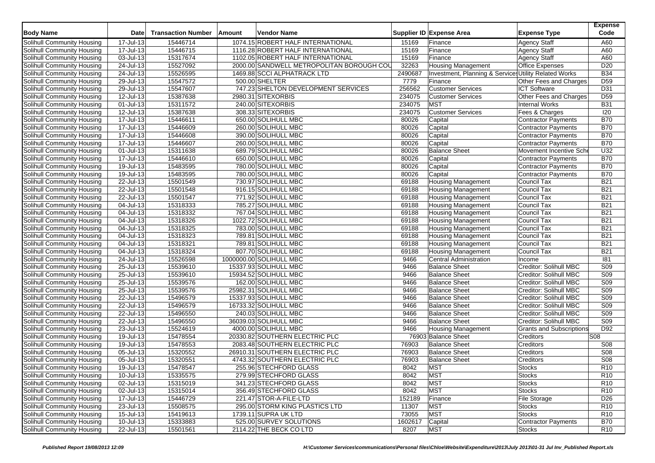| 1074.15 ROBERT HALF INTERNATIONAL<br>17-Jul-13<br>15446714<br><b>Agency Staff</b><br>A60<br>15169<br>Finance<br>15446715<br>15169<br>Solihull Community Housing<br>17-Jul-13<br>1116.28 ROBERT HALF INTERNATIONAL<br><b>Agency Staff</b><br>A60<br>Finance<br>15169<br>03-Jul-13<br>15317674<br>1102.05 ROBERT HALF INTERNATIONAL<br><b>Agency Staff</b><br>A60<br>Finance<br>D <sub>20</sub><br>24-Jul-13<br>15527092<br>2000.00 SANDWELL METROPOLITAN BOROUGH COU<br>32263<br><b>Housing Management</b><br><b>Office Expenses</b><br>15526595<br>Investment, Planning & Services Utility Related Works<br><b>B34</b><br>24-Jul-13<br>1469.88 SCCI ALPHATRACK LTD<br>2490687<br>15547572<br>500.00 SHELTER<br>7779<br>D <sub>59</sub><br>Solihull Community Housing<br>29-Jul-13<br>Other Fees and Charges<br>Finance<br>15547607<br>256562<br>D31<br>Solihull Community Housing<br>29-Jul-13<br>747.23 SHELTON DEVELOPMENT SERVICES<br><b>Customer Services</b><br><b>ICT Software</b><br>234075<br>D <sub>59</sub><br><b>Solihull Community Housing</b><br>12-Jul-13<br>15387638<br>2980.31 SITEXORBIS<br><b>Customer Services</b><br>Other Fees and Charges<br>15311572<br>234075<br><b>MST</b><br><b>B31</b><br>$01$ -Jul-13<br>240.00 SITEXORBIS<br><b>Internal Works</b><br>308.33 SITEXORBIS<br><b>Customer Services</b><br>Fees & Charges<br>120<br>12-Jul-13<br>15387638<br>234075<br>15446611<br><b>B70</b><br>17-Jul-13<br>650.00 SOLIHULL MBC<br>80026<br><b>Contractor Payments</b><br>Capital<br>17-Jul-13<br>15446609<br>260.00 SOLIHULL MBC<br>80026<br><b>B70</b><br>Solihull Community Housing<br>Capital<br>Contractor Payments<br>15446608<br>390.00 SOLIHULL MBC<br><b>B70</b><br>17-Jul-13<br>80026<br>Capital<br>Contractor Payments<br>15446607<br>260.00 SOLIHULL MBC<br><b>B70</b><br>17-Jul-13<br>80026<br>Capital<br><b>Contractor Payments</b><br>15311638<br>U <sub>32</sub><br><b>Solihull Community Housing</b><br>01-Jul-13<br>689.79 SOLIHULL MBC<br>80026<br><b>Balance Sheet</b><br>Movement Incentive Sche<br>15446610<br><b>B70</b><br>Solihull Community Housing<br>17-Jul-13<br>650.00 SOLIHULL MBC<br>80026<br>Contractor Payments<br>Capital<br>15483595<br>780.00 SOLIHULL MBC<br>Solihull Community Housing<br>19-Jul-13<br>80026<br>Capital<br><b>Contractor Payments</b><br><b>B70</b><br>Solihull Community Housing<br>19-Jul-13<br>15483595<br>780.00 SOLIHULL MBC<br>Capital<br>Contractor Payments<br><b>B70</b><br>80026<br>15501549<br>730.97 SOLIHULL MBC<br><b>B21</b><br>Solihull Community Housing<br>22-Jul-13<br>69188<br>Council Tax<br><b>Housing Management</b><br>15501548<br>Council Tax<br><b>B21</b><br>Solihull Community Housing<br>22-Jul-13<br>916.15 SOLIHULL MBC<br>69188<br><b>Housing Management</b><br>15501547<br>771.92 SOLIHULL MBC<br>Council Tax<br><b>B21</b><br>Solihull Community Housing<br>22-Jul-13<br>69188<br>Housing Management<br><b>B21</b><br>Solihull Community Housing<br>15318333<br>785.27 SOLIHULL MBC<br>69188<br>Council Tax<br>04-Jul-13<br><b>Housing Management</b><br>15318332<br>767.04 SOLIHULL MBC<br>69188<br><b>B21</b><br>Solihull Community Housing<br>04-Jul-13<br><b>Housing Management</b><br>Council Tax<br>15318326<br>1022.72 SOLIHULL MBC<br>Council Tax<br><b>B21</b><br>Solihull Community Housing<br>04-Jul-13<br>69188<br><b>Housing Management</b><br>15318325<br><b>B21</b><br>Solihull Community Housing<br>04-Jul-13<br>783.00 SOLIHULL MBC<br>69188<br>Council Tax<br><b>Housing Management</b><br>15318323<br>789.81 SOLIHULL MBC<br>Council Tax<br><b>B21</b><br>Solihull Community Housing<br>04-Jul-13<br>69188<br><b>Housing Management</b><br>15318321<br><b>B21</b><br>Solihull Community Housing<br>04-Jul-13<br>789.81 SOLIHULL MBC<br>69188<br>Council Tax<br><b>Housing Management</b><br>Council Tax<br><b>B21</b><br>Solihull Community Housing<br>04-Jul-13<br>15318324<br>807.70 SOLIHULL MBC<br>69188<br><b>Housing Management</b><br>15526598<br>1000000.00 SOLIHULL MBC<br>181<br>24-Jul-13<br>9466<br>Central Administration<br>Solihull Community Housing<br>Income<br>S <sub>09</sub><br>$25 -$ Jul-13<br>15539610<br>15337.93 SOLIHULL MBC<br>9466<br>Solihull Community Housing<br><b>Balance Sheet</b><br>Creditor: Solihull MBC<br>S <sub>09</sub><br>25-Jul-13<br>15539610<br>Solihull Community Housing<br>15934.52 SOLIHULL MBC<br>9466<br><b>Balance Sheet</b><br>Creditor: Solihull MBC<br>15539576<br><b>Balance Sheet</b><br><b>S09</b><br>Solihull Community Housing<br>25-Jul-13<br>162.00 SOLIHULL MBC<br>9466<br>Creditor: Solihull MBC<br>25-Jul-13<br>15539576<br>25982.31 SOLIHULL MBC<br><b>S09</b><br>Solihull Community Housing<br>9466<br><b>Balance Sheet</b><br>Creditor: Solihull MBC<br>S09<br>Solihull Community Housing<br>22-Jul-13<br>15496579<br>15337.93 SOLIHULL MBC<br>9466<br><b>Balance Sheet</b><br>Creditor: Solihull MBC<br>15496579<br>16733.32 SOLIHULL MBC<br>S09<br>Solihull Community Housing<br>22-Jul-13<br>9466<br><b>Balance Sheet</b><br>Creditor: Solihull MBC<br>$22$ -Jul-13<br>15496550<br>240.03 SOLIHULL MBC<br>S <sub>09</sub><br>Solihull Community Housing<br>9466<br><b>Balance Sheet</b><br>Creditor: Solihull MBC<br>S <sub>09</sub><br><b>Balance Sheet</b><br>Solihull Community Housing<br>22-Jul-13<br>15496550<br>36039.03 SOLIHULL MBC<br>9466<br>Creditor: Solihull MBC<br>4000.00 SOLIHULL MBC<br>D92<br>Solihull Community Housing<br>23-Jul-13<br>15524619<br>9466<br><b>Housing Management</b><br><b>Grants and Subscriptions</b><br>15478554<br>S <sub>08</sub><br>Solihull Community Housing<br>19-Jul-13<br>20330.82 SOUTHERN ELECTRIC PLC<br>76903 Balance Sheet<br>Creditors<br>Solihull Community Housing<br>19-Jul-13<br>15478553<br>2083.48 SOUTHERN ELECTRIC PLC<br>76903<br><b>Balance Sheet</b><br>Creditors<br>S08<br>15320552<br>05-Jul-13<br>26910.31 SOUTHERN ELECTRIC PLC<br>76903<br><b>Balance Sheet</b><br>Creditors<br>S08<br>Solihull Community Housing<br>05-Jul-13<br>15320551<br>4743.32 SOUTHERN ELECTRIC PLC<br>76903<br>S08<br>Solihull Community Housing<br><b>Balance Sheet</b><br>Creditors<br>R <sub>10</sub><br>15478547<br>255.96 STECHFORD GLASS<br>8042<br><b>MST</b><br>Solihull Community Housing<br>19-Jul-13<br><b>Stocks</b><br><b>MST</b><br>Solihull Community Housing<br>10-Jul-13<br>15335575<br>279.99 STECHFORD GLASS<br><b>Stocks</b><br>R <sub>10</sub><br>8042<br><b>MST</b><br>Solihull Community Housing<br>02-Jul-13<br>15315019<br>341.23 STECHFORD GLASS<br>8042<br><b>Stocks</b><br>R <sub>10</sub><br>Solihull Community Housing<br>02-Jul-13<br><b>MST</b><br>R <sub>10</sub><br>15315014<br>356.49 STECHFORD GLASS<br>8042<br><b>Stocks</b><br>15446729<br>Solihull Community Housing<br>17-Jul-13<br>221.47 STOR-A-FILE-LTD<br>152189<br>Finance<br><b>File Storage</b><br>D <sub>26</sub><br>Solihull Community Housing<br>23-Jul-13<br>15508575<br>295.00 STORM KING PLASTICS LTD<br>11307<br><b>MST</b><br>R <sub>10</sub><br>Stocks<br><b>MST</b><br>Solihull Community Housing<br>15-Jul-13<br>15419613<br>1739.11 SUPRA UK LTD<br>73055<br><b>Stocks</b><br>R <sub>10</sub><br><b>Solihull Community Housing</b><br>$10 -$ Jul-13<br>15333883<br>525.00 SURVEY SOLUTIONS<br>1602617<br>Capital<br>Contractor Payments<br><b>B70</b><br>2114.22 THE BECK CO LTD<br><b>MST</b><br>22-Jul-13<br>15501561<br>8207<br><b>R10</b><br>Stocks | <b>Body Name</b>           | <b>Date</b> | <b>Transaction Number</b> | Amount | Vendor Name | Supplier ID Expense Area | <b>Expense Type</b> | <b>Expense</b><br>Code |
|-----------------------------------------------------------------------------------------------------------------------------------------------------------------------------------------------------------------------------------------------------------------------------------------------------------------------------------------------------------------------------------------------------------------------------------------------------------------------------------------------------------------------------------------------------------------------------------------------------------------------------------------------------------------------------------------------------------------------------------------------------------------------------------------------------------------------------------------------------------------------------------------------------------------------------------------------------------------------------------------------------------------------------------------------------------------------------------------------------------------------------------------------------------------------------------------------------------------------------------------------------------------------------------------------------------------------------------------------------------------------------------------------------------------------------------------------------------------------------------------------------------------------------------------------------------------------------------------------------------------------------------------------------------------------------------------------------------------------------------------------------------------------------------------------------------------------------------------------------------------------------------------------------------------------------------------------------------------------------------------------------------------------------------------------------------------------------------------------------------------------------------------------------------------------------------------------------------------------------------------------------------------------------------------------------------------------------------------------------------------------------------------------------------------------------------------------------------------------------------------------------------------------------------------------------------------------------------------------------------------------------------------------------------------------------------------------------------------------------------------------------------------------------------------------------------------------------------------------------------------------------------------------------------------------------------------------------------------------------------------------------------------------------------------------------------------------------------------------------------------------------------------------------------------------------------------------------------------------------------------------------------------------------------------------------------------------------------------------------------------------------------------------------------------------------------------------------------------------------------------------------------------------------------------------------------------------------------------------------------------------------------------------------------------------------------------------------------------------------------------------------------------------------------------------------------------------------------------------------------------------------------------------------------------------------------------------------------------------------------------------------------------------------------------------------------------------------------------------------------------------------------------------------------------------------------------------------------------------------------------------------------------------------------------------------------------------------------------------------------------------------------------------------------------------------------------------------------------------------------------------------------------------------------------------------------------------------------------------------------------------------------------------------------------------------------------------------------------------------------------------------------------------------------------------------------------------------------------------------------------------------------------------------------------------------------------------------------------------------------------------------------------------------------------------------------------------------------------------------------------------------------------------------------------------------------------------------------------------------------------------------------------------------------------------------------------------------------------------------------------------------------------------------------------------------------------------------------------------------------------------------------------------------------------------------------------------------------------------------------------------------------------------------------------------------------------------------------------------------------------------------------------------------------------------------------------------------------------------------------------------------------------------------------------------------------------------------------------------------------------------------------------------------------------------------------------------------------------------------------------------------------------------------------------------------------------------------------------------------------------------------------------------------------------------------------------------------------------------------------------------------------------------------------------------------------------------------------------------------------------------------------------------------------------------------------------------------------------------------------------------------------------------------------------------------------------------------------------------------------------------------------------------------------------------------------------------------------------------------------------------------------------------------------------------------------------------------------------------------------------------------------------------------------------------------------------------------------------------------------------------------------------------------------------------------------------------------------------------------------------------------------------------------------------------------------------------------------------------------------------------------------------------------------------------------------|----------------------------|-------------|---------------------------|--------|-------------|--------------------------|---------------------|------------------------|
|                                                                                                                                                                                                                                                                                                                                                                                                                                                                                                                                                                                                                                                                                                                                                                                                                                                                                                                                                                                                                                                                                                                                                                                                                                                                                                                                                                                                                                                                                                                                                                                                                                                                                                                                                                                                                                                                                                                                                                                                                                                                                                                                                                                                                                                                                                                                                                                                                                                                                                                                                                                                                                                                                                                                                                                                                                                                                                                                                                                                                                                                                                                                                                                                                                                                                                                                                                                                                                                                                                                                                                                                                                                                                                                                                                                                                                                                                                                                                                                                                                                                                                                                                                                                                                                                                                                                                                                                                                                                                                                                                                                                                                                                                                                                                                                                                                                                                                                                                                                                                                                                                                                                                                                                                                                                                                                                                                                                                                                                                                                                                                                                                                                                                                                                                                                                                                                                                                                                                                                                                                                                                                                                                                                                                                                                                                                                                                                                                                                                                                                                                                                                                                                                                                                                                                                                                                                                                                                                                                                                                                                                                                                                                                                                                                                                                                                                                                                                                                   | Solihull Community Housing |             |                           |        |             |                          |                     |                        |
|                                                                                                                                                                                                                                                                                                                                                                                                                                                                                                                                                                                                                                                                                                                                                                                                                                                                                                                                                                                                                                                                                                                                                                                                                                                                                                                                                                                                                                                                                                                                                                                                                                                                                                                                                                                                                                                                                                                                                                                                                                                                                                                                                                                                                                                                                                                                                                                                                                                                                                                                                                                                                                                                                                                                                                                                                                                                                                                                                                                                                                                                                                                                                                                                                                                                                                                                                                                                                                                                                                                                                                                                                                                                                                                                                                                                                                                                                                                                                                                                                                                                                                                                                                                                                                                                                                                                                                                                                                                                                                                                                                                                                                                                                                                                                                                                                                                                                                                                                                                                                                                                                                                                                                                                                                                                                                                                                                                                                                                                                                                                                                                                                                                                                                                                                                                                                                                                                                                                                                                                                                                                                                                                                                                                                                                                                                                                                                                                                                                                                                                                                                                                                                                                                                                                                                                                                                                                                                                                                                                                                                                                                                                                                                                                                                                                                                                                                                                                                                   |                            |             |                           |        |             |                          |                     |                        |
|                                                                                                                                                                                                                                                                                                                                                                                                                                                                                                                                                                                                                                                                                                                                                                                                                                                                                                                                                                                                                                                                                                                                                                                                                                                                                                                                                                                                                                                                                                                                                                                                                                                                                                                                                                                                                                                                                                                                                                                                                                                                                                                                                                                                                                                                                                                                                                                                                                                                                                                                                                                                                                                                                                                                                                                                                                                                                                                                                                                                                                                                                                                                                                                                                                                                                                                                                                                                                                                                                                                                                                                                                                                                                                                                                                                                                                                                                                                                                                                                                                                                                                                                                                                                                                                                                                                                                                                                                                                                                                                                                                                                                                                                                                                                                                                                                                                                                                                                                                                                                                                                                                                                                                                                                                                                                                                                                                                                                                                                                                                                                                                                                                                                                                                                                                                                                                                                                                                                                                                                                                                                                                                                                                                                                                                                                                                                                                                                                                                                                                                                                                                                                                                                                                                                                                                                                                                                                                                                                                                                                                                                                                                                                                                                                                                                                                                                                                                                                                   | Solihull Community Housing |             |                           |        |             |                          |                     |                        |
|                                                                                                                                                                                                                                                                                                                                                                                                                                                                                                                                                                                                                                                                                                                                                                                                                                                                                                                                                                                                                                                                                                                                                                                                                                                                                                                                                                                                                                                                                                                                                                                                                                                                                                                                                                                                                                                                                                                                                                                                                                                                                                                                                                                                                                                                                                                                                                                                                                                                                                                                                                                                                                                                                                                                                                                                                                                                                                                                                                                                                                                                                                                                                                                                                                                                                                                                                                                                                                                                                                                                                                                                                                                                                                                                                                                                                                                                                                                                                                                                                                                                                                                                                                                                                                                                                                                                                                                                                                                                                                                                                                                                                                                                                                                                                                                                                                                                                                                                                                                                                                                                                                                                                                                                                                                                                                                                                                                                                                                                                                                                                                                                                                                                                                                                                                                                                                                                                                                                                                                                                                                                                                                                                                                                                                                                                                                                                                                                                                                                                                                                                                                                                                                                                                                                                                                                                                                                                                                                                                                                                                                                                                                                                                                                                                                                                                                                                                                                                                   | Solihull Community Housing |             |                           |        |             |                          |                     |                        |
|                                                                                                                                                                                                                                                                                                                                                                                                                                                                                                                                                                                                                                                                                                                                                                                                                                                                                                                                                                                                                                                                                                                                                                                                                                                                                                                                                                                                                                                                                                                                                                                                                                                                                                                                                                                                                                                                                                                                                                                                                                                                                                                                                                                                                                                                                                                                                                                                                                                                                                                                                                                                                                                                                                                                                                                                                                                                                                                                                                                                                                                                                                                                                                                                                                                                                                                                                                                                                                                                                                                                                                                                                                                                                                                                                                                                                                                                                                                                                                                                                                                                                                                                                                                                                                                                                                                                                                                                                                                                                                                                                                                                                                                                                                                                                                                                                                                                                                                                                                                                                                                                                                                                                                                                                                                                                                                                                                                                                                                                                                                                                                                                                                                                                                                                                                                                                                                                                                                                                                                                                                                                                                                                                                                                                                                                                                                                                                                                                                                                                                                                                                                                                                                                                                                                                                                                                                                                                                                                                                                                                                                                                                                                                                                                                                                                                                                                                                                                                                   | Solihull Community Housing |             |                           |        |             |                          |                     |                        |
|                                                                                                                                                                                                                                                                                                                                                                                                                                                                                                                                                                                                                                                                                                                                                                                                                                                                                                                                                                                                                                                                                                                                                                                                                                                                                                                                                                                                                                                                                                                                                                                                                                                                                                                                                                                                                                                                                                                                                                                                                                                                                                                                                                                                                                                                                                                                                                                                                                                                                                                                                                                                                                                                                                                                                                                                                                                                                                                                                                                                                                                                                                                                                                                                                                                                                                                                                                                                                                                                                                                                                                                                                                                                                                                                                                                                                                                                                                                                                                                                                                                                                                                                                                                                                                                                                                                                                                                                                                                                                                                                                                                                                                                                                                                                                                                                                                                                                                                                                                                                                                                                                                                                                                                                                                                                                                                                                                                                                                                                                                                                                                                                                                                                                                                                                                                                                                                                                                                                                                                                                                                                                                                                                                                                                                                                                                                                                                                                                                                                                                                                                                                                                                                                                                                                                                                                                                                                                                                                                                                                                                                                                                                                                                                                                                                                                                                                                                                                                                   |                            |             |                           |        |             |                          |                     |                        |
|                                                                                                                                                                                                                                                                                                                                                                                                                                                                                                                                                                                                                                                                                                                                                                                                                                                                                                                                                                                                                                                                                                                                                                                                                                                                                                                                                                                                                                                                                                                                                                                                                                                                                                                                                                                                                                                                                                                                                                                                                                                                                                                                                                                                                                                                                                                                                                                                                                                                                                                                                                                                                                                                                                                                                                                                                                                                                                                                                                                                                                                                                                                                                                                                                                                                                                                                                                                                                                                                                                                                                                                                                                                                                                                                                                                                                                                                                                                                                                                                                                                                                                                                                                                                                                                                                                                                                                                                                                                                                                                                                                                                                                                                                                                                                                                                                                                                                                                                                                                                                                                                                                                                                                                                                                                                                                                                                                                                                                                                                                                                                                                                                                                                                                                                                                                                                                                                                                                                                                                                                                                                                                                                                                                                                                                                                                                                                                                                                                                                                                                                                                                                                                                                                                                                                                                                                                                                                                                                                                                                                                                                                                                                                                                                                                                                                                                                                                                                                                   |                            |             |                           |        |             |                          |                     |                        |
|                                                                                                                                                                                                                                                                                                                                                                                                                                                                                                                                                                                                                                                                                                                                                                                                                                                                                                                                                                                                                                                                                                                                                                                                                                                                                                                                                                                                                                                                                                                                                                                                                                                                                                                                                                                                                                                                                                                                                                                                                                                                                                                                                                                                                                                                                                                                                                                                                                                                                                                                                                                                                                                                                                                                                                                                                                                                                                                                                                                                                                                                                                                                                                                                                                                                                                                                                                                                                                                                                                                                                                                                                                                                                                                                                                                                                                                                                                                                                                                                                                                                                                                                                                                                                                                                                                                                                                                                                                                                                                                                                                                                                                                                                                                                                                                                                                                                                                                                                                                                                                                                                                                                                                                                                                                                                                                                                                                                                                                                                                                                                                                                                                                                                                                                                                                                                                                                                                                                                                                                                                                                                                                                                                                                                                                                                                                                                                                                                                                                                                                                                                                                                                                                                                                                                                                                                                                                                                                                                                                                                                                                                                                                                                                                                                                                                                                                                                                                                                   |                            |             |                           |        |             |                          |                     |                        |
|                                                                                                                                                                                                                                                                                                                                                                                                                                                                                                                                                                                                                                                                                                                                                                                                                                                                                                                                                                                                                                                                                                                                                                                                                                                                                                                                                                                                                                                                                                                                                                                                                                                                                                                                                                                                                                                                                                                                                                                                                                                                                                                                                                                                                                                                                                                                                                                                                                                                                                                                                                                                                                                                                                                                                                                                                                                                                                                                                                                                                                                                                                                                                                                                                                                                                                                                                                                                                                                                                                                                                                                                                                                                                                                                                                                                                                                                                                                                                                                                                                                                                                                                                                                                                                                                                                                                                                                                                                                                                                                                                                                                                                                                                                                                                                                                                                                                                                                                                                                                                                                                                                                                                                                                                                                                                                                                                                                                                                                                                                                                                                                                                                                                                                                                                                                                                                                                                                                                                                                                                                                                                                                                                                                                                                                                                                                                                                                                                                                                                                                                                                                                                                                                                                                                                                                                                                                                                                                                                                                                                                                                                                                                                                                                                                                                                                                                                                                                                                   | Solihull Community Housing |             |                           |        |             |                          |                     |                        |
|                                                                                                                                                                                                                                                                                                                                                                                                                                                                                                                                                                                                                                                                                                                                                                                                                                                                                                                                                                                                                                                                                                                                                                                                                                                                                                                                                                                                                                                                                                                                                                                                                                                                                                                                                                                                                                                                                                                                                                                                                                                                                                                                                                                                                                                                                                                                                                                                                                                                                                                                                                                                                                                                                                                                                                                                                                                                                                                                                                                                                                                                                                                                                                                                                                                                                                                                                                                                                                                                                                                                                                                                                                                                                                                                                                                                                                                                                                                                                                                                                                                                                                                                                                                                                                                                                                                                                                                                                                                                                                                                                                                                                                                                                                                                                                                                                                                                                                                                                                                                                                                                                                                                                                                                                                                                                                                                                                                                                                                                                                                                                                                                                                                                                                                                                                                                                                                                                                                                                                                                                                                                                                                                                                                                                                                                                                                                                                                                                                                                                                                                                                                                                                                                                                                                                                                                                                                                                                                                                                                                                                                                                                                                                                                                                                                                                                                                                                                                                                   | Solihull Community Housing |             |                           |        |             |                          |                     |                        |
|                                                                                                                                                                                                                                                                                                                                                                                                                                                                                                                                                                                                                                                                                                                                                                                                                                                                                                                                                                                                                                                                                                                                                                                                                                                                                                                                                                                                                                                                                                                                                                                                                                                                                                                                                                                                                                                                                                                                                                                                                                                                                                                                                                                                                                                                                                                                                                                                                                                                                                                                                                                                                                                                                                                                                                                                                                                                                                                                                                                                                                                                                                                                                                                                                                                                                                                                                                                                                                                                                                                                                                                                                                                                                                                                                                                                                                                                                                                                                                                                                                                                                                                                                                                                                                                                                                                                                                                                                                                                                                                                                                                                                                                                                                                                                                                                                                                                                                                                                                                                                                                                                                                                                                                                                                                                                                                                                                                                                                                                                                                                                                                                                                                                                                                                                                                                                                                                                                                                                                                                                                                                                                                                                                                                                                                                                                                                                                                                                                                                                                                                                                                                                                                                                                                                                                                                                                                                                                                                                                                                                                                                                                                                                                                                                                                                                                                                                                                                                                   | Solihull Community Housing |             |                           |        |             |                          |                     |                        |
|                                                                                                                                                                                                                                                                                                                                                                                                                                                                                                                                                                                                                                                                                                                                                                                                                                                                                                                                                                                                                                                                                                                                                                                                                                                                                                                                                                                                                                                                                                                                                                                                                                                                                                                                                                                                                                                                                                                                                                                                                                                                                                                                                                                                                                                                                                                                                                                                                                                                                                                                                                                                                                                                                                                                                                                                                                                                                                                                                                                                                                                                                                                                                                                                                                                                                                                                                                                                                                                                                                                                                                                                                                                                                                                                                                                                                                                                                                                                                                                                                                                                                                                                                                                                                                                                                                                                                                                                                                                                                                                                                                                                                                                                                                                                                                                                                                                                                                                                                                                                                                                                                                                                                                                                                                                                                                                                                                                                                                                                                                                                                                                                                                                                                                                                                                                                                                                                                                                                                                                                                                                                                                                                                                                                                                                                                                                                                                                                                                                                                                                                                                                                                                                                                                                                                                                                                                                                                                                                                                                                                                                                                                                                                                                                                                                                                                                                                                                                                                   |                            |             |                           |        |             |                          |                     |                        |
|                                                                                                                                                                                                                                                                                                                                                                                                                                                                                                                                                                                                                                                                                                                                                                                                                                                                                                                                                                                                                                                                                                                                                                                                                                                                                                                                                                                                                                                                                                                                                                                                                                                                                                                                                                                                                                                                                                                                                                                                                                                                                                                                                                                                                                                                                                                                                                                                                                                                                                                                                                                                                                                                                                                                                                                                                                                                                                                                                                                                                                                                                                                                                                                                                                                                                                                                                                                                                                                                                                                                                                                                                                                                                                                                                                                                                                                                                                                                                                                                                                                                                                                                                                                                                                                                                                                                                                                                                                                                                                                                                                                                                                                                                                                                                                                                                                                                                                                                                                                                                                                                                                                                                                                                                                                                                                                                                                                                                                                                                                                                                                                                                                                                                                                                                                                                                                                                                                                                                                                                                                                                                                                                                                                                                                                                                                                                                                                                                                                                                                                                                                                                                                                                                                                                                                                                                                                                                                                                                                                                                                                                                                                                                                                                                                                                                                                                                                                                                                   | Solihull Community Housing |             |                           |        |             |                          |                     |                        |
|                                                                                                                                                                                                                                                                                                                                                                                                                                                                                                                                                                                                                                                                                                                                                                                                                                                                                                                                                                                                                                                                                                                                                                                                                                                                                                                                                                                                                                                                                                                                                                                                                                                                                                                                                                                                                                                                                                                                                                                                                                                                                                                                                                                                                                                                                                                                                                                                                                                                                                                                                                                                                                                                                                                                                                                                                                                                                                                                                                                                                                                                                                                                                                                                                                                                                                                                                                                                                                                                                                                                                                                                                                                                                                                                                                                                                                                                                                                                                                                                                                                                                                                                                                                                                                                                                                                                                                                                                                                                                                                                                                                                                                                                                                                                                                                                                                                                                                                                                                                                                                                                                                                                                                                                                                                                                                                                                                                                                                                                                                                                                                                                                                                                                                                                                                                                                                                                                                                                                                                                                                                                                                                                                                                                                                                                                                                                                                                                                                                                                                                                                                                                                                                                                                                                                                                                                                                                                                                                                                                                                                                                                                                                                                                                                                                                                                                                                                                                                                   | Solihull Community Housing |             |                           |        |             |                          |                     |                        |
|                                                                                                                                                                                                                                                                                                                                                                                                                                                                                                                                                                                                                                                                                                                                                                                                                                                                                                                                                                                                                                                                                                                                                                                                                                                                                                                                                                                                                                                                                                                                                                                                                                                                                                                                                                                                                                                                                                                                                                                                                                                                                                                                                                                                                                                                                                                                                                                                                                                                                                                                                                                                                                                                                                                                                                                                                                                                                                                                                                                                                                                                                                                                                                                                                                                                                                                                                                                                                                                                                                                                                                                                                                                                                                                                                                                                                                                                                                                                                                                                                                                                                                                                                                                                                                                                                                                                                                                                                                                                                                                                                                                                                                                                                                                                                                                                                                                                                                                                                                                                                                                                                                                                                                                                                                                                                                                                                                                                                                                                                                                                                                                                                                                                                                                                                                                                                                                                                                                                                                                                                                                                                                                                                                                                                                                                                                                                                                                                                                                                                                                                                                                                                                                                                                                                                                                                                                                                                                                                                                                                                                                                                                                                                                                                                                                                                                                                                                                                                                   |                            |             |                           |        |             |                          |                     |                        |
|                                                                                                                                                                                                                                                                                                                                                                                                                                                                                                                                                                                                                                                                                                                                                                                                                                                                                                                                                                                                                                                                                                                                                                                                                                                                                                                                                                                                                                                                                                                                                                                                                                                                                                                                                                                                                                                                                                                                                                                                                                                                                                                                                                                                                                                                                                                                                                                                                                                                                                                                                                                                                                                                                                                                                                                                                                                                                                                                                                                                                                                                                                                                                                                                                                                                                                                                                                                                                                                                                                                                                                                                                                                                                                                                                                                                                                                                                                                                                                                                                                                                                                                                                                                                                                                                                                                                                                                                                                                                                                                                                                                                                                                                                                                                                                                                                                                                                                                                                                                                                                                                                                                                                                                                                                                                                                                                                                                                                                                                                                                                                                                                                                                                                                                                                                                                                                                                                                                                                                                                                                                                                                                                                                                                                                                                                                                                                                                                                                                                                                                                                                                                                                                                                                                                                                                                                                                                                                                                                                                                                                                                                                                                                                                                                                                                                                                                                                                                                                   |                            |             |                           |        |             |                          |                     |                        |
|                                                                                                                                                                                                                                                                                                                                                                                                                                                                                                                                                                                                                                                                                                                                                                                                                                                                                                                                                                                                                                                                                                                                                                                                                                                                                                                                                                                                                                                                                                                                                                                                                                                                                                                                                                                                                                                                                                                                                                                                                                                                                                                                                                                                                                                                                                                                                                                                                                                                                                                                                                                                                                                                                                                                                                                                                                                                                                                                                                                                                                                                                                                                                                                                                                                                                                                                                                                                                                                                                                                                                                                                                                                                                                                                                                                                                                                                                                                                                                                                                                                                                                                                                                                                                                                                                                                                                                                                                                                                                                                                                                                                                                                                                                                                                                                                                                                                                                                                                                                                                                                                                                                                                                                                                                                                                                                                                                                                                                                                                                                                                                                                                                                                                                                                                                                                                                                                                                                                                                                                                                                                                                                                                                                                                                                                                                                                                                                                                                                                                                                                                                                                                                                                                                                                                                                                                                                                                                                                                                                                                                                                                                                                                                                                                                                                                                                                                                                                                                   |                            |             |                           |        |             |                          |                     |                        |
|                                                                                                                                                                                                                                                                                                                                                                                                                                                                                                                                                                                                                                                                                                                                                                                                                                                                                                                                                                                                                                                                                                                                                                                                                                                                                                                                                                                                                                                                                                                                                                                                                                                                                                                                                                                                                                                                                                                                                                                                                                                                                                                                                                                                                                                                                                                                                                                                                                                                                                                                                                                                                                                                                                                                                                                                                                                                                                                                                                                                                                                                                                                                                                                                                                                                                                                                                                                                                                                                                                                                                                                                                                                                                                                                                                                                                                                                                                                                                                                                                                                                                                                                                                                                                                                                                                                                                                                                                                                                                                                                                                                                                                                                                                                                                                                                                                                                                                                                                                                                                                                                                                                                                                                                                                                                                                                                                                                                                                                                                                                                                                                                                                                                                                                                                                                                                                                                                                                                                                                                                                                                                                                                                                                                                                                                                                                                                                                                                                                                                                                                                                                                                                                                                                                                                                                                                                                                                                                                                                                                                                                                                                                                                                                                                                                                                                                                                                                                                                   |                            |             |                           |        |             |                          |                     |                        |
|                                                                                                                                                                                                                                                                                                                                                                                                                                                                                                                                                                                                                                                                                                                                                                                                                                                                                                                                                                                                                                                                                                                                                                                                                                                                                                                                                                                                                                                                                                                                                                                                                                                                                                                                                                                                                                                                                                                                                                                                                                                                                                                                                                                                                                                                                                                                                                                                                                                                                                                                                                                                                                                                                                                                                                                                                                                                                                                                                                                                                                                                                                                                                                                                                                                                                                                                                                                                                                                                                                                                                                                                                                                                                                                                                                                                                                                                                                                                                                                                                                                                                                                                                                                                                                                                                                                                                                                                                                                                                                                                                                                                                                                                                                                                                                                                                                                                                                                                                                                                                                                                                                                                                                                                                                                                                                                                                                                                                                                                                                                                                                                                                                                                                                                                                                                                                                                                                                                                                                                                                                                                                                                                                                                                                                                                                                                                                                                                                                                                                                                                                                                                                                                                                                                                                                                                                                                                                                                                                                                                                                                                                                                                                                                                                                                                                                                                                                                                                                   |                            |             |                           |        |             |                          |                     |                        |
|                                                                                                                                                                                                                                                                                                                                                                                                                                                                                                                                                                                                                                                                                                                                                                                                                                                                                                                                                                                                                                                                                                                                                                                                                                                                                                                                                                                                                                                                                                                                                                                                                                                                                                                                                                                                                                                                                                                                                                                                                                                                                                                                                                                                                                                                                                                                                                                                                                                                                                                                                                                                                                                                                                                                                                                                                                                                                                                                                                                                                                                                                                                                                                                                                                                                                                                                                                                                                                                                                                                                                                                                                                                                                                                                                                                                                                                                                                                                                                                                                                                                                                                                                                                                                                                                                                                                                                                                                                                                                                                                                                                                                                                                                                                                                                                                                                                                                                                                                                                                                                                                                                                                                                                                                                                                                                                                                                                                                                                                                                                                                                                                                                                                                                                                                                                                                                                                                                                                                                                                                                                                                                                                                                                                                                                                                                                                                                                                                                                                                                                                                                                                                                                                                                                                                                                                                                                                                                                                                                                                                                                                                                                                                                                                                                                                                                                                                                                                                                   |                            |             |                           |        |             |                          |                     |                        |
|                                                                                                                                                                                                                                                                                                                                                                                                                                                                                                                                                                                                                                                                                                                                                                                                                                                                                                                                                                                                                                                                                                                                                                                                                                                                                                                                                                                                                                                                                                                                                                                                                                                                                                                                                                                                                                                                                                                                                                                                                                                                                                                                                                                                                                                                                                                                                                                                                                                                                                                                                                                                                                                                                                                                                                                                                                                                                                                                                                                                                                                                                                                                                                                                                                                                                                                                                                                                                                                                                                                                                                                                                                                                                                                                                                                                                                                                                                                                                                                                                                                                                                                                                                                                                                                                                                                                                                                                                                                                                                                                                                                                                                                                                                                                                                                                                                                                                                                                                                                                                                                                                                                                                                                                                                                                                                                                                                                                                                                                                                                                                                                                                                                                                                                                                                                                                                                                                                                                                                                                                                                                                                                                                                                                                                                                                                                                                                                                                                                                                                                                                                                                                                                                                                                                                                                                                                                                                                                                                                                                                                                                                                                                                                                                                                                                                                                                                                                                                                   |                            |             |                           |        |             |                          |                     |                        |
|                                                                                                                                                                                                                                                                                                                                                                                                                                                                                                                                                                                                                                                                                                                                                                                                                                                                                                                                                                                                                                                                                                                                                                                                                                                                                                                                                                                                                                                                                                                                                                                                                                                                                                                                                                                                                                                                                                                                                                                                                                                                                                                                                                                                                                                                                                                                                                                                                                                                                                                                                                                                                                                                                                                                                                                                                                                                                                                                                                                                                                                                                                                                                                                                                                                                                                                                                                                                                                                                                                                                                                                                                                                                                                                                                                                                                                                                                                                                                                                                                                                                                                                                                                                                                                                                                                                                                                                                                                                                                                                                                                                                                                                                                                                                                                                                                                                                                                                                                                                                                                                                                                                                                                                                                                                                                                                                                                                                                                                                                                                                                                                                                                                                                                                                                                                                                                                                                                                                                                                                                                                                                                                                                                                                                                                                                                                                                                                                                                                                                                                                                                                                                                                                                                                                                                                                                                                                                                                                                                                                                                                                                                                                                                                                                                                                                                                                                                                                                                   |                            |             |                           |        |             |                          |                     |                        |
|                                                                                                                                                                                                                                                                                                                                                                                                                                                                                                                                                                                                                                                                                                                                                                                                                                                                                                                                                                                                                                                                                                                                                                                                                                                                                                                                                                                                                                                                                                                                                                                                                                                                                                                                                                                                                                                                                                                                                                                                                                                                                                                                                                                                                                                                                                                                                                                                                                                                                                                                                                                                                                                                                                                                                                                                                                                                                                                                                                                                                                                                                                                                                                                                                                                                                                                                                                                                                                                                                                                                                                                                                                                                                                                                                                                                                                                                                                                                                                                                                                                                                                                                                                                                                                                                                                                                                                                                                                                                                                                                                                                                                                                                                                                                                                                                                                                                                                                                                                                                                                                                                                                                                                                                                                                                                                                                                                                                                                                                                                                                                                                                                                                                                                                                                                                                                                                                                                                                                                                                                                                                                                                                                                                                                                                                                                                                                                                                                                                                                                                                                                                                                                                                                                                                                                                                                                                                                                                                                                                                                                                                                                                                                                                                                                                                                                                                                                                                                                   |                            |             |                           |        |             |                          |                     |                        |
|                                                                                                                                                                                                                                                                                                                                                                                                                                                                                                                                                                                                                                                                                                                                                                                                                                                                                                                                                                                                                                                                                                                                                                                                                                                                                                                                                                                                                                                                                                                                                                                                                                                                                                                                                                                                                                                                                                                                                                                                                                                                                                                                                                                                                                                                                                                                                                                                                                                                                                                                                                                                                                                                                                                                                                                                                                                                                                                                                                                                                                                                                                                                                                                                                                                                                                                                                                                                                                                                                                                                                                                                                                                                                                                                                                                                                                                                                                                                                                                                                                                                                                                                                                                                                                                                                                                                                                                                                                                                                                                                                                                                                                                                                                                                                                                                                                                                                                                                                                                                                                                                                                                                                                                                                                                                                                                                                                                                                                                                                                                                                                                                                                                                                                                                                                                                                                                                                                                                                                                                                                                                                                                                                                                                                                                                                                                                                                                                                                                                                                                                                                                                                                                                                                                                                                                                                                                                                                                                                                                                                                                                                                                                                                                                                                                                                                                                                                                                                                   |                            |             |                           |        |             |                          |                     |                        |
|                                                                                                                                                                                                                                                                                                                                                                                                                                                                                                                                                                                                                                                                                                                                                                                                                                                                                                                                                                                                                                                                                                                                                                                                                                                                                                                                                                                                                                                                                                                                                                                                                                                                                                                                                                                                                                                                                                                                                                                                                                                                                                                                                                                                                                                                                                                                                                                                                                                                                                                                                                                                                                                                                                                                                                                                                                                                                                                                                                                                                                                                                                                                                                                                                                                                                                                                                                                                                                                                                                                                                                                                                                                                                                                                                                                                                                                                                                                                                                                                                                                                                                                                                                                                                                                                                                                                                                                                                                                                                                                                                                                                                                                                                                                                                                                                                                                                                                                                                                                                                                                                                                                                                                                                                                                                                                                                                                                                                                                                                                                                                                                                                                                                                                                                                                                                                                                                                                                                                                                                                                                                                                                                                                                                                                                                                                                                                                                                                                                                                                                                                                                                                                                                                                                                                                                                                                                                                                                                                                                                                                                                                                                                                                                                                                                                                                                                                                                                                                   |                            |             |                           |        |             |                          |                     |                        |
|                                                                                                                                                                                                                                                                                                                                                                                                                                                                                                                                                                                                                                                                                                                                                                                                                                                                                                                                                                                                                                                                                                                                                                                                                                                                                                                                                                                                                                                                                                                                                                                                                                                                                                                                                                                                                                                                                                                                                                                                                                                                                                                                                                                                                                                                                                                                                                                                                                                                                                                                                                                                                                                                                                                                                                                                                                                                                                                                                                                                                                                                                                                                                                                                                                                                                                                                                                                                                                                                                                                                                                                                                                                                                                                                                                                                                                                                                                                                                                                                                                                                                                                                                                                                                                                                                                                                                                                                                                                                                                                                                                                                                                                                                                                                                                                                                                                                                                                                                                                                                                                                                                                                                                                                                                                                                                                                                                                                                                                                                                                                                                                                                                                                                                                                                                                                                                                                                                                                                                                                                                                                                                                                                                                                                                                                                                                                                                                                                                                                                                                                                                                                                                                                                                                                                                                                                                                                                                                                                                                                                                                                                                                                                                                                                                                                                                                                                                                                                                   |                            |             |                           |        |             |                          |                     |                        |
|                                                                                                                                                                                                                                                                                                                                                                                                                                                                                                                                                                                                                                                                                                                                                                                                                                                                                                                                                                                                                                                                                                                                                                                                                                                                                                                                                                                                                                                                                                                                                                                                                                                                                                                                                                                                                                                                                                                                                                                                                                                                                                                                                                                                                                                                                                                                                                                                                                                                                                                                                                                                                                                                                                                                                                                                                                                                                                                                                                                                                                                                                                                                                                                                                                                                                                                                                                                                                                                                                                                                                                                                                                                                                                                                                                                                                                                                                                                                                                                                                                                                                                                                                                                                                                                                                                                                                                                                                                                                                                                                                                                                                                                                                                                                                                                                                                                                                                                                                                                                                                                                                                                                                                                                                                                                                                                                                                                                                                                                                                                                                                                                                                                                                                                                                                                                                                                                                                                                                                                                                                                                                                                                                                                                                                                                                                                                                                                                                                                                                                                                                                                                                                                                                                                                                                                                                                                                                                                                                                                                                                                                                                                                                                                                                                                                                                                                                                                                                                   |                            |             |                           |        |             |                          |                     |                        |
|                                                                                                                                                                                                                                                                                                                                                                                                                                                                                                                                                                                                                                                                                                                                                                                                                                                                                                                                                                                                                                                                                                                                                                                                                                                                                                                                                                                                                                                                                                                                                                                                                                                                                                                                                                                                                                                                                                                                                                                                                                                                                                                                                                                                                                                                                                                                                                                                                                                                                                                                                                                                                                                                                                                                                                                                                                                                                                                                                                                                                                                                                                                                                                                                                                                                                                                                                                                                                                                                                                                                                                                                                                                                                                                                                                                                                                                                                                                                                                                                                                                                                                                                                                                                                                                                                                                                                                                                                                                                                                                                                                                                                                                                                                                                                                                                                                                                                                                                                                                                                                                                                                                                                                                                                                                                                                                                                                                                                                                                                                                                                                                                                                                                                                                                                                                                                                                                                                                                                                                                                                                                                                                                                                                                                                                                                                                                                                                                                                                                                                                                                                                                                                                                                                                                                                                                                                                                                                                                                                                                                                                                                                                                                                                                                                                                                                                                                                                                                                   |                            |             |                           |        |             |                          |                     |                        |
|                                                                                                                                                                                                                                                                                                                                                                                                                                                                                                                                                                                                                                                                                                                                                                                                                                                                                                                                                                                                                                                                                                                                                                                                                                                                                                                                                                                                                                                                                                                                                                                                                                                                                                                                                                                                                                                                                                                                                                                                                                                                                                                                                                                                                                                                                                                                                                                                                                                                                                                                                                                                                                                                                                                                                                                                                                                                                                                                                                                                                                                                                                                                                                                                                                                                                                                                                                                                                                                                                                                                                                                                                                                                                                                                                                                                                                                                                                                                                                                                                                                                                                                                                                                                                                                                                                                                                                                                                                                                                                                                                                                                                                                                                                                                                                                                                                                                                                                                                                                                                                                                                                                                                                                                                                                                                                                                                                                                                                                                                                                                                                                                                                                                                                                                                                                                                                                                                                                                                                                                                                                                                                                                                                                                                                                                                                                                                                                                                                                                                                                                                                                                                                                                                                                                                                                                                                                                                                                                                                                                                                                                                                                                                                                                                                                                                                                                                                                                                                   |                            |             |                           |        |             |                          |                     |                        |
|                                                                                                                                                                                                                                                                                                                                                                                                                                                                                                                                                                                                                                                                                                                                                                                                                                                                                                                                                                                                                                                                                                                                                                                                                                                                                                                                                                                                                                                                                                                                                                                                                                                                                                                                                                                                                                                                                                                                                                                                                                                                                                                                                                                                                                                                                                                                                                                                                                                                                                                                                                                                                                                                                                                                                                                                                                                                                                                                                                                                                                                                                                                                                                                                                                                                                                                                                                                                                                                                                                                                                                                                                                                                                                                                                                                                                                                                                                                                                                                                                                                                                                                                                                                                                                                                                                                                                                                                                                                                                                                                                                                                                                                                                                                                                                                                                                                                                                                                                                                                                                                                                                                                                                                                                                                                                                                                                                                                                                                                                                                                                                                                                                                                                                                                                                                                                                                                                                                                                                                                                                                                                                                                                                                                                                                                                                                                                                                                                                                                                                                                                                                                                                                                                                                                                                                                                                                                                                                                                                                                                                                                                                                                                                                                                                                                                                                                                                                                                                   |                            |             |                           |        |             |                          |                     |                        |
|                                                                                                                                                                                                                                                                                                                                                                                                                                                                                                                                                                                                                                                                                                                                                                                                                                                                                                                                                                                                                                                                                                                                                                                                                                                                                                                                                                                                                                                                                                                                                                                                                                                                                                                                                                                                                                                                                                                                                                                                                                                                                                                                                                                                                                                                                                                                                                                                                                                                                                                                                                                                                                                                                                                                                                                                                                                                                                                                                                                                                                                                                                                                                                                                                                                                                                                                                                                                                                                                                                                                                                                                                                                                                                                                                                                                                                                                                                                                                                                                                                                                                                                                                                                                                                                                                                                                                                                                                                                                                                                                                                                                                                                                                                                                                                                                                                                                                                                                                                                                                                                                                                                                                                                                                                                                                                                                                                                                                                                                                                                                                                                                                                                                                                                                                                                                                                                                                                                                                                                                                                                                                                                                                                                                                                                                                                                                                                                                                                                                                                                                                                                                                                                                                                                                                                                                                                                                                                                                                                                                                                                                                                                                                                                                                                                                                                                                                                                                                                   |                            |             |                           |        |             |                          |                     |                        |
|                                                                                                                                                                                                                                                                                                                                                                                                                                                                                                                                                                                                                                                                                                                                                                                                                                                                                                                                                                                                                                                                                                                                                                                                                                                                                                                                                                                                                                                                                                                                                                                                                                                                                                                                                                                                                                                                                                                                                                                                                                                                                                                                                                                                                                                                                                                                                                                                                                                                                                                                                                                                                                                                                                                                                                                                                                                                                                                                                                                                                                                                                                                                                                                                                                                                                                                                                                                                                                                                                                                                                                                                                                                                                                                                                                                                                                                                                                                                                                                                                                                                                                                                                                                                                                                                                                                                                                                                                                                                                                                                                                                                                                                                                                                                                                                                                                                                                                                                                                                                                                                                                                                                                                                                                                                                                                                                                                                                                                                                                                                                                                                                                                                                                                                                                                                                                                                                                                                                                                                                                                                                                                                                                                                                                                                                                                                                                                                                                                                                                                                                                                                                                                                                                                                                                                                                                                                                                                                                                                                                                                                                                                                                                                                                                                                                                                                                                                                                                                   |                            |             |                           |        |             |                          |                     |                        |
|                                                                                                                                                                                                                                                                                                                                                                                                                                                                                                                                                                                                                                                                                                                                                                                                                                                                                                                                                                                                                                                                                                                                                                                                                                                                                                                                                                                                                                                                                                                                                                                                                                                                                                                                                                                                                                                                                                                                                                                                                                                                                                                                                                                                                                                                                                                                                                                                                                                                                                                                                                                                                                                                                                                                                                                                                                                                                                                                                                                                                                                                                                                                                                                                                                                                                                                                                                                                                                                                                                                                                                                                                                                                                                                                                                                                                                                                                                                                                                                                                                                                                                                                                                                                                                                                                                                                                                                                                                                                                                                                                                                                                                                                                                                                                                                                                                                                                                                                                                                                                                                                                                                                                                                                                                                                                                                                                                                                                                                                                                                                                                                                                                                                                                                                                                                                                                                                                                                                                                                                                                                                                                                                                                                                                                                                                                                                                                                                                                                                                                                                                                                                                                                                                                                                                                                                                                                                                                                                                                                                                                                                                                                                                                                                                                                                                                                                                                                                                                   |                            |             |                           |        |             |                          |                     |                        |
|                                                                                                                                                                                                                                                                                                                                                                                                                                                                                                                                                                                                                                                                                                                                                                                                                                                                                                                                                                                                                                                                                                                                                                                                                                                                                                                                                                                                                                                                                                                                                                                                                                                                                                                                                                                                                                                                                                                                                                                                                                                                                                                                                                                                                                                                                                                                                                                                                                                                                                                                                                                                                                                                                                                                                                                                                                                                                                                                                                                                                                                                                                                                                                                                                                                                                                                                                                                                                                                                                                                                                                                                                                                                                                                                                                                                                                                                                                                                                                                                                                                                                                                                                                                                                                                                                                                                                                                                                                                                                                                                                                                                                                                                                                                                                                                                                                                                                                                                                                                                                                                                                                                                                                                                                                                                                                                                                                                                                                                                                                                                                                                                                                                                                                                                                                                                                                                                                                                                                                                                                                                                                                                                                                                                                                                                                                                                                                                                                                                                                                                                                                                                                                                                                                                                                                                                                                                                                                                                                                                                                                                                                                                                                                                                                                                                                                                                                                                                                                   |                            |             |                           |        |             |                          |                     |                        |
|                                                                                                                                                                                                                                                                                                                                                                                                                                                                                                                                                                                                                                                                                                                                                                                                                                                                                                                                                                                                                                                                                                                                                                                                                                                                                                                                                                                                                                                                                                                                                                                                                                                                                                                                                                                                                                                                                                                                                                                                                                                                                                                                                                                                                                                                                                                                                                                                                                                                                                                                                                                                                                                                                                                                                                                                                                                                                                                                                                                                                                                                                                                                                                                                                                                                                                                                                                                                                                                                                                                                                                                                                                                                                                                                                                                                                                                                                                                                                                                                                                                                                                                                                                                                                                                                                                                                                                                                                                                                                                                                                                                                                                                                                                                                                                                                                                                                                                                                                                                                                                                                                                                                                                                                                                                                                                                                                                                                                                                                                                                                                                                                                                                                                                                                                                                                                                                                                                                                                                                                                                                                                                                                                                                                                                                                                                                                                                                                                                                                                                                                                                                                                                                                                                                                                                                                                                                                                                                                                                                                                                                                                                                                                                                                                                                                                                                                                                                                                                   |                            |             |                           |        |             |                          |                     |                        |
|                                                                                                                                                                                                                                                                                                                                                                                                                                                                                                                                                                                                                                                                                                                                                                                                                                                                                                                                                                                                                                                                                                                                                                                                                                                                                                                                                                                                                                                                                                                                                                                                                                                                                                                                                                                                                                                                                                                                                                                                                                                                                                                                                                                                                                                                                                                                                                                                                                                                                                                                                                                                                                                                                                                                                                                                                                                                                                                                                                                                                                                                                                                                                                                                                                                                                                                                                                                                                                                                                                                                                                                                                                                                                                                                                                                                                                                                                                                                                                                                                                                                                                                                                                                                                                                                                                                                                                                                                                                                                                                                                                                                                                                                                                                                                                                                                                                                                                                                                                                                                                                                                                                                                                                                                                                                                                                                                                                                                                                                                                                                                                                                                                                                                                                                                                                                                                                                                                                                                                                                                                                                                                                                                                                                                                                                                                                                                                                                                                                                                                                                                                                                                                                                                                                                                                                                                                                                                                                                                                                                                                                                                                                                                                                                                                                                                                                                                                                                                                   |                            |             |                           |        |             |                          |                     |                        |
|                                                                                                                                                                                                                                                                                                                                                                                                                                                                                                                                                                                                                                                                                                                                                                                                                                                                                                                                                                                                                                                                                                                                                                                                                                                                                                                                                                                                                                                                                                                                                                                                                                                                                                                                                                                                                                                                                                                                                                                                                                                                                                                                                                                                                                                                                                                                                                                                                                                                                                                                                                                                                                                                                                                                                                                                                                                                                                                                                                                                                                                                                                                                                                                                                                                                                                                                                                                                                                                                                                                                                                                                                                                                                                                                                                                                                                                                                                                                                                                                                                                                                                                                                                                                                                                                                                                                                                                                                                                                                                                                                                                                                                                                                                                                                                                                                                                                                                                                                                                                                                                                                                                                                                                                                                                                                                                                                                                                                                                                                                                                                                                                                                                                                                                                                                                                                                                                                                                                                                                                                                                                                                                                                                                                                                                                                                                                                                                                                                                                                                                                                                                                                                                                                                                                                                                                                                                                                                                                                                                                                                                                                                                                                                                                                                                                                                                                                                                                                                   |                            |             |                           |        |             |                          |                     |                        |
|                                                                                                                                                                                                                                                                                                                                                                                                                                                                                                                                                                                                                                                                                                                                                                                                                                                                                                                                                                                                                                                                                                                                                                                                                                                                                                                                                                                                                                                                                                                                                                                                                                                                                                                                                                                                                                                                                                                                                                                                                                                                                                                                                                                                                                                                                                                                                                                                                                                                                                                                                                                                                                                                                                                                                                                                                                                                                                                                                                                                                                                                                                                                                                                                                                                                                                                                                                                                                                                                                                                                                                                                                                                                                                                                                                                                                                                                                                                                                                                                                                                                                                                                                                                                                                                                                                                                                                                                                                                                                                                                                                                                                                                                                                                                                                                                                                                                                                                                                                                                                                                                                                                                                                                                                                                                                                                                                                                                                                                                                                                                                                                                                                                                                                                                                                                                                                                                                                                                                                                                                                                                                                                                                                                                                                                                                                                                                                                                                                                                                                                                                                                                                                                                                                                                                                                                                                                                                                                                                                                                                                                                                                                                                                                                                                                                                                                                                                                                                                   |                            |             |                           |        |             |                          |                     |                        |
|                                                                                                                                                                                                                                                                                                                                                                                                                                                                                                                                                                                                                                                                                                                                                                                                                                                                                                                                                                                                                                                                                                                                                                                                                                                                                                                                                                                                                                                                                                                                                                                                                                                                                                                                                                                                                                                                                                                                                                                                                                                                                                                                                                                                                                                                                                                                                                                                                                                                                                                                                                                                                                                                                                                                                                                                                                                                                                                                                                                                                                                                                                                                                                                                                                                                                                                                                                                                                                                                                                                                                                                                                                                                                                                                                                                                                                                                                                                                                                                                                                                                                                                                                                                                                                                                                                                                                                                                                                                                                                                                                                                                                                                                                                                                                                                                                                                                                                                                                                                                                                                                                                                                                                                                                                                                                                                                                                                                                                                                                                                                                                                                                                                                                                                                                                                                                                                                                                                                                                                                                                                                                                                                                                                                                                                                                                                                                                                                                                                                                                                                                                                                                                                                                                                                                                                                                                                                                                                                                                                                                                                                                                                                                                                                                                                                                                                                                                                                                                   |                            |             |                           |        |             |                          |                     |                        |
|                                                                                                                                                                                                                                                                                                                                                                                                                                                                                                                                                                                                                                                                                                                                                                                                                                                                                                                                                                                                                                                                                                                                                                                                                                                                                                                                                                                                                                                                                                                                                                                                                                                                                                                                                                                                                                                                                                                                                                                                                                                                                                                                                                                                                                                                                                                                                                                                                                                                                                                                                                                                                                                                                                                                                                                                                                                                                                                                                                                                                                                                                                                                                                                                                                                                                                                                                                                                                                                                                                                                                                                                                                                                                                                                                                                                                                                                                                                                                                                                                                                                                                                                                                                                                                                                                                                                                                                                                                                                                                                                                                                                                                                                                                                                                                                                                                                                                                                                                                                                                                                                                                                                                                                                                                                                                                                                                                                                                                                                                                                                                                                                                                                                                                                                                                                                                                                                                                                                                                                                                                                                                                                                                                                                                                                                                                                                                                                                                                                                                                                                                                                                                                                                                                                                                                                                                                                                                                                                                                                                                                                                                                                                                                                                                                                                                                                                                                                                                                   |                            |             |                           |        |             |                          |                     |                        |
|                                                                                                                                                                                                                                                                                                                                                                                                                                                                                                                                                                                                                                                                                                                                                                                                                                                                                                                                                                                                                                                                                                                                                                                                                                                                                                                                                                                                                                                                                                                                                                                                                                                                                                                                                                                                                                                                                                                                                                                                                                                                                                                                                                                                                                                                                                                                                                                                                                                                                                                                                                                                                                                                                                                                                                                                                                                                                                                                                                                                                                                                                                                                                                                                                                                                                                                                                                                                                                                                                                                                                                                                                                                                                                                                                                                                                                                                                                                                                                                                                                                                                                                                                                                                                                                                                                                                                                                                                                                                                                                                                                                                                                                                                                                                                                                                                                                                                                                                                                                                                                                                                                                                                                                                                                                                                                                                                                                                                                                                                                                                                                                                                                                                                                                                                                                                                                                                                                                                                                                                                                                                                                                                                                                                                                                                                                                                                                                                                                                                                                                                                                                                                                                                                                                                                                                                                                                                                                                                                                                                                                                                                                                                                                                                                                                                                                                                                                                                                                   |                            |             |                           |        |             |                          |                     |                        |
|                                                                                                                                                                                                                                                                                                                                                                                                                                                                                                                                                                                                                                                                                                                                                                                                                                                                                                                                                                                                                                                                                                                                                                                                                                                                                                                                                                                                                                                                                                                                                                                                                                                                                                                                                                                                                                                                                                                                                                                                                                                                                                                                                                                                                                                                                                                                                                                                                                                                                                                                                                                                                                                                                                                                                                                                                                                                                                                                                                                                                                                                                                                                                                                                                                                                                                                                                                                                                                                                                                                                                                                                                                                                                                                                                                                                                                                                                                                                                                                                                                                                                                                                                                                                                                                                                                                                                                                                                                                                                                                                                                                                                                                                                                                                                                                                                                                                                                                                                                                                                                                                                                                                                                                                                                                                                                                                                                                                                                                                                                                                                                                                                                                                                                                                                                                                                                                                                                                                                                                                                                                                                                                                                                                                                                                                                                                                                                                                                                                                                                                                                                                                                                                                                                                                                                                                                                                                                                                                                                                                                                                                                                                                                                                                                                                                                                                                                                                                                                   |                            |             |                           |        |             |                          |                     |                        |
|                                                                                                                                                                                                                                                                                                                                                                                                                                                                                                                                                                                                                                                                                                                                                                                                                                                                                                                                                                                                                                                                                                                                                                                                                                                                                                                                                                                                                                                                                                                                                                                                                                                                                                                                                                                                                                                                                                                                                                                                                                                                                                                                                                                                                                                                                                                                                                                                                                                                                                                                                                                                                                                                                                                                                                                                                                                                                                                                                                                                                                                                                                                                                                                                                                                                                                                                                                                                                                                                                                                                                                                                                                                                                                                                                                                                                                                                                                                                                                                                                                                                                                                                                                                                                                                                                                                                                                                                                                                                                                                                                                                                                                                                                                                                                                                                                                                                                                                                                                                                                                                                                                                                                                                                                                                                                                                                                                                                                                                                                                                                                                                                                                                                                                                                                                                                                                                                                                                                                                                                                                                                                                                                                                                                                                                                                                                                                                                                                                                                                                                                                                                                                                                                                                                                                                                                                                                                                                                                                                                                                                                                                                                                                                                                                                                                                                                                                                                                                                   |                            |             |                           |        |             |                          |                     |                        |
|                                                                                                                                                                                                                                                                                                                                                                                                                                                                                                                                                                                                                                                                                                                                                                                                                                                                                                                                                                                                                                                                                                                                                                                                                                                                                                                                                                                                                                                                                                                                                                                                                                                                                                                                                                                                                                                                                                                                                                                                                                                                                                                                                                                                                                                                                                                                                                                                                                                                                                                                                                                                                                                                                                                                                                                                                                                                                                                                                                                                                                                                                                                                                                                                                                                                                                                                                                                                                                                                                                                                                                                                                                                                                                                                                                                                                                                                                                                                                                                                                                                                                                                                                                                                                                                                                                                                                                                                                                                                                                                                                                                                                                                                                                                                                                                                                                                                                                                                                                                                                                                                                                                                                                                                                                                                                                                                                                                                                                                                                                                                                                                                                                                                                                                                                                                                                                                                                                                                                                                                                                                                                                                                                                                                                                                                                                                                                                                                                                                                                                                                                                                                                                                                                                                                                                                                                                                                                                                                                                                                                                                                                                                                                                                                                                                                                                                                                                                                                                   |                            |             |                           |        |             |                          |                     |                        |
|                                                                                                                                                                                                                                                                                                                                                                                                                                                                                                                                                                                                                                                                                                                                                                                                                                                                                                                                                                                                                                                                                                                                                                                                                                                                                                                                                                                                                                                                                                                                                                                                                                                                                                                                                                                                                                                                                                                                                                                                                                                                                                                                                                                                                                                                                                                                                                                                                                                                                                                                                                                                                                                                                                                                                                                                                                                                                                                                                                                                                                                                                                                                                                                                                                                                                                                                                                                                                                                                                                                                                                                                                                                                                                                                                                                                                                                                                                                                                                                                                                                                                                                                                                                                                                                                                                                                                                                                                                                                                                                                                                                                                                                                                                                                                                                                                                                                                                                                                                                                                                                                                                                                                                                                                                                                                                                                                                                                                                                                                                                                                                                                                                                                                                                                                                                                                                                                                                                                                                                                                                                                                                                                                                                                                                                                                                                                                                                                                                                                                                                                                                                                                                                                                                                                                                                                                                                                                                                                                                                                                                                                                                                                                                                                                                                                                                                                                                                                                                   |                            |             |                           |        |             |                          |                     |                        |
|                                                                                                                                                                                                                                                                                                                                                                                                                                                                                                                                                                                                                                                                                                                                                                                                                                                                                                                                                                                                                                                                                                                                                                                                                                                                                                                                                                                                                                                                                                                                                                                                                                                                                                                                                                                                                                                                                                                                                                                                                                                                                                                                                                                                                                                                                                                                                                                                                                                                                                                                                                                                                                                                                                                                                                                                                                                                                                                                                                                                                                                                                                                                                                                                                                                                                                                                                                                                                                                                                                                                                                                                                                                                                                                                                                                                                                                                                                                                                                                                                                                                                                                                                                                                                                                                                                                                                                                                                                                                                                                                                                                                                                                                                                                                                                                                                                                                                                                                                                                                                                                                                                                                                                                                                                                                                                                                                                                                                                                                                                                                                                                                                                                                                                                                                                                                                                                                                                                                                                                                                                                                                                                                                                                                                                                                                                                                                                                                                                                                                                                                                                                                                                                                                                                                                                                                                                                                                                                                                                                                                                                                                                                                                                                                                                                                                                                                                                                                                                   |                            |             |                           |        |             |                          |                     |                        |
|                                                                                                                                                                                                                                                                                                                                                                                                                                                                                                                                                                                                                                                                                                                                                                                                                                                                                                                                                                                                                                                                                                                                                                                                                                                                                                                                                                                                                                                                                                                                                                                                                                                                                                                                                                                                                                                                                                                                                                                                                                                                                                                                                                                                                                                                                                                                                                                                                                                                                                                                                                                                                                                                                                                                                                                                                                                                                                                                                                                                                                                                                                                                                                                                                                                                                                                                                                                                                                                                                                                                                                                                                                                                                                                                                                                                                                                                                                                                                                                                                                                                                                                                                                                                                                                                                                                                                                                                                                                                                                                                                                                                                                                                                                                                                                                                                                                                                                                                                                                                                                                                                                                                                                                                                                                                                                                                                                                                                                                                                                                                                                                                                                                                                                                                                                                                                                                                                                                                                                                                                                                                                                                                                                                                                                                                                                                                                                                                                                                                                                                                                                                                                                                                                                                                                                                                                                                                                                                                                                                                                                                                                                                                                                                                                                                                                                                                                                                                                                   |                            |             |                           |        |             |                          |                     |                        |
|                                                                                                                                                                                                                                                                                                                                                                                                                                                                                                                                                                                                                                                                                                                                                                                                                                                                                                                                                                                                                                                                                                                                                                                                                                                                                                                                                                                                                                                                                                                                                                                                                                                                                                                                                                                                                                                                                                                                                                                                                                                                                                                                                                                                                                                                                                                                                                                                                                                                                                                                                                                                                                                                                                                                                                                                                                                                                                                                                                                                                                                                                                                                                                                                                                                                                                                                                                                                                                                                                                                                                                                                                                                                                                                                                                                                                                                                                                                                                                                                                                                                                                                                                                                                                                                                                                                                                                                                                                                                                                                                                                                                                                                                                                                                                                                                                                                                                                                                                                                                                                                                                                                                                                                                                                                                                                                                                                                                                                                                                                                                                                                                                                                                                                                                                                                                                                                                                                                                                                                                                                                                                                                                                                                                                                                                                                                                                                                                                                                                                                                                                                                                                                                                                                                                                                                                                                                                                                                                                                                                                                                                                                                                                                                                                                                                                                                                                                                                                                   |                            |             |                           |        |             |                          |                     |                        |
|                                                                                                                                                                                                                                                                                                                                                                                                                                                                                                                                                                                                                                                                                                                                                                                                                                                                                                                                                                                                                                                                                                                                                                                                                                                                                                                                                                                                                                                                                                                                                                                                                                                                                                                                                                                                                                                                                                                                                                                                                                                                                                                                                                                                                                                                                                                                                                                                                                                                                                                                                                                                                                                                                                                                                                                                                                                                                                                                                                                                                                                                                                                                                                                                                                                                                                                                                                                                                                                                                                                                                                                                                                                                                                                                                                                                                                                                                                                                                                                                                                                                                                                                                                                                                                                                                                                                                                                                                                                                                                                                                                                                                                                                                                                                                                                                                                                                                                                                                                                                                                                                                                                                                                                                                                                                                                                                                                                                                                                                                                                                                                                                                                                                                                                                                                                                                                                                                                                                                                                                                                                                                                                                                                                                                                                                                                                                                                                                                                                                                                                                                                                                                                                                                                                                                                                                                                                                                                                                                                                                                                                                                                                                                                                                                                                                                                                                                                                                                                   |                            |             |                           |        |             |                          |                     |                        |
|                                                                                                                                                                                                                                                                                                                                                                                                                                                                                                                                                                                                                                                                                                                                                                                                                                                                                                                                                                                                                                                                                                                                                                                                                                                                                                                                                                                                                                                                                                                                                                                                                                                                                                                                                                                                                                                                                                                                                                                                                                                                                                                                                                                                                                                                                                                                                                                                                                                                                                                                                                                                                                                                                                                                                                                                                                                                                                                                                                                                                                                                                                                                                                                                                                                                                                                                                                                                                                                                                                                                                                                                                                                                                                                                                                                                                                                                                                                                                                                                                                                                                                                                                                                                                                                                                                                                                                                                                                                                                                                                                                                                                                                                                                                                                                                                                                                                                                                                                                                                                                                                                                                                                                                                                                                                                                                                                                                                                                                                                                                                                                                                                                                                                                                                                                                                                                                                                                                                                                                                                                                                                                                                                                                                                                                                                                                                                                                                                                                                                                                                                                                                                                                                                                                                                                                                                                                                                                                                                                                                                                                                                                                                                                                                                                                                                                                                                                                                                                   |                            |             |                           |        |             |                          |                     |                        |
|                                                                                                                                                                                                                                                                                                                                                                                                                                                                                                                                                                                                                                                                                                                                                                                                                                                                                                                                                                                                                                                                                                                                                                                                                                                                                                                                                                                                                                                                                                                                                                                                                                                                                                                                                                                                                                                                                                                                                                                                                                                                                                                                                                                                                                                                                                                                                                                                                                                                                                                                                                                                                                                                                                                                                                                                                                                                                                                                                                                                                                                                                                                                                                                                                                                                                                                                                                                                                                                                                                                                                                                                                                                                                                                                                                                                                                                                                                                                                                                                                                                                                                                                                                                                                                                                                                                                                                                                                                                                                                                                                                                                                                                                                                                                                                                                                                                                                                                                                                                                                                                                                                                                                                                                                                                                                                                                                                                                                                                                                                                                                                                                                                                                                                                                                                                                                                                                                                                                                                                                                                                                                                                                                                                                                                                                                                                                                                                                                                                                                                                                                                                                                                                                                                                                                                                                                                                                                                                                                                                                                                                                                                                                                                                                                                                                                                                                                                                                                                   | Solihull Community Housing |             |                           |        |             |                          |                     |                        |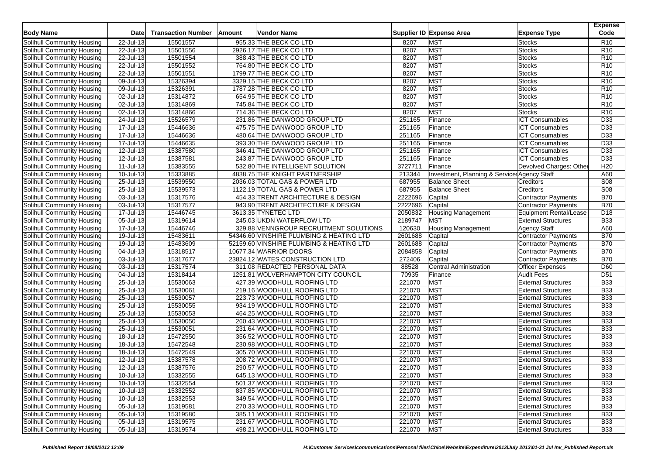| <b>Body Name</b>           | Date                    | <b>Transaction Number</b> | Amount | <b>Vendor Name</b>                       |            | Supplier ID Expense Area                     | <b>Expense Type</b>           | <b>Expense</b><br>Code |
|----------------------------|-------------------------|---------------------------|--------|------------------------------------------|------------|----------------------------------------------|-------------------------------|------------------------|
| Solihull Community Housing | 22-Jul-13               | 15501557                  |        | 955.33 THE BECK CO LTD                   | 8207       | <b>MST</b>                                   | <b>Stocks</b>                 | R <sub>10</sub>        |
| Solihull Community Housing | 22-Jul-13               | 15501556                  |        | 2926.17 THE BECK CO LTD                  | 8207       | MST                                          | <b>Stocks</b>                 | R <sub>10</sub>        |
| Solihull Community Housing | 22-Jul-13               | 15501554                  |        | 388.43 THE BECK CO LTD                   | 8207       | <b>MST</b>                                   | <b>Stocks</b>                 | R <sub>10</sub>        |
| Solihull Community Housing | 22-Jul-13               | 15501552                  |        | 764.80 THE BECK CO LTD                   | 8207       | <b>MST</b>                                   | <b>Stocks</b>                 | R <sub>10</sub>        |
| Solihull Community Housing | 22-Jul-13               | 15501551                  |        | 1799.77 THE BECK CO LTD                  | 8207       | <b>MST</b>                                   | <b>Stocks</b>                 | R <sub>10</sub>        |
| Solihull Community Housing | 09-Jul-13               | 15326394                  |        | 3329.15 THE BECK CO LTD                  | 8207       | <b>MST</b>                                   | <b>Stocks</b>                 | R <sub>10</sub>        |
| Solihull Community Housing | 09-Jul-13               | 15326391                  |        | 1787.28 THE BECK CO LTD                  | 8207       | <b>MST</b>                                   | <b>Stocks</b>                 | R <sub>10</sub>        |
| Solihull Community Housing | 02-Jul-13               | 15314872                  |        | 654.95 THE BECK CO LTD                   | 8207       | <b>MST</b>                                   | <b>Stocks</b>                 | R <sub>10</sub>        |
| Solihull Community Housing | 02-Jul-13               | 15314869                  |        | 745.84 THE BECK CO LTD                   | 8207       | <b>MST</b>                                   | <b>Stocks</b>                 | R <sub>10</sub>        |
| Solihull Community Housing | 02-Jul-13               | 15314866                  |        | 714.36 THE BECK CO LTD                   | 8207       | <b>MST</b>                                   | <b>Stocks</b>                 | R <sub>10</sub>        |
| Solihull Community Housing | 24-Jul-13               | 15526579                  |        | 231.86 THE DANWOOD GROUP LTD             | 251165     | Finance                                      | <b>ICT Consumables</b>        | D33                    |
| Solihull Community Housing | 17-Jul-13               | 15446636                  |        | 475.75 THE DANWOOD GROUP LTD             | 251165     | Finance                                      | <b>ICT Consumables</b>        | D33                    |
| Solihull Community Housing | 17-Jul-13               | 15446636                  |        | 480.64 THE DANWOOD GROUP LTD             | 251165     | Finance                                      | <b>ICT Consumables</b>        | D33                    |
| Solihull Community Housing | 17-Jul-13               | 15446635                  |        | 393.30 THE DANWOOD GROUP LTD             | 251165     | Finance                                      | <b>ICT Consumables</b>        | D33                    |
| Solihull Community Housing | 12-Jul-13               | 15387580                  |        | 346.41 THE DANWOOD GROUP LTD             | 251165     | Finance                                      | <b>ICT Consumables</b>        | $\overline{D33}$       |
| Solihull Community Housing | 12-Jul-13               | 15387581                  |        | 243.87 THE DANWOOD GROUP LTD             | 251165     | Finance                                      | <b>ICT Consumables</b>        | D33                    |
| Solihull Community Housing | 11-Jul-13               | 15383555                  |        | 532.80 THE INTELLIGENT SOLUTION          | 3727711    | Finance                                      | Devolved Charges: Othe        | H20                    |
| Solihull Community Housing | 10-Jul-13               | 15333885                  |        | 4838.75 THE KNIGHT PARTNERSHIP           | 213344     | Investment, Planning & Services Agency Staff |                               | A60                    |
| Solihull Community Housing | 25-Jul-13               | 15539550                  |        | 2036.03 TOTAL GAS & POWER LTD            | 687955     | <b>Balance Sheet</b>                         | Creditors                     | S <sub>08</sub>        |
| Solihull Community Housing | 25-Jul-13               | 15539573                  |        | 1122.19 TOTAL GAS & POWER LTD            | 687955     | <b>Balance Sheet</b>                         | Creditors                     | S08                    |
| Solihull Community Housing | 03-Jul-13               | 15317576                  |        | 454.33 TRENT ARCHITECTURE & DESIGN       | 2222696    | Capital                                      | <b>Contractor Payments</b>    | <b>B70</b>             |
| Solihull Community Housing | 03-Jul-13               | 15317577                  |        | 943.90 TRENT ARCHITECTURE & DESIGN       | 2222696    | Capital                                      | Contractor Payments           | <b>B70</b>             |
| Solihull Community Housing | 17-Jul-13               | 15446745                  |        | 3613.35 TYNETEC LTD                      | 2050832    | <b>Housing Management</b>                    | <b>Equipment Rental/Lease</b> | D <sub>18</sub>        |
| Solihull Community Housing | 05-Jul-13               | 15319614                  |        | 245.03 UKDN WATERFLOW LTD                | 2189747    | <b>MST</b>                                   | <b>External Structures</b>    | <b>B33</b>             |
| Solihull Community Housing | 17-Jul-13               | 15446746                  |        | 329.88 VENNGROUP RECRUITMENT SOLUTIONS   | 120630     | <b>Housing Management</b>                    | <b>Agency Staff</b>           | A60                    |
| Solihull Community Housing | 19-Jul-13               | 15483611                  |        | 54346.60 VINSHIRE PLUMBING & HEATING LTD | 2601688    | Capital                                      | <b>Contractor Payments</b>    | <b>B70</b>             |
| Solihull Community Housing | 19-Jul-13               | 15483609                  |        | 52159.60 VINSHIRE PLUMBING & HEATING LTD | 2601688    | Capital                                      | Contractor Payments           | <b>B70</b>             |
| Solihull Community Housing | $\overline{04}$ -Jul-13 | 15318517                  |        | 10677.34 WARRIOR DOORS                   | 2084858    | Capital                                      | <b>Contractor Payments</b>    | <b>B70</b>             |
| Solihull Community Housing | 03-Jul-13               | 15317677                  |        | 23824.12 WATES CONSTRUCTION LTD          | 272406     | Capital                                      | <b>Contractor Payments</b>    | <b>B70</b>             |
| Solihull Community Housing | $03$ -Jul-13            | 15317574                  |        | 311.08 REDACTED PERSONAL DATA            | 88528      | <b>Central Administration</b>                | <b>Officer Expenses</b>       | D60                    |
| Solihull Community Housing | 04-Jul-13               | 15318414                  |        | 1251.81 WOLVERHAMPTON CITY COUNCIL       | 70935      | Finance                                      | <b>Audit Fees</b>             | D <sub>51</sub>        |
| Solihull Community Housing | 25-Jul-13               | 15530063                  |        | 427.39 WOODHULL ROOFING LTD              | 221070     | MST                                          | <b>External Structures</b>    | <b>B33</b>             |
| Solihull Community Housing | $25 -$ Jul-13           | 15530061                  |        | 219.16 WOODHULL ROOFING LTD              | 221070     | <b>MST</b>                                   | <b>External Structures</b>    | <b>B33</b>             |
| Solihull Community Housing | 25-Jul-13               | 15530057                  |        | 223.73 WOODHULL ROOFING LTD              | 221070     | <b>MST</b>                                   | <b>External Structures</b>    | <b>B33</b>             |
| Solihull Community Housing | 25-Jul-13               | 15530055                  |        | 934.19 WOODHULL ROOFING LTD              | 221070     | <b>MST</b>                                   | <b>External Structures</b>    | <b>B33</b>             |
| Solihull Community Housing | $25 -$ Jul-13           | 15530053                  |        | 464.25 WOODHULL ROOFING LTD              | 221070     | <b>MST</b>                                   | <b>External Structures</b>    | <b>B33</b>             |
| Solihull Community Housing | 25-Jul-13               | 15530050                  |        | 260.43 WOODHULL ROOFING LTD              | 221070     | <b>MST</b>                                   | <b>External Structures</b>    | <b>B33</b>             |
| Solihull Community Housing | 25-Jul-13               | 15530051                  |        | 231.64 WOODHULL ROOFING LTD              | 221070     | <b>MST</b>                                   | <b>External Structures</b>    | <b>B33</b>             |
| Solihull Community Housing | 18-Jul-13               | 15472550                  |        | 356.52 WOODHULL ROOFING LTD              | 221070     | <b>MST</b>                                   | <b>External Structures</b>    | <b>B33</b>             |
| Solihull Community Housing | 18-Jul-13               | 15472548                  |        | 230.98 WOODHULL ROOFING LTD              | 221070     | MST                                          | <b>External Structures</b>    | <b>B33</b>             |
| Solihull Community Housing | 18-Jul-13               | 15472549                  |        | 305.70 WOODHULL ROOFING LTD              | 221070     | MST                                          | <b>External Structures</b>    | <b>B33</b>             |
| Solihull Community Housing | $12$ -Jul-13            | 15387578                  |        | 208.72 WOODHULL ROOFING LTD              | 221070     | MST                                          | <b>External Structures</b>    | <b>B33</b>             |
| Solihull Community Housing | 12-Jul-13               | 15387576                  |        | 290.57 WOODHULL ROOFING LTD              | 221070     | <b>MST</b>                                   | <b>External Structures</b>    | <b>B33</b>             |
| Solihull Community Housing | 10-Jul-13               | 15332555                  |        | 645.13 WOODHULL ROOFING LTD              | 221070 MST |                                              | <b>External Structures</b>    | <b>B33</b>             |
| Solihull Community Housing | $10 -$ Jul-13           | 15332554                  |        | 501.37 WOODHULL ROOFING LTD              | 221070     | <b>MST</b>                                   | <b>External Structures</b>    | <b>B33</b>             |
| Solihull Community Housing | $10 -$ Jul-13           | 15332552                  |        | 837.85 WOODHULL ROOFING LTD              | 221070     | <b>MST</b>                                   | <b>External Structures</b>    | <b>B33</b>             |
| Solihull Community Housing | $10 -$ Jul-13           | 15332553                  |        | 349.54 WOODHULL ROOFING LTD              | 221070     | <b>MST</b>                                   | <b>External Structures</b>    | <b>B33</b>             |
| Solihull Community Housing | 05-Jul-13               | 15319581                  |        | 270.33 WOODHULL ROOFING LTD              | 221070     | <b>MST</b>                                   | <b>External Structures</b>    | <b>B33</b>             |
| Solihull Community Housing | 05-Jul-13               | 15319580                  |        | 385.11 WOODHULL ROOFING LTD              | 221070     | <b>MST</b>                                   | <b>External Structures</b>    | <b>B33</b>             |
| Solihull Community Housing | 05-Jul-13               | 15319575                  |        | 231.67 WOODHULL ROOFING LTD              | 221070     | <b>MST</b>                                   | <b>External Structures</b>    | <b>B33</b>             |
| Solihull Community Housing | 05-Jul-13               | 15319574                  |        | 498.21 WOODHULL ROOFING LTD              | 221070 MST |                                              | <b>External Structures</b>    | <b>B33</b>             |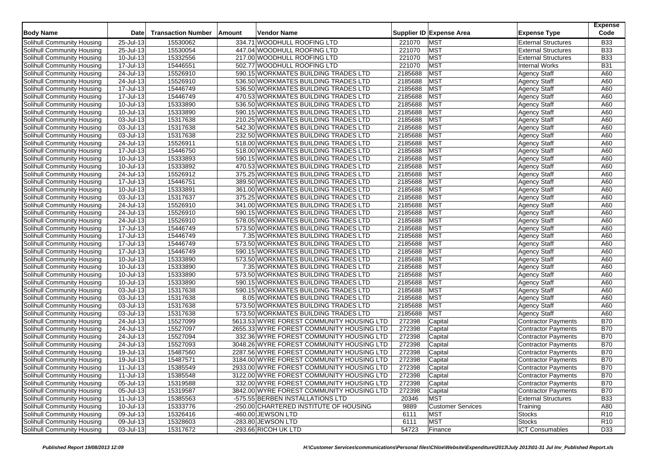| <b>Body Name</b>                                         | Date                    | <b>Transaction Number</b> | Amount | Vendor Name                                                                  |         | Supplier ID Expense Area | <b>Expense Type</b>                        | <b>Expense</b><br>Code |
|----------------------------------------------------------|-------------------------|---------------------------|--------|------------------------------------------------------------------------------|---------|--------------------------|--------------------------------------------|------------------------|
| Solihull Community Housing                               | 25-Jul-13               | 15530062                  |        | 334.71 WOODHULL ROOFING LTD                                                  | 221070  | <b>MST</b>               | <b>External Structures</b>                 | <b>B33</b>             |
| Solihull Community Housing                               | 25-Jul-13               | 15530054                  |        | 447.04 WOODHULL ROOFING LTD                                                  | 221070  | <b>MST</b>               | <b>External Structures</b>                 | <b>B33</b>             |
| Solihull Community Housing                               | 10-Jul-13               | 15332556                  |        | 217.00 WOODHULL ROOFING LTD                                                  | 221070  | <b>MST</b>               | <b>External Structures</b>                 | <b>B33</b>             |
| Solihull Community Housing                               | $\overline{17}$ -Jul-13 | 15446551                  |        | 502.77 WOODHULL ROOFING LTD                                                  | 221070  | <b>MST</b>               | <b>Internal Works</b>                      | <b>B31</b>             |
| Solihull Community Housing                               | 24-Jul-13               | 15526910                  |        | 590.15 WORKMATES BUILDING TRADES LTD                                         | 2185688 | <b>MST</b>               | <b>Agency Staff</b>                        | A60                    |
| Solihull Community Housing                               | 24-Jul-13               | 15526910                  |        | 536.50 WORKMATES BUILDING TRADES LTD                                         | 2185688 | <b>MST</b>               | <b>Agency Staff</b>                        | A60                    |
| Solihull Community Housing                               | 17-Jul-13               | 15446749                  |        | 536.50 WORKMATES BUILDING TRADES LTD                                         | 2185688 | <b>MST</b>               | <b>Agency Staff</b>                        | A60                    |
| Solihull Community Housing                               | 17-Jul-13               | 15446749                  |        | 470.53 WORKMATES BUILDING TRADES LTD                                         | 2185688 | <b>MST</b>               | <b>Agency Staff</b>                        | A60                    |
| Solihull Community Housing                               | 10-Jul-13               | 15333890                  |        | 536.50 WORKMATES BUILDING TRADES LTD                                         | 2185688 | <b>MST</b>               | <b>Agency Staff</b>                        | A60                    |
| Solihull Community Housing                               | $\overline{10}$ -Jul-13 | 15333890                  |        | 590.15 WORKMATES BUILDING TRADES LTD                                         | 2185688 | <b>MST</b>               | <b>Agency Staff</b>                        | A60                    |
| Solihull Community Housing                               | 03-Jul-13               | 15317638                  |        | 210.25 WORKMATES BUILDING TRADES LTD                                         | 2185688 | <b>MST</b>               | <b>Agency Staff</b>                        | A60                    |
| Solihull Community Housing                               | 03-Jul-13               | 15317638                  |        | 542.30 WORKMATES BUILDING TRADES LTD                                         | 2185688 | <b>MST</b>               | <b>Agency Staff</b>                        | A60                    |
| Solihull Community Housing                               | 03-Jul-13               | 15317638                  |        | 232.50 WORKMATES BUILDING TRADES LTD                                         | 2185688 | <b>MST</b>               | <b>Agency Staff</b>                        | A60                    |
| Solihull Community Housing                               | 24-Jul-13               | 15526911                  |        | 518.00 WORKMATES BUILDING TRADES LTD                                         | 2185688 | <b>MST</b>               | <b>Agency Staff</b>                        | A60                    |
| Solihull Community Housing                               | 17-Jul-13               | 15446750                  |        | 518.00 WORKMATES BUILDING TRADES LTD                                         | 2185688 | <b>MST</b>               | Agency Staff                               | A60                    |
| Solihull Community Housing                               | 10-Jul-13               | 15333893                  |        | 590.15 WORKMATES BUILDING TRADES LTD                                         | 2185688 | <b>MST</b>               | <b>Agency Staff</b>                        | A60                    |
| Solihull Community Housing                               | 10-Jul-13               | 15333892                  |        | 470.53 WORKMATES BUILDING TRADES LTD                                         | 2185688 | <b>MST</b>               | Agency Staff                               | A60                    |
| Solihull Community Housing                               | 24-Jul-13               | 15526912                  |        | 375.25 WORKMATES BUILDING TRADES LTD                                         | 2185688 | <b>MST</b>               | <b>Agency Staff</b>                        | A60                    |
| Solihull Community Housing                               | 17-Jul-13               | 15446751                  |        | 389.50 WORKMATES BUILDING TRADES LTD                                         | 2185688 | <b>MST</b>               | <b>Agency Staff</b>                        | A60                    |
| Solihull Community Housing                               | 10-Jul-13               | 15333891                  |        | 361.00 WORKMATES BUILDING TRADES LTD                                         | 2185688 | <b>MST</b>               | <b>Agency Staff</b>                        | A60                    |
| Solihull Community Housing                               | 03-Jul-13               | 15317637                  |        | 375.25 WORKMATES BUILDING TRADES LTD                                         | 2185688 | <b>MST</b>               | <b>Agency Staff</b>                        | A60                    |
| Solihull Community Housing                               | 24-Jul-13               | 15526910                  |        | 341.00 WORKMATES BUILDING TRADES LTD                                         | 2185688 | <b>MST</b>               | <b>Agency Staff</b>                        | A60                    |
| Solihull Community Housing                               | 24-Jul-13               | 15526910                  |        | 590.15 WORKMATES BUILDING TRADES LTD                                         | 2185688 | <b>MST</b>               | <b>Agency Staff</b>                        | A60                    |
|                                                          |                         |                           |        |                                                                              | 2185688 | <b>MST</b>               |                                            | A60                    |
| Solihull Community Housing                               | 24-Jul-13<br>17-Jul-13  | 15526910<br>15446749      |        | 578.05 WORKMATES BUILDING TRADES LTD<br>573.50 WORKMATES BUILDING TRADES LTD | 2185688 | <b>MST</b>               | <b>Agency Staff</b><br><b>Agency Staff</b> | A60                    |
| Solihull Community Housing                               |                         | 15446749                  |        | 7.35 WORKMATES BUILDING TRADES LTD                                           | 2185688 | <b>MST</b>               |                                            | A60                    |
| Solihull Community Housing<br>Solihull Community Housing | 17-Jul-13               |                           |        | 573.50 WORKMATES BUILDING TRADES LTD                                         | 2185688 | <b>MST</b>               | <b>Agency Staff</b>                        |                        |
|                                                          | 17-Jul-13               | 15446749                  |        |                                                                              | 2185688 | <b>MST</b>               | <b>Agency Staff</b>                        | A60                    |
| Solihull Community Housing                               | 17-Jul-13               | 15446749                  |        | 590.15 WORKMATES BUILDING TRADES LTD                                         | 2185688 | <b>MST</b>               | <b>Agency Staff</b>                        | A60<br>A60             |
| Solihull Community Housing                               | 10-Jul-13               | 15333890                  |        | 573.50 WORKMATES BUILDING TRADES LTD                                         |         |                          | <b>Agency Staff</b>                        |                        |
| Solihull Community Housing                               | 10-Jul-13               | 15333890                  |        | 7.35 WORKMATES BUILDING TRADES LTD                                           | 2185688 | <b>MST</b>               | <b>Agency Staff</b>                        | A60                    |
| Solihull Community Housing                               | 10-Jul-13               | 15333890                  |        | 573.50 WORKMATES BUILDING TRADES LTD                                         | 2185688 | <b>MST</b>               | <b>Agency Staff</b>                        | A60                    |
| Solihull Community Housing                               | 10-Jul-13               | 15333890                  |        | 590.15 WORKMATES BUILDING TRADES LTD                                         | 2185688 | <b>MST</b>               | <b>Agency Staff</b>                        | A60                    |
| Solihull Community Housing                               | 03-Jul-13               | 15317638                  |        | 590.15 WORKMATES BUILDING TRADES LTD                                         | 2185688 | <b>MST</b>               | <b>Agency Staff</b>                        | A60                    |
| Solihull Community Housing                               | 03-Jul-13               | 15317638                  |        | 8.05 WORKMATES BUILDING TRADES LTD                                           | 2185688 | <b>MST</b>               | <b>Agency Staff</b>                        | A60                    |
| Solihull Community Housing                               | 03-Jul-13               | 15317638                  |        | 573.50 WORKMATES BUILDING TRADES LTD                                         | 2185688 | <b>MST</b>               | <b>Agency Staff</b>                        | A60                    |
| Solihull Community Housing                               | 03-Jul-13               | 15317638                  |        | 573.50 WORKMATES BUILDING TRADES LTD                                         | 2185688 | <b>MST</b>               | <b>Agency Staff</b>                        | A60                    |
| Solihull Community Housing                               | 24-Jul-13               | 15527099                  |        | 5613.53 WYRE FOREST COMMUNITY HOUSING LTD                                    | 272398  | Capital                  | Contractor Payments                        | <b>B70</b>             |
| Solihull Community Housing                               | 24-Jul-13               | 15527097                  |        | 2655.33 WYRE FOREST COMMUNITY HOUSING LTD                                    | 272398  | Capital                  | Contractor Payments                        | <b>B70</b>             |
| Solihull Community Housing                               | 24-Jul-13               | 15527094                  |        | 332.36 WYRE FOREST COMMUNITY HOUSING LTD                                     | 272398  | Capital                  | <b>Contractor Payments</b>                 | <b>B70</b>             |
| Solihull Community Housing                               | 24-Jul-13               | 15527093                  |        | 3048.26 WYRE FOREST COMMUNITY HOUSING LTD                                    | 272398  | Capital                  | Contractor Payments                        | <b>B70</b>             |
| Solihull Community Housing                               | 19-Jul-13               | 15487560                  |        | 2287.56 WYRE FOREST COMMUNITY HOUSING LTD                                    | 272398  | Capital                  | Contractor Payments                        | <b>B70</b>             |
| Solihull Community Housing                               | 19-Jul-13               | 15487571                  |        | 3184.00 WYRE FOREST COMMUNITY HOUSING LTD                                    | 272398  | Capital                  | Contractor Payments                        | <b>B70</b>             |
| Solihull Community Housing                               | 11-Jul-13               | 15385549                  |        | 2933.00 WYRE FOREST COMMUNITY HOUSING LTD                                    | 272398  | Capital                  | <b>Contractor Payments</b>                 | <b>B70</b>             |
| Solihull Community Housing                               | 11-Jul-13               | 15385548                  |        | 3122.00 WYRE FOREST COMMUNITY HOUSING LTD                                    | 272398  | Capital                  | Contractor Payments                        | <b>B70</b>             |
| Solihull Community Housing                               | 05-Jul-13               | 15319588                  |        | 332.00 WYRE FOREST COMMUNITY HOUSING LTD                                     | 272398  | Capital                  | Contractor Payments                        | <b>B70</b>             |
| Solihull Community Housing                               | 05-Jul-13               | 15319587                  |        | 3842.00 WYRE FOREST COMMUNITY HOUSING LTD                                    | 272398  | Capital                  | Contractor Payments                        | <b>B70</b>             |
| Solihull Community Housing                               | 11-Jul-13               | 15385563                  |        | -575.55 BERBEN INSTALLATIONS LTD                                             | 20346   | <b>MST</b>               | <b>External Structures</b>                 | <b>B33</b>             |
| Solihull Community Housing                               | 10-Jul-13               | 15333776                  |        | -250.00 CHARTERED INSTITUTE OF HOUSING                                       | 9889    | <b>Customer Services</b> | Training                                   | A80                    |
| Solihull Community Housing                               | 09-Jul-13               | 15326416                  |        | -460.00 JEWSON LTD                                                           | 6111    | <b>MST</b>               | <b>Stocks</b>                              | R <sub>10</sub>        |
| Solihull Community Housing                               | $09$ -Jul-13            | 15328603                  |        | -283.80 JEWSON LTD                                                           | 6111    | <b>MST</b>               | <b>Stocks</b>                              | R <sub>10</sub>        |
| Solihull Community Housing                               | 03-Jul-13               | 15317672                  |        | -293.66 RICOH UK LTD                                                         | 54723   | Finance                  | <b>ICT Consumables</b>                     | D33                    |